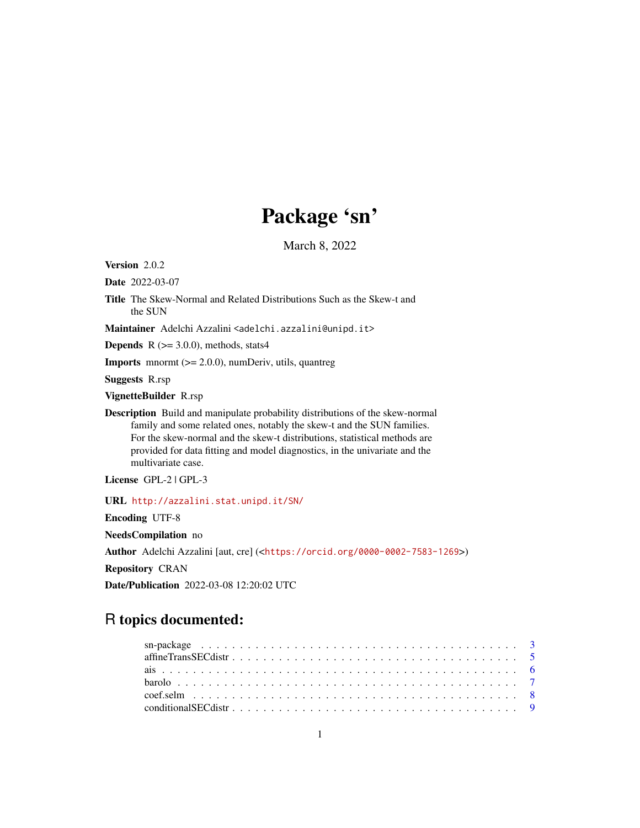# Package 'sn'

March 8, 2022

<span id="page-0-0"></span>Version 2.0.2

Date 2022-03-07

Title The Skew-Normal and Related Distributions Such as the Skew-t and the SUN

Maintainer Adelchi Azzalini <adelchi.azzalini@unipd.it>

**Depends**  $R$  ( $>= 3.0.0$ ), methods, stats4

**Imports** mnormt  $(>= 2.0.0)$ , numDeriv, utils, quantreg

Suggests R.rsp

VignetteBuilder R.rsp

Description Build and manipulate probability distributions of the skew-normal family and some related ones, notably the skew-t and the SUN families. For the skew-normal and the skew-t distributions, statistical methods are provided for data fitting and model diagnostics, in the univariate and the multivariate case.

License GPL-2 | GPL-3

URL <http://azzalini.stat.unipd.it/SN/>

Encoding UTF-8

NeedsCompilation no

Author Adelchi Azzalini [aut, cre] (<<https://orcid.org/0000-0002-7583-1269>>)

Repository CRAN

Date/Publication 2022-03-08 12:20:02 UTC

# R topics documented: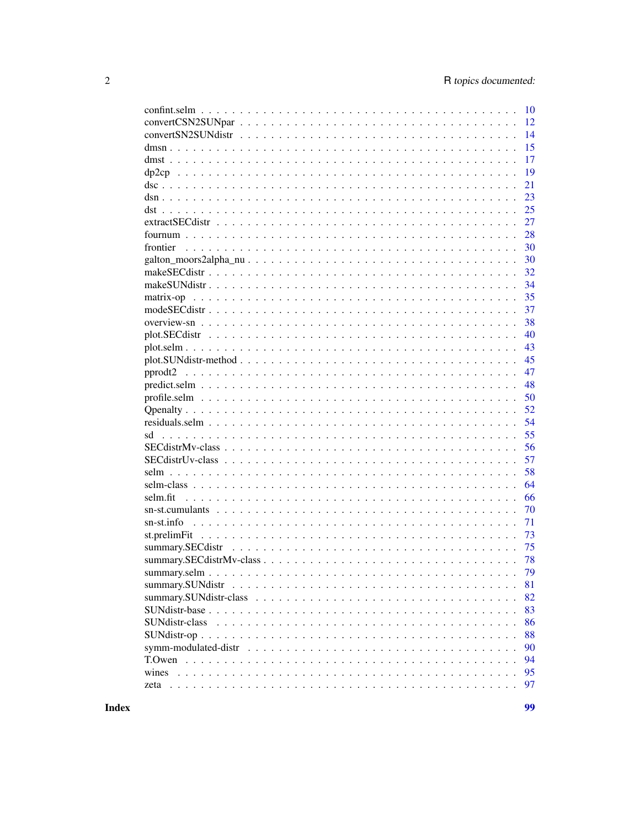|                                                                                                                        | 10 |
|------------------------------------------------------------------------------------------------------------------------|----|
|                                                                                                                        | 12 |
|                                                                                                                        | 14 |
|                                                                                                                        | 15 |
|                                                                                                                        | 17 |
|                                                                                                                        | 19 |
|                                                                                                                        | 21 |
|                                                                                                                        | 23 |
|                                                                                                                        | 25 |
|                                                                                                                        | 27 |
|                                                                                                                        | 28 |
| frontier                                                                                                               | 30 |
|                                                                                                                        | 30 |
|                                                                                                                        | 32 |
|                                                                                                                        | 34 |
|                                                                                                                        | 35 |
|                                                                                                                        | 37 |
|                                                                                                                        | 38 |
|                                                                                                                        | 40 |
|                                                                                                                        | 43 |
| $plot.SUNdistr-method \dots \dots \dots \dots \dots \dots \dots \dots \dots \dots \dots \dots \dots \dots \dots \dots$ | 45 |
| pprodt2                                                                                                                | 47 |
|                                                                                                                        | 48 |
|                                                                                                                        | 50 |
|                                                                                                                        | 52 |
|                                                                                                                        | 54 |
| sd                                                                                                                     | 55 |
|                                                                                                                        | 56 |
|                                                                                                                        | 57 |
|                                                                                                                        | 58 |
|                                                                                                                        | 64 |
| selm.fit                                                                                                               | 66 |
|                                                                                                                        | 70 |
|                                                                                                                        | 71 |
|                                                                                                                        | 73 |
| summary.SECdistr                                                                                                       | 75 |
|                                                                                                                        | 78 |
|                                                                                                                        | 79 |
|                                                                                                                        | 81 |
|                                                                                                                        | 82 |
| $SUMdist\text{-}base \ldots \ldots \ldots \ldots \ldots \ldots \ldots \ldots \ldots \ldots \ldots \ldots \ldots$       | 83 |
| SUNdistr-class                                                                                                         | 86 |
|                                                                                                                        | 88 |
|                                                                                                                        | 90 |
|                                                                                                                        | 94 |
|                                                                                                                        | 95 |
|                                                                                                                        | 97 |
|                                                                                                                        |    |

**Index**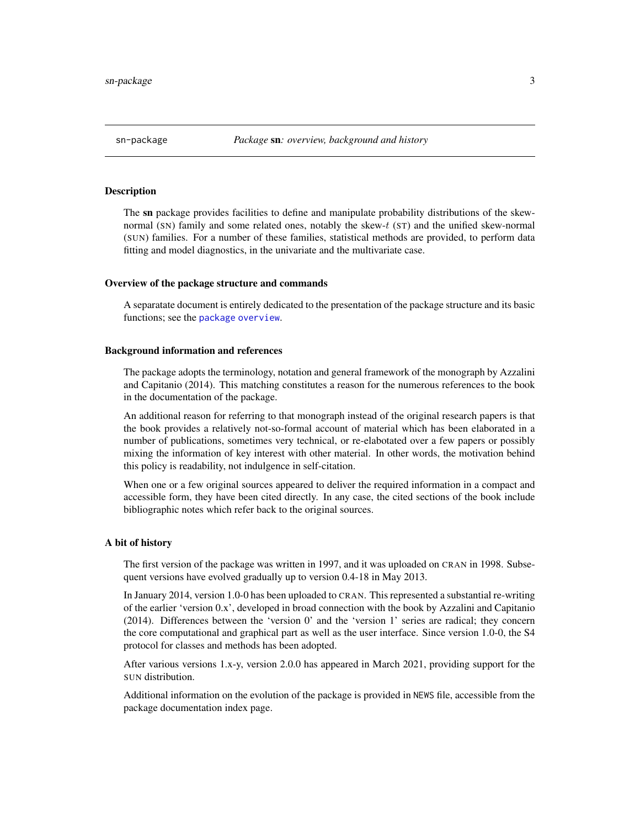#### <span id="page-2-0"></span>**Description**

The sn package provides facilities to define and manipulate probability distributions of the skewnormal (SN) family and some related ones, notably the skew-t (ST) and the unified skew-normal (SUN) families. For a number of these families, statistical methods are provided, to perform data fitting and model diagnostics, in the univariate and the multivariate case.

#### Overview of the package structure and commands

A separatate document is entirely dedicated to the presentation of the package structure and its basic functions; see the [package overview](#page-37-1).

#### Background information and references

The package adopts the terminology, notation and general framework of the monograph by Azzalini and Capitanio (2014). This matching constitutes a reason for the numerous references to the book in the documentation of the package.

An additional reason for referring to that monograph instead of the original research papers is that the book provides a relatively not-so-formal account of material which has been elaborated in a number of publications, sometimes very technical, or re-elabotated over a few papers or possibly mixing the information of key interest with other material. In other words, the motivation behind this policy is readability, not indulgence in self-citation.

When one or a few original sources appeared to deliver the required information in a compact and accessible form, they have been cited directly. In any case, the cited sections of the book include bibliographic notes which refer back to the original sources.

#### A bit of history

The first version of the package was written in 1997, and it was uploaded on CRAN in 1998. Subsequent versions have evolved gradually up to version 0.4-18 in May 2013.

In January 2014, version 1.0-0 has been uploaded to CRAN. This represented a substantial re-writing of the earlier 'version 0.x', developed in broad connection with the book by Azzalini and Capitanio (2014). Differences between the 'version 0' and the 'version 1' series are radical; they concern the core computational and graphical part as well as the user interface. Since version 1.0-0, the S4 protocol for classes and methods has been adopted.

After various versions 1.x-y, version 2.0.0 has appeared in March 2021, providing support for the SUN distribution.

Additional information on the evolution of the package is provided in NEWS file, accessible from the package documentation index page.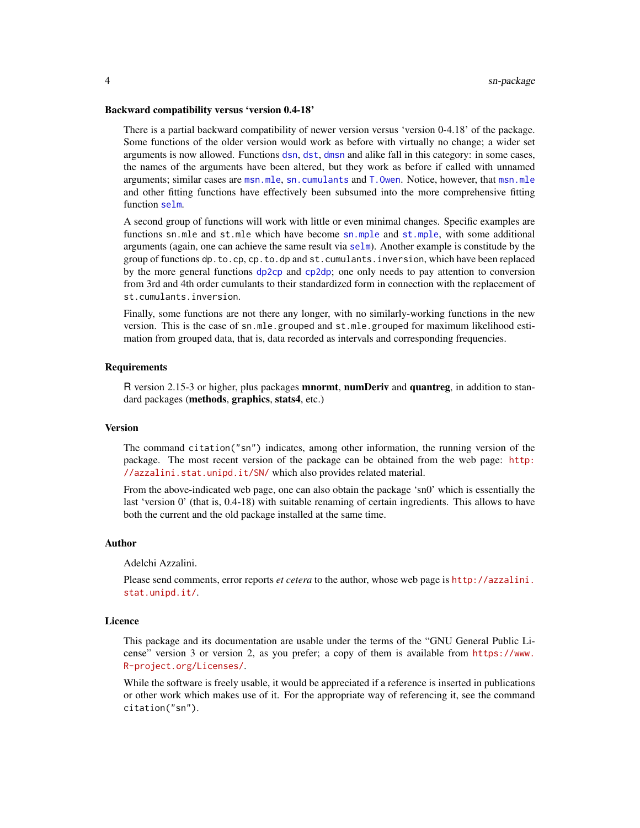#### Backward compatibility versus 'version 0.4-18'

There is a partial backward compatibility of newer version versus 'version 0-4.18' of the package. Some functions of the older version would work as before with virtually no change; a wider set arguments is now allowed. Functions [dsn](#page-22-1), [dst](#page-24-1), [dmsn](#page-14-1) and alike fall in this category: in some cases, the names of the arguments have been altered, but they work as before if called with unnamed arguments; similar cases are [msn.mle](#page-65-1), [sn.cumulants](#page-69-1) and [T.Owen](#page-93-1). Notice, however, that [msn.mle](#page-65-1) and other fitting functions have effectively been subsumed into the more comprehensive fitting function [selm](#page-57-1).

A second group of functions will work with little or even minimal changes. Specific examples are functions sn.mle and st.mle which have become [sn.mple](#page-65-1) and [st.mple](#page-65-1), with some additional arguments (again, one can achieve the same result via [selm](#page-57-1)). Another example is constitude by the group of functions dp.to.cp, cp.to.dp and st.cumulants.inversion, which have been replaced by the more general functions [dp2cp](#page-18-1) and [cp2dp](#page-18-2); one only needs to pay attention to conversion from 3rd and 4th order cumulants to their standardized form in connection with the replacement of st.cumulants.inversion.

Finally, some functions are not there any longer, with no similarly-working functions in the new version. This is the case of sn.mle.grouped and st.mle.grouped for maximum likelihood estimation from grouped data, that is, data recorded as intervals and corresponding frequencies.

### Requirements

R version 2.15-3 or higher, plus packages **mnormt, numDeriv** and **quantreg**, in addition to standard packages (methods, graphics, stats4, etc.)

#### Version

The command citation("sn") indicates, among other information, the running version of the package. The most recent version of the package can be obtained from the web page: [http:](http://azzalini.stat.unipd.it/SN/) [//azzalini.stat.unipd.it/SN/](http://azzalini.stat.unipd.it/SN/) which also provides related material.

From the above-indicated web page, one can also obtain the package 'sn0' which is essentially the last 'version 0' (that is, 0.4-18) with suitable renaming of certain ingredients. This allows to have both the current and the old package installed at the same time.

#### Author

Adelchi Azzalini.

Please send comments, error reports *et cetera* to the author, whose web page is [http://azzalini.](http://azzalini.stat.unipd.it/) [stat.unipd.it/](http://azzalini.stat.unipd.it/).

### Licence

This package and its documentation are usable under the terms of the "GNU General Public License" version 3 or version 2, as you prefer; a copy of them is available from [https://www.](https://www.R-project.org/Licenses/) [R-project.org/Licenses/](https://www.R-project.org/Licenses/).

While the software is freely usable, it would be appreciated if a reference is inserted in publications or other work which makes use of it. For the appropriate way of referencing it, see the command citation("sn").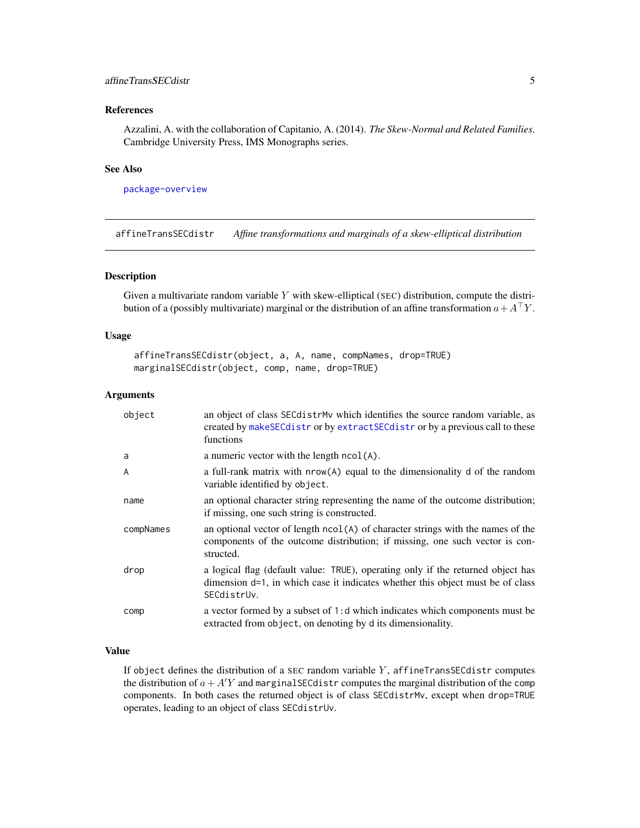# <span id="page-4-0"></span>affineTransSECdistr 5

# References

Azzalini, A. with the collaboration of Capitanio, A. (2014). *The Skew-Normal and Related Families*. Cambridge University Press, IMS Monographs series.

### See Also

[package-overview](#page-37-1)

<span id="page-4-1"></span>affineTransSECdistr *Affine transformations and marginals of a skew-elliptical distribution*

# Description

Given a multivariate random variable Y with skew-elliptical (SEC) distribution, compute the distribution of a (possibly multivariate) marginal or the distribution of an affine transformation  $a+A^{\top}Y$ .

#### Usage

```
affineTransSECdistr(object, a, A, name, compNames, drop=TRUE)
marginalSECdistr(object, comp, name, drop=TRUE)
```
#### Arguments

| object    | an object of class SEC distrit which identifies the source random variable, as<br>created by makeSECdistr or by extractSECdistr or by a previous call to these<br>functions      |
|-----------|----------------------------------------------------------------------------------------------------------------------------------------------------------------------------------|
| a         | a numeric vector with the length $ncol(A)$ .                                                                                                                                     |
| A         | a full-rank matrix with nrow(A) equal to the dimensionality d of the random<br>variable identified by object.                                                                    |
| name      | an optional character string representing the name of the outcome distribution;<br>if missing, one such string is constructed.                                                   |
| compNames | an optional vector of length $ncol(A)$ of character strings with the names of the<br>components of the outcome distribution; if missing, one such vector is con-<br>structed.    |
| drop      | a logical flag (default value: TRUE), operating only if the returned object has<br>dimension d=1, in which case it indicates whether this object must be of class<br>SECdistrUv. |
| comp      | a vector formed by a subset of 1:d which indicates which components must be<br>extracted from object, on denoting by d its dimensionality.                                       |

# Value

If object defines the distribution of a SEC random variable  $Y$ , affineTransSECdistr computes the distribution of  $a + A'Y$  and marginal SEC distributions the marginal distribution of the comp components. In both cases the returned object is of class SECdistrMv, except when drop=TRUE operates, leading to an object of class SECdistrUv.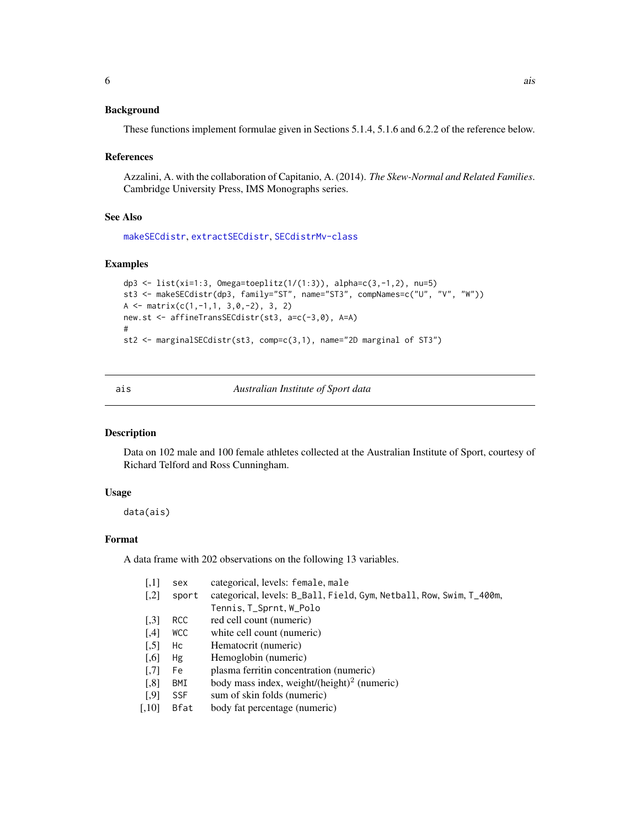### <span id="page-5-0"></span>Background

These functions implement formulae given in Sections 5.1.4, 5.1.6 and 6.2.2 of the reference below.

#### References

Azzalini, A. with the collaboration of Capitanio, A. (2014). *The Skew-Normal and Related Families*. Cambridge University Press, IMS Monographs series.

#### See Also

[makeSECdistr](#page-31-1), [extractSECdistr](#page-26-1), [SECdistrMv-class](#page-55-1)

### Examples

```
dp3 <- list(xi=1:3, Omega=toeplitz(1/(1:3)), alpha=c(3,-1,2), nu=5)
st3 <- makeSECdistr(dp3, family="ST", name="ST3", compNames=c("U", "V", "W"))
A \leq matrix(c(1,-1,1, 3,0,-2), 3, 2)
new.st <- affineTransSECdistr(st3, a=c(-3,0), A=A)
#
st2 <- marginalSECdistr(st3, comp=c(3,1), name="2D marginal of ST3")
```
ais *Australian Institute of Sport data*

#### Description

Data on 102 male and 100 female athletes collected at the Australian Institute of Sport, courtesy of Richard Telford and Ross Cunningham.

### Usage

data(ais)

# Format

A data frame with 202 observations on the following 13 variables.

| $\left[1,1\right]$   | sex        | categorical, levels: female, male                                    |
|----------------------|------------|----------------------------------------------------------------------|
| $\left[ 1,2\right]$  | sport      | categorical, levels: B_Ball, Field, Gym, Netball, Row, Swim, T_400m, |
|                      |            | Tennis, T_Sprnt, W_Polo                                              |
| $\left[ .3 \right]$  | RCC        | red cell count (numeric)                                             |
| [4]                  | <b>WCC</b> | white cell count (numeric)                                           |
| $\left[ 5 \right]$   | Hc         | Hematocrit (numeric)                                                 |
| $\left[ 0.6 \right]$ | Hg         | Hemoglobin (numeric)                                                 |
| $\left[ .7 \right]$  | Fe         | plasma ferritin concentration (numeric)                              |
| $\left[ 0.8\right]$  | BMI        | body mass index, weight/(height) <sup>2</sup> (numeric)              |
| $[$ ,9]              | <b>SSF</b> | sum of skin folds (numeric)                                          |
| [0.10]               | Bfat       | body fat percentage (numeric)                                        |
|                      |            |                                                                      |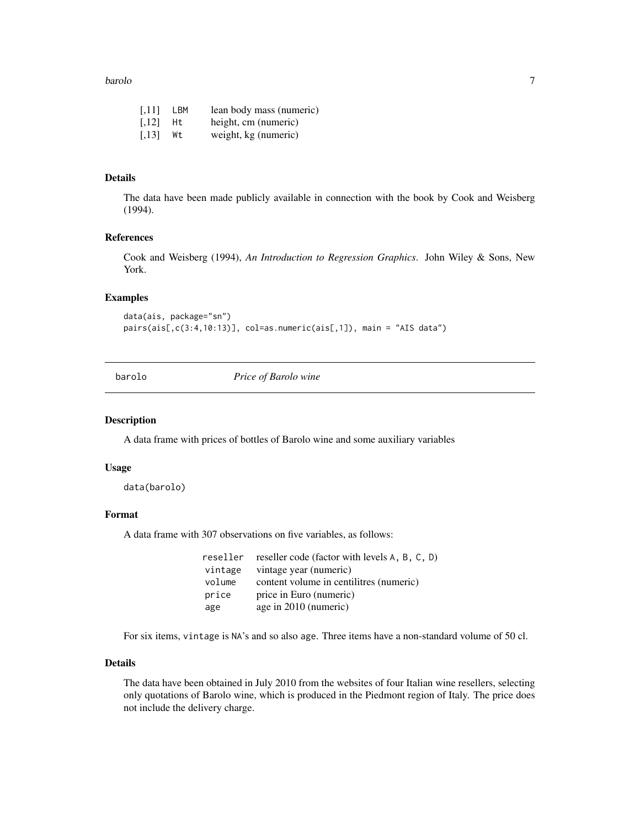#### <span id="page-6-0"></span>barolo **7** and 2008 **7** and 2008 **7** and 2008 **7** and 2008 **7** and 2008 **7** and 2008 **7** and 2008 **7** and 2008 **7** and 2008 **7** and 2008 **7** and 2008 **7** and 2008 **7** and 2008 **7** and 2008 **7** and 2008 **7** and 2008 **7** and

| [,11]   | LBM | lean body mass (numeric) |
|---------|-----|--------------------------|
| [,12]   | Ht. | height, cm (numeric)     |
| $[,13]$ | Wt  | weight, kg (numeric)     |

# Details

The data have been made publicly available in connection with the book by Cook and Weisberg (1994).

# References

Cook and Weisberg (1994), *An Introduction to Regression Graphics*. John Wiley & Sons, New York.

### Examples

```
data(ais, package="sn")
pairs(ais[,c(3:4,10:13)], col=as.numeric(ais[,1]), main = "AIS data")
```
barolo *Price of Barolo wine*

### Description

A data frame with prices of bottles of Barolo wine and some auxiliary variables

#### Usage

data(barolo)

### Format

A data frame with 307 observations on five variables, as follows:

| reseller | reseller code (factor with levels A, B, C, D) |
|----------|-----------------------------------------------|
| vintage  | vintage year (numeric)                        |
| volume   | content volume in centilities (numeric)       |
| price    | price in Euro (numeric)                       |
| age      | age in 2010 (numeric)                         |

For six items, vintage is NA's and so also age. Three items have a non-standard volume of 50 cl.

### Details

The data have been obtained in July 2010 from the websites of four Italian wine resellers, selecting only quotations of Barolo wine, which is produced in the Piedmont region of Italy. The price does not include the delivery charge.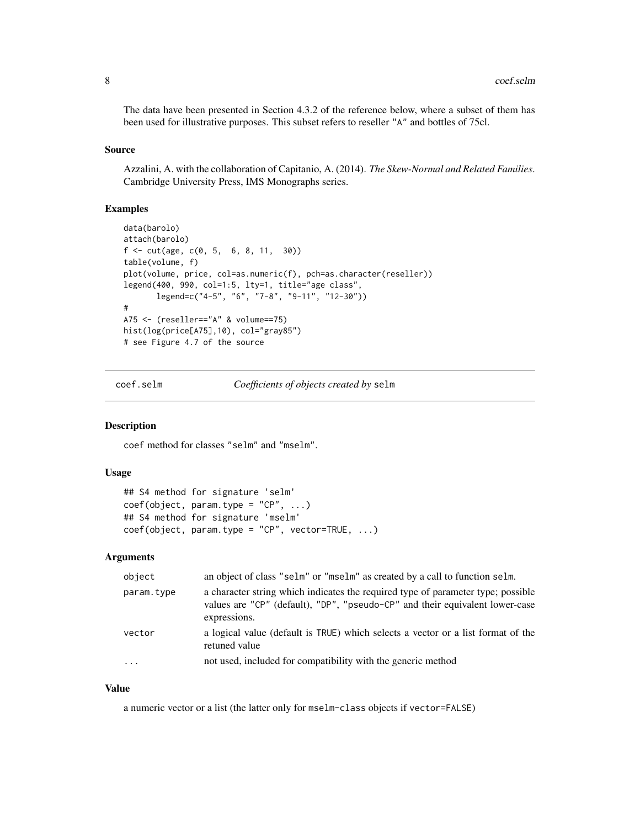<span id="page-7-0"></span>The data have been presented in Section 4.3.2 of the reference below, where a subset of them has been used for illustrative purposes. This subset refers to reseller "A" and bottles of 75cl.

### Source

Azzalini, A. with the collaboration of Capitanio, A. (2014). *The Skew-Normal and Related Families*. Cambridge University Press, IMS Monographs series.

### Examples

```
data(barolo)
attach(barolo)
f \leftarrow \text{cut}(age, c(0, 5, 6, 8, 11, 30))table(volume, f)
plot(volume, price, col=as.numeric(f), pch=as.character(reseller))
legend(400, 990, col=1:5, lty=1, title="age class",
       legend=c("4-5", "6", "7-8", "9-11", "12-30"))
#
A75 <- (reseller=="A" & volume==75)
hist(log(price[A75],10), col="gray85")
# see Figure 4.7 of the source
```
coef.selm *Coefficients of objects created by* selm

### Description

coef method for classes "selm" and "mselm".

### Usage

```
## S4 method for signature 'selm'
coef(object, param_type = "CP", ...)## S4 method for signature 'mselm'
coef(object, param.type = "CP", vector=TRUE, ...)
```
### Arguments

| object     | an object of class "selm" or "mselm" as created by a call to function selm.                                                                                                      |
|------------|----------------------------------------------------------------------------------------------------------------------------------------------------------------------------------|
| param.type | a character string which indicates the required type of parameter type; possible<br>values are "CP" (default), "DP", "pseudo-CP" and their equivalent lower-case<br>expressions. |
| vector     | a logical value (default is TRUE) which selects a vector or a list format of the<br>retuned value                                                                                |
| $\cdots$   | not used, included for compatibility with the generic method                                                                                                                     |

### Value

a numeric vector or a list (the latter only for mselm-class objects if vector=FALSE)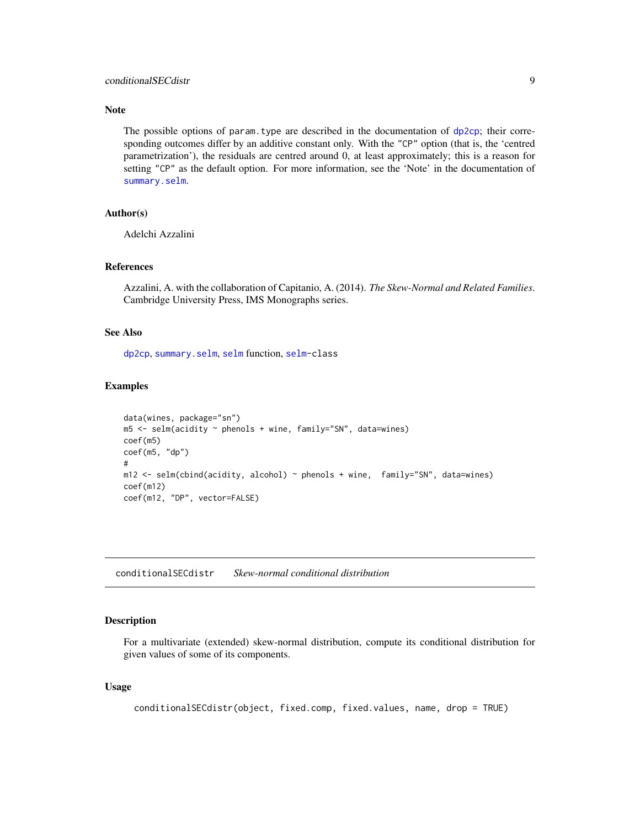### <span id="page-8-0"></span>Note

The possible options of param.type are described in the documentation of  $dp2cp$ ; their corresponding outcomes differ by an additive constant only. With the "CP" option (that is, the 'centred parametrization'), the residuals are centred around 0, at least approximately; this is a reason for setting "CP" as the default option. For more information, see the 'Note' in the documentation of [summary.selm](#page-78-1).

# Author(s)

Adelchi Azzalini

# References

Azzalini, A. with the collaboration of Capitanio, A. (2014). *The Skew-Normal and Related Families*. Cambridge University Press, IMS Monographs series.

#### See Also

[dp2cp](#page-18-1), [summary.selm](#page-78-1), [selm](#page-57-1) function, [selm-](#page-63-1)class

### Examples

```
data(wines, package="sn")
m5 <- selm(acidity ~ phenols + wine, family="SN", data=wines)
coef(m5)
coef(m5, "dp")
#
m12 <- selm(cbind(acidity, alcohol) ~ phenols + wine, family="SN", data=wines)
coef(m12)
coef(m12, "DP", vector=FALSE)
```
<span id="page-8-1"></span>conditionalSECdistr *Skew-normal conditional distribution*

### Description

For a multivariate (extended) skew-normal distribution, compute its conditional distribution for given values of some of its components.

### Usage

```
conditionalSECdistr(object, fixed.comp, fixed.values, name, drop = TRUE)
```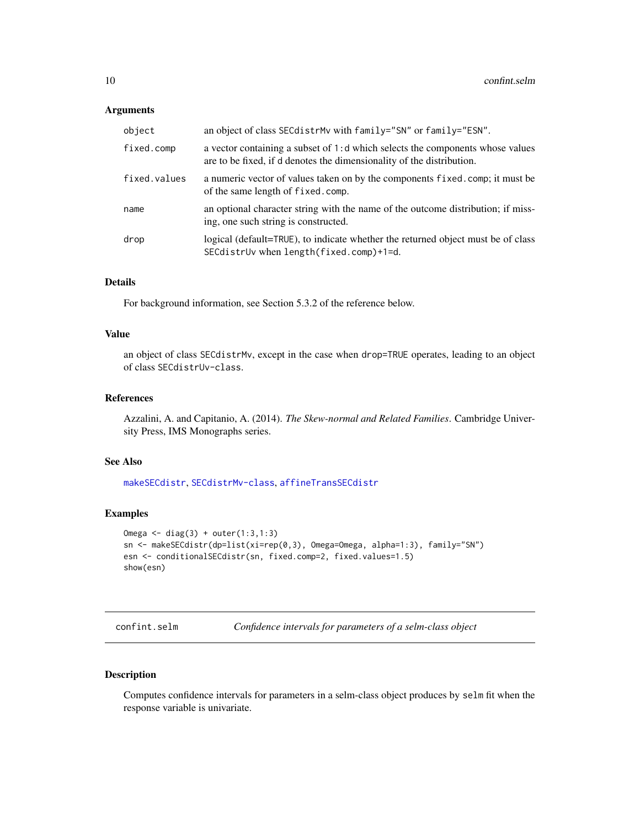### <span id="page-9-0"></span>Arguments

| object       | an object of class SECdistrMv with family="SN" or family="ESN".                                                                                        |
|--------------|--------------------------------------------------------------------------------------------------------------------------------------------------------|
| fixed.comp   | a vector containing a subset of 1:d which selects the components whose values<br>are to be fixed, if d denotes the dimensionality of the distribution. |
| fixed.values | a numeric vector of values taken on by the components fixed.comp; it must be<br>of the same length of fixed.comp.                                      |
| name         | an optional character string with the name of the outcome distribution; if miss-<br>ing, one such string is constructed.                               |
| drop         | logical (default=TRUE), to indicate whether the returned object must be of class<br>SECdistrUv when length(fixed.comp)+1=d.                            |

# Details

For background information, see Section 5.3.2 of the reference below.

# Value

an object of class SECdistrMv, except in the case when drop=TRUE operates, leading to an object of class SECdistrUv-class.

### References

Azzalini, A. and Capitanio, A. (2014). *The Skew-normal and Related Families*. Cambridge University Press, IMS Monographs series.

## See Also

[makeSECdistr](#page-31-1), [SECdistrMv-class](#page-55-1), [affineTransSECdistr](#page-4-1)

# Examples

```
Omega <- diag(3) + outer(1:3,1:3)
sn <- makeSECdistr(dp=list(xi=rep(0,3), Omega=Omega, alpha=1:3), family="SN")
esn <- conditionalSECdistr(sn, fixed.comp=2, fixed.values=1.5)
show(esn)
```
confint.selm *Confidence intervals for parameters of a selm-class object*

# Description

Computes confidence intervals for parameters in a selm-class object produces by selm fit when the response variable is univariate.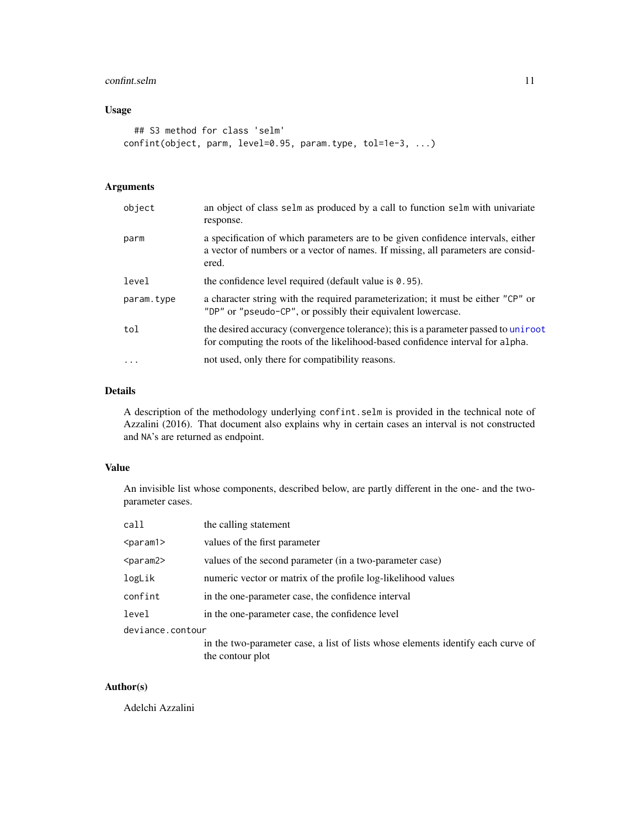# confint.selm 11

# Usage

```
## S3 method for class 'selm'
confint(object, parm, level=0.95, param.type, tol=1e-3, ...)
```
# Arguments

| object     | an object of class selm as produced by a call to function selm with univariate<br>response.                                                                                   |
|------------|-------------------------------------------------------------------------------------------------------------------------------------------------------------------------------|
| parm       | a specification of which parameters are to be given confidence intervals, either<br>a vector of numbers or a vector of names. If missing, all parameters are consid-<br>ered. |
| level      | the confidence level required (default value is $0.95$ ).                                                                                                                     |
| param.type | a character string with the required parameterization; it must be either "CP" or<br>"DP" or "pseudo-CP", or possibly their equivalent lowercase.                              |
| tol        | the desired accuracy (convergence tolerance); this is a parameter passed to uniroot<br>for computing the roots of the likelihood-based confidence interval for alpha.         |
| .          | not used, only there for compatibility reasons.                                                                                                                               |
|            |                                                                                                                                                                               |

# Details

A description of the methodology underlying confint.selm is provided in the technical note of Azzalini (2016). That document also explains why in certain cases an interval is not constructed and NA's are returned as endpoint.

# Value

An invisible list whose components, described below, are partly different in the one- and the twoparameter cases.

| call             | the calling statement                                                                                |
|------------------|------------------------------------------------------------------------------------------------------|
| $<$ param $1>$   | values of the first parameter                                                                        |
| $<$ param $2$ >  | values of the second parameter (in a two-parameter case)                                             |
| logLik           | numeric vector or matrix of the profile log-likelihood values                                        |
| confint          | in the one-parameter case, the confidence interval                                                   |
| level            | in the one-parameter case, the confidence level                                                      |
| deviance.contour |                                                                                                      |
|                  | in the two-parameter case, a list of lists whose elements identify each curve of<br>the contour plot |

# Author(s)

Adelchi Azzalini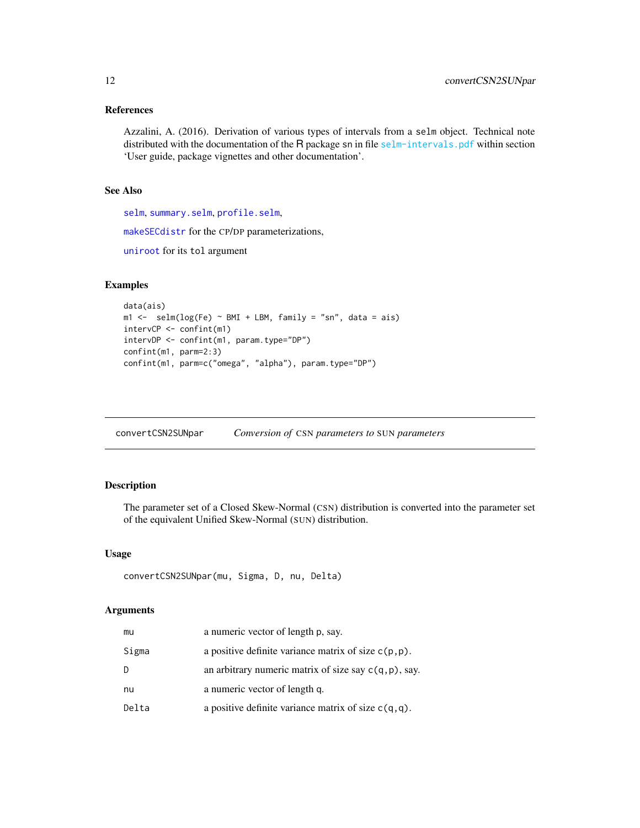# <span id="page-11-0"></span>References

Azzalini, A. (2016). Derivation of various types of intervals from a selm object. Technical note distributed with the documentation of the R package sn in file [selm-intervals.pdf](#page-0-0) within section 'User guide, package vignettes and other documentation'.

# See Also

[selm](#page-57-1), [summary.selm](#page-78-1), [profile.selm](#page-49-1),

[makeSECdistr](#page-31-1) for the CP/DP parameterizations,

[uniroot](#page-0-0) for its tol argument

# Examples

```
data(ais)
m1 \le - selm(log(Fe) \sim BMI + LBM, family = "sn", data = ais)
intervCP <- confint(m1)
intervDP <- confint(m1, param.type="DP")
confint(m1, parm=2:3)
confint(m1, parm=c("omega", "alpha"), param.type="DP")
```
convertCSN2SUNpar *Conversion of* CSN *parameters to* SUN *parameters*

### Description

The parameter set of a Closed Skew-Normal (CSN) distribution is converted into the parameter set of the equivalent Unified Skew-Normal (SUN) distribution.

#### Usage

```
convertCSN2SUNpar(mu, Sigma, D, nu, Delta)
```
### Arguments

| mu    | a numeric vector of length p, say.                       |
|-------|----------------------------------------------------------|
| Sigma | a positive definite variance matrix of size $c(p, p)$ .  |
| D     | an arbitrary numeric matrix of size say $c(q, p)$ , say. |
| nu    | a numeric vector of length q.                            |
| Delta | a positive definite variance matrix of size $c(q, q)$ .  |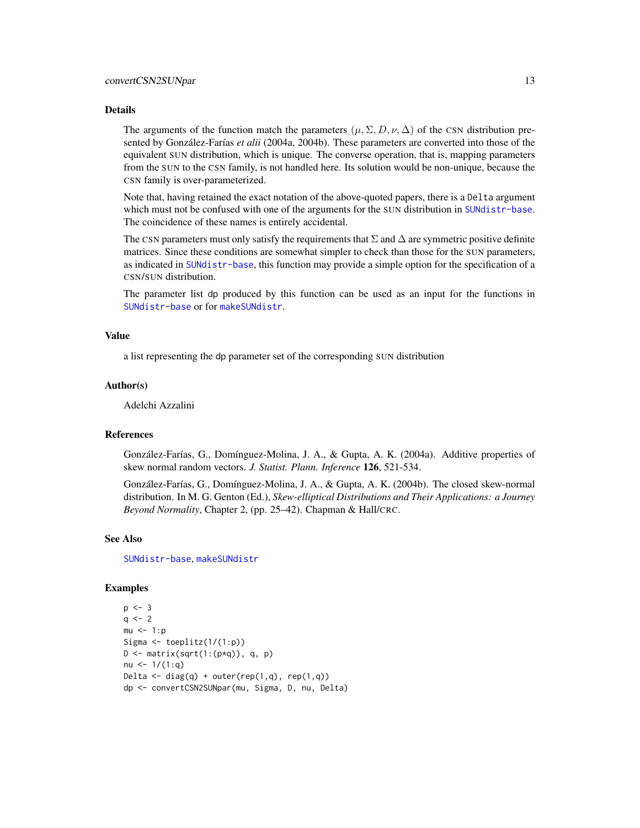#### Details

The arguments of the function match the parameters  $(\mu, \Sigma, D, \nu, \Delta)$  of the CSN distribution presented by González-Farías *et alii* (2004a, 2004b). These parameters are converted into those of the equivalent SUN distribution, which is unique. The converse operation, that is, mapping parameters from the SUN to the CSN family, is not handled here. Its solution would be non-unique, because the CSN family is over-parameterized.

Note that, having retained the exact notation of the above-quoted papers, there is a Delta argument which must not be confused with one of the arguments for the SUN distribution in [SUNdistr-base](#page-82-1). The coincidence of these names is entirely accidental.

The CSN parameters must only satisfy the requirements that  $\Sigma$  and  $\Delta$  are symmetric positive definite matrices. Since these conditions are somewhat simpler to check than those for the SUN parameters, as indicated in [SUNdistr-base](#page-82-1), this function may provide a simple option for the specification of a CSN/SUN distribution.

The parameter list dp produced by this function can be used as an input for the functions in [SUNdistr-base](#page-82-1) or for [makeSUNdistr](#page-33-1).

#### Value

a list representing the dp parameter set of the corresponding SUN distribution

#### Author(s)

Adelchi Azzalini

#### References

González-Farías, G., Domínguez-Molina, J. A., & Gupta, A. K. (2004a). Additive properties of skew normal random vectors. *J. Statist. Plann. Inference* 126, 521-534.

González-Farías, G., Domínguez-Molina, J. A., & Gupta, A. K. (2004b). The closed skew-normal distribution. In M. G. Genton (Ed.), *Skew-elliptical Distributions and Their Applications: a Journey Beyond Normality*, Chapter 2, (pp. 25–42). Chapman & Hall/CRC.

### See Also

[SUNdistr-base](#page-82-1), [makeSUNdistr](#page-33-1)

### Examples

```
p \le -3q \le -2mu < -1:pSigma <- toeplitz(1/(1:p))
D \leftarrow matrix(sqrt(1:(p*q)), q, p)
nu \leftarrow 1/(1:q)
Delta \leq diag(q) + outer(rep(1,q), rep(1,q))
dp <- convertCSN2SUNpar(mu, Sigma, D, nu, Delta)
```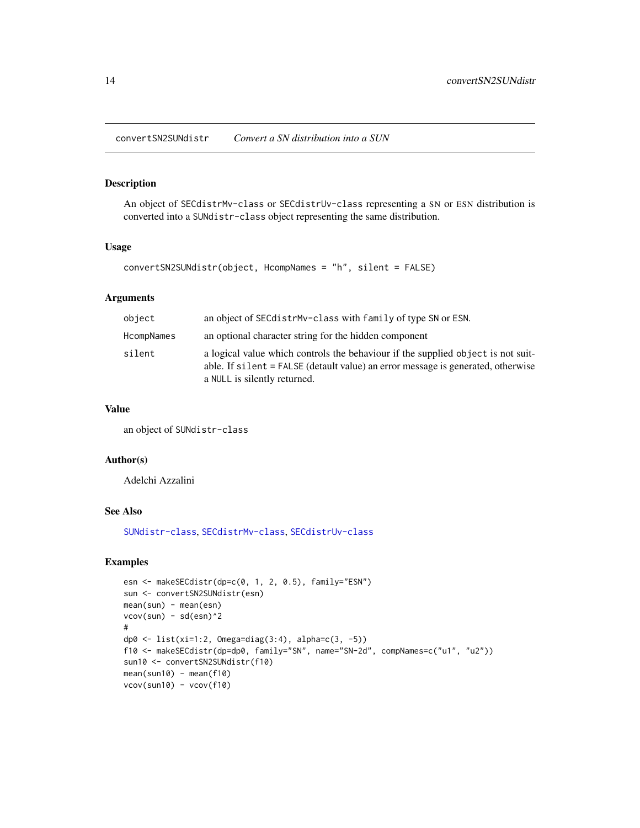<span id="page-13-0"></span>convertSN2SUNdistr *Convert a SN distribution into a SUN*

# Description

An object of SECdistrMv-class or SECdistrUv-class representing a SN or ESN distribution is converted into a SUNdistr-class object representing the same distribution.

# Usage

```
convertSN2SUNdistr(object, HcompNames = "h", silent = FALSE)
```
### Arguments

| object     | an object of SECdistrMv-class with family of type SN or ESN.                                                                                                                                         |
|------------|------------------------------------------------------------------------------------------------------------------------------------------------------------------------------------------------------|
| HcompNames | an optional character string for the hidden component                                                                                                                                                |
| silent     | a logical value which controls the behaviour if the supplied object is not suit-<br>able. If silent = FALSE (detault value) an error message is generated, otherwise<br>a NULL is silently returned. |

## Value

an object of SUNdistr-class

### Author(s)

Adelchi Azzalini

### See Also

[SUNdistr-class](#page-85-1), [SECdistrMv-class](#page-55-1), [SECdistrUv-class](#page-56-1)

### Examples

```
esn <- makeSECdistr(dp=c(0, 1, 2, 0.5), family="ESN")
sun <- convertSN2SUNdistr(esn)
mean(sun) - mean(esn)
vcov(sun) - sd(esn)^2#
dp0 <- list(xi=1:2, Omega=diag(3:4), alpha=c(3, -5))
f10 <- makeSECdistr(dp=dp0, family="SN", name="SN-2d", compNames=c("u1", "u2"))
sun10 <- convertSN2SUNdistr(f10)
mean(sun10) - mean(f10)
vcov(sun10) - vcov(f10)
```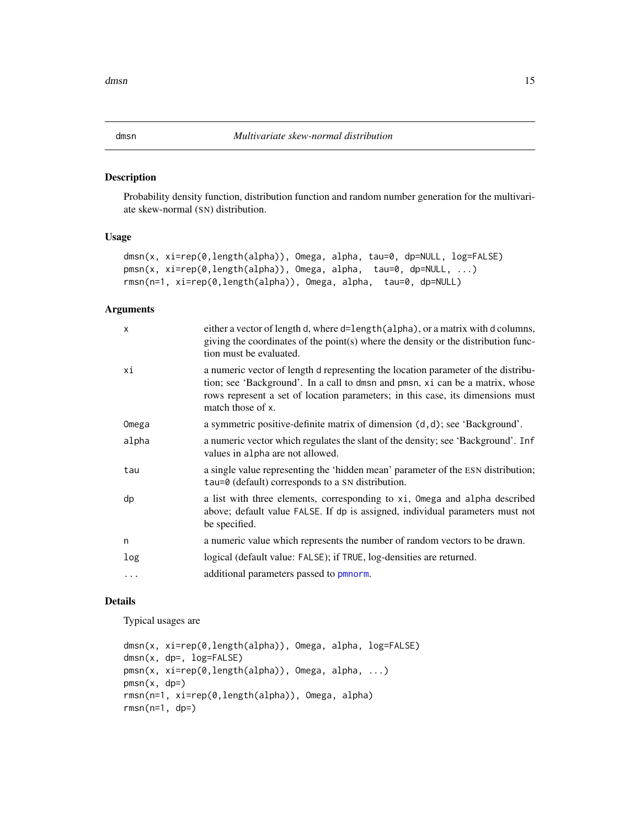### <span id="page-14-2"></span><span id="page-14-1"></span><span id="page-14-0"></span>Description

Probability density function, distribution function and random number generation for the multivariate skew-normal (SN) distribution.

# Usage

```
dmsn(x, xi=rep(0,length(alpha)), Omega, alpha, tau=0, dp=NULL, log=FALSE)
pmsn(x, xi=rep(0,length(alpha)), Omega, alpha, tau=0, dp=NULL, ...)
rmsn(n=1, xi=rep(0,length(alpha)), Omega, alpha, tau=0, dp=NULL)
```
# Arguments

| $\times$ | either a vector of length d, where d=length(alpha), or a matrix with d columns,<br>giving the coordinates of the point(s) where the density or the distribution func-<br>tion must be evaluated.                                                                          |
|----------|---------------------------------------------------------------------------------------------------------------------------------------------------------------------------------------------------------------------------------------------------------------------------|
| хi       | a numeric vector of length d representing the location parameter of the distribu-<br>tion; see 'Background'. In a call to dmsn and pmsn, xi can be a matrix, whose<br>rows represent a set of location parameters; in this case, its dimensions must<br>match those of x. |
| Omega    | a symmetric positive-definite matrix of dimension (d, d); see 'Background'.                                                                                                                                                                                               |
| alpha    | a numeric vector which regulates the slant of the density; see 'Background'. Inf<br>values in alpha are not allowed.                                                                                                                                                      |
| tau      | a single value representing the 'hidden mean' parameter of the ESN distribution;<br>tau=0 (default) corresponds to a SN distribution.                                                                                                                                     |
| dp       | a list with three elements, corresponding to xi, Omega and alpha described<br>above; default value FALSE. If dp is assigned, individual parameters must not<br>be specified.                                                                                              |
| n        | a numeric value which represents the number of random vectors to be drawn.                                                                                                                                                                                                |
| log      | logical (default value: FALSE); if TRUE, log-densities are returned.                                                                                                                                                                                                      |
| $\cdots$ | additional parameters passed to pmnorm.                                                                                                                                                                                                                                   |
|          |                                                                                                                                                                                                                                                                           |

#### Details

Typical usages are

```
dmsn(x, xi=rep(0,length(alpha)), Omega, alpha, log=FALSE)
dmsn(x, dp=, log=FALSE)
pmsn(x, xi=rep(0,length(alpha)), Omega, alpha, ...)
pmsn(x, dp=)rmsn(n=1, xi=rep(0,length(alpha)), Omega, alpha)
rmsn(n=1, dp=)
```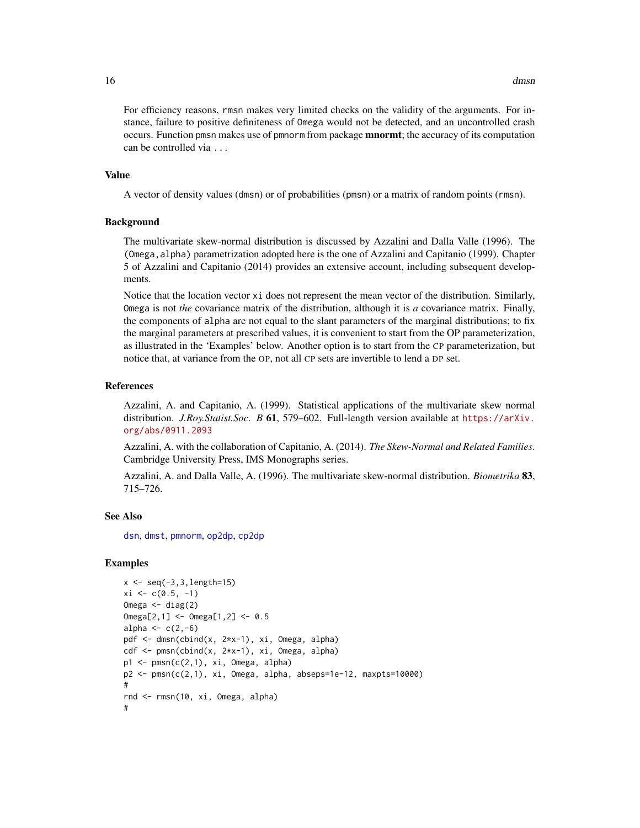For efficiency reasons, rmsn makes very limited checks on the validity of the arguments. For instance, failure to positive definiteness of Omega would not be detected, and an uncontrolled crash occurs. Function pmsn makes use of pmnorm from package **mnormt**; the accuracy of its computation can be controlled via ...

### Value

A vector of density values (dmsn) or of probabilities (pmsn) or a matrix of random points (rmsn).

#### Background

The multivariate skew-normal distribution is discussed by Azzalini and Dalla Valle (1996). The (Omega,alpha) parametrization adopted here is the one of Azzalini and Capitanio (1999). Chapter 5 of Azzalini and Capitanio (2014) provides an extensive account, including subsequent developments.

Notice that the location vector xi does not represent the mean vector of the distribution. Similarly, Omega is not *the* covariance matrix of the distribution, although it is *a* covariance matrix. Finally, the components of alpha are not equal to the slant parameters of the marginal distributions; to fix the marginal parameters at prescribed values, it is convenient to start from the OP parameterization, as illustrated in the 'Examples' below. Another option is to start from the CP parameterization, but notice that, at variance from the OP, not all CP sets are invertible to lend a DP set.

#### References

Azzalini, A. and Capitanio, A. (1999). Statistical applications of the multivariate skew normal distribution. *J.Roy.Statist.Soc. B* 61, 579–602. Full-length version available at [https://arXiv.](https://arXiv.org/abs/0911.2093) [org/abs/0911.2093](https://arXiv.org/abs/0911.2093)

Azzalini, A. with the collaboration of Capitanio, A. (2014). *The Skew-Normal and Related Families*. Cambridge University Press, IMS Monographs series.

Azzalini, A. and Dalla Valle, A. (1996). The multivariate skew-normal distribution. *Biometrika* 83, 715–726.

# See Also

[dsn](#page-22-1), [dmst](#page-16-1), [pmnorm](#page-0-0), [op2dp](#page-18-2), [cp2dp](#page-18-2)

### Examples

```
x \leq -\text{seq}(-3, 3, \text{length}=15)xi \leftarrow c(0.5, -1)Omega <- diag(2)
Omega[2,1] <- Omega[1,2] <- 0.5
alpha \leftarrow c(2,-6)pdf <- dmsn(cbind(x, 2*x-1), xi, Omega, alpha)
cdf <- pmsn(cbind(x, 2*x-1), xi, Omega, alpha)
p1 \leq -pmsn(c(2,1), xi, Omega, alpha)p2 <- pmsn(c(2,1), xi, Omega, alpha, abseps=1e-12, maxpts=10000)
#
rnd <- rmsn(10, xi, Omega, alpha)
#
```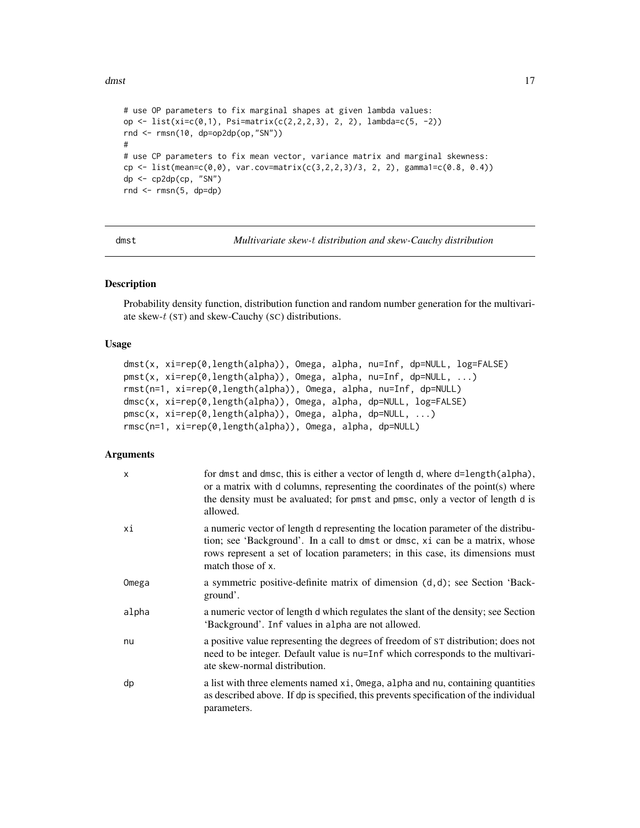<span id="page-16-0"></span>dmst two two states of the contract of the contract of the contract of the contract of the contract of the contract of the contract of the contract of the contract of the contract of the contract of the contract of the con

```
# use OP parameters to fix marginal shapes at given lambda values:
op <- list(xi=c(0,1), Psi=matrix(c(2,2,2,3), 2, 2), lambda=c(5, -2))
rnd <- rmsn(10, dp=op2dp(op,"SN"))
#
# use CP parameters to fix mean vector, variance matrix and marginal skewness:
cp <- list(mean=c(0,0), var.cov=matrix(c(3,2,2,3)/3, 2, 2), gamma1=c(0.8, 0.4))
dp \leftarrow cp2dp(ep, "SN")rnd <- rmsn(5, dp=dp)
```
<span id="page-16-1"></span>

dmst *Multivariate skew-*t *distribution and skew-Cauchy distribution*

### <span id="page-16-2"></span>Description

Probability density function, distribution function and random number generation for the multivariate skew- $t$  (ST) and skew-Cauchy (SC) distributions.

### Usage

```
dmst(x, xi=rep(0,length(alpha)), Omega, alpha, nu=Inf, dp=NULL, log=FALSE)
pmst(x, xi=rep(0,length(alpha)), Omega, alpha, nu=Inf, dp=NULL, ...)
rmst(n=1, xi=rep(0,length(alpha)), Omega, alpha, nu=Inf, dp=NULL)
dmsc(x, xi=rep(0,length(alpha)), Omega, alpha, dp=NULL, log=FALSE)
pmsc(x, xi=rep(0,length(alpha)), Omega, alpha, dp=NULL, ...)
rmsc(n=1, xi=rep(0,length(alpha)), Omega, alpha, dp=NULL)
```
### Arguments

| $\mathsf{x}$ | for dmst and dmsc, this is either a vector of length d, where d=length(alpha),<br>or a matrix with d columns, representing the coordinates of the point(s) where<br>the density must be avaluated; for pmst and pmsc, only a vector of length d is<br>allowed.           |
|--------------|--------------------------------------------------------------------------------------------------------------------------------------------------------------------------------------------------------------------------------------------------------------------------|
| хi           | a numeric vector of length d representing the location parameter of the distribu-<br>tion; see 'Background'. In a call to dmst or dmsc, xi can be a matrix, whose<br>rows represent a set of location parameters; in this case, its dimensions must<br>match those of x. |
| Omega        | a symmetric positive-definite matrix of dimension $(d,d)$ ; see Section 'Back-<br>ground'.                                                                                                                                                                               |
| alpha        | a numeric vector of length d which regulates the slant of the density; see Section<br>'Background'. Inf values in alpha are not allowed.                                                                                                                                 |
| nu           | a positive value representing the degrees of freedom of ST distribution; does not<br>need to be integer. Default value is nu=Inf which corresponds to the multivari-<br>ate skew-normal distribution.                                                                    |
| dp           | a list with three elements named xi, Omega, alpha and nu, containing quantities<br>as described above. If dp is specified, this prevents specification of the individual<br>parameters.                                                                                  |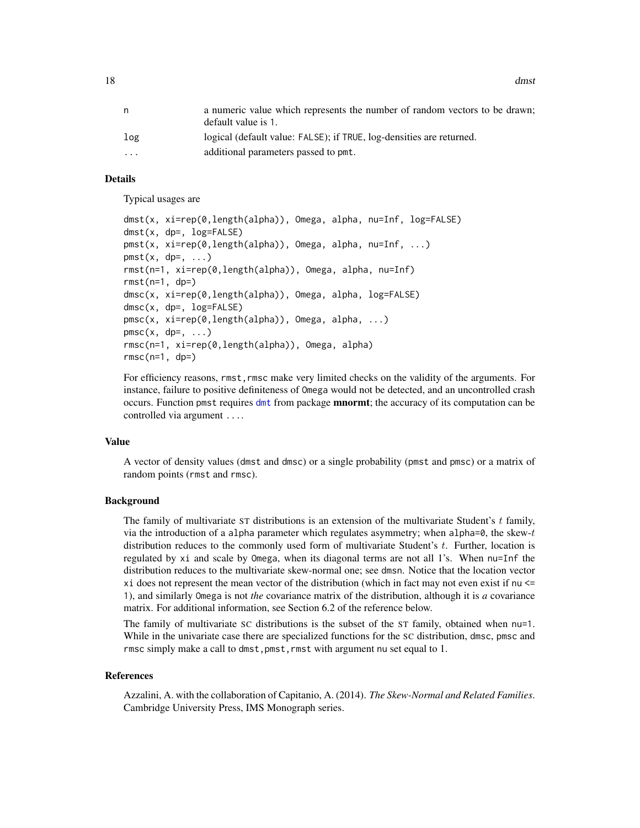18 dmst

|                         | a numeric value which represents the number of random vectors to be drawn;<br>default value is 1. |
|-------------------------|---------------------------------------------------------------------------------------------------|
| log                     | logical (default value: FALSE); if TRUE, log-densities are returned.                              |
| $\cdot$ $\cdot$ $\cdot$ | additional parameters passed to pmt.                                                              |
|                         |                                                                                                   |

### Details

Typical usages are

```
dmst(x, xi=rep(0,length(alpha)), Omega, alpha, nu=Inf, log=FALSE)
dmst(x, dp=, log=FALSE)
pmst(x, xi=rep(0,length(alpha)), Omega, alpha, nu=Inf, ...)
pmst(x, dp=, ...)rmst(n=1, xi=rep(0,length(alpha)), Omega, alpha, nu=Inf)
rmst(n=1, dp=)
dmsc(x, xi=rep(0,length(alpha)), Omega, alpha, log=FALSE)
dmsc(x, dp=, log=FALSE)
pmsc(x, xi=rep(0,length(alpha)), Omega, alpha, ...)
pmsc(x, dp=, ...)rmsc(n=1, xi=rep(0,length(alpha)), Omega, alpha)
rmsc(n=1, dp=)
```
For efficiency reasons, rmst, rmsc make very limited checks on the validity of the arguments. For instance, failure to positive definiteness of Omega would not be detected, and an uncontrolled crash occurs. Function pmst requires [dmt](#page-0-0) from package **mnormt**; the accuracy of its computation can be controlled via argument ....

### Value

A vector of density values (dmst and dmsc) or a single probability (pmst and pmsc) or a matrix of random points (rmst and rmsc).

### Background

The family of multivariate ST distributions is an extension of the multivariate Student's  $t$  family, via the introduction of a alpha parameter which regulates asymmetry; when alpha=0, the skew-t distribution reduces to the commonly used form of multivariate Student's  $t$ . Further, location is regulated by xi and scale by Omega, when its diagonal terms are not all 1's. When nu=Inf the distribution reduces to the multivariate skew-normal one; see dmsn. Notice that the location vector xi does not represent the mean vector of the distribution (which in fact may not even exist if nu <= 1), and similarly Omega is not *the* covariance matrix of the distribution, although it is *a* covariance matrix. For additional information, see Section 6.2 of the reference below.

The family of multivariate SC distributions is the subset of the ST family, obtained when nu=1. While in the univariate case there are specialized functions for the SC distribution, dmsc, pmsc and rmsc simply make a call to dmst,pmst,rmst with argument nu set equal to 1.

#### References

Azzalini, A. with the collaboration of Capitanio, A. (2014). *The Skew-Normal and Related Families*. Cambridge University Press, IMS Monograph series.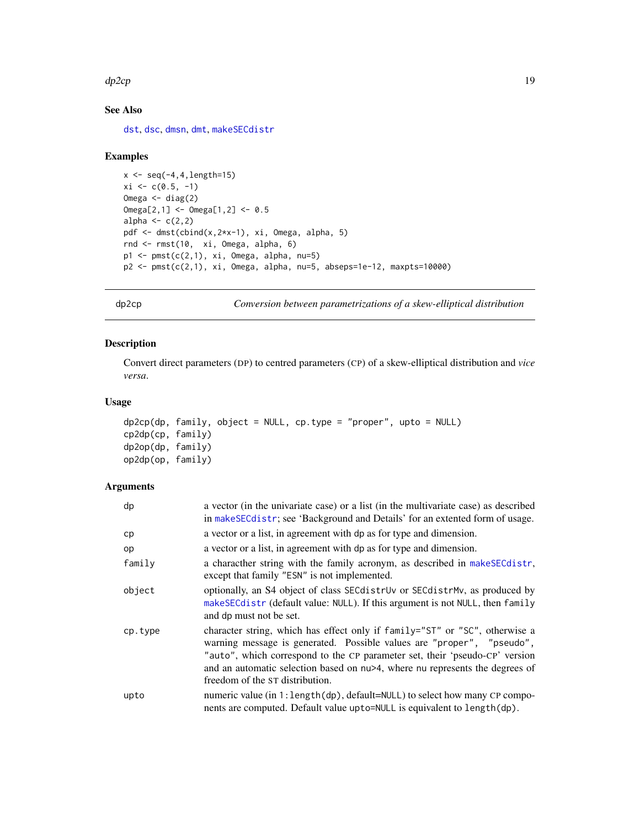#### <span id="page-18-0"></span> $dp2cp$  19

# See Also

[dst](#page-24-1), [dsc](#page-20-1), [dmsn](#page-14-1), [dmt](#page-0-0), [makeSECdistr](#page-31-1)

### Examples

```
x \leftarrow \text{seq}(-4, 4, \text{length}=15)xi \leftarrow c(0.5, -1)Omega <- diag(2)
Omega[2,1] <- Omega[1,2] <- 0.5
alpha \leftarrow c(2,2)
pdf <- dmst(cbind(x,2*x-1), xi, Omega, alpha, 5)
rnd <- rmst(10, xi, Omega, alpha, 6)
p1 \leftarrow pmst(c(2,1), xi, Omega, alpha, nu=5)p2 \leq -pmst(c(2,1), xi, Omega, alpha, nu=5, abseps=1e-12, maxpts=10000)
```
<span id="page-18-1"></span>dp2cp *Conversion between parametrizations of a skew-elliptical distribution*

# <span id="page-18-2"></span>Description

Convert direct parameters (DP) to centred parameters (CP) of a skew-elliptical distribution and *vice versa*.

# Usage

```
dp2cp(dp, family, object = NULL, cp-type = "proper", upto = NULL)cp2dp(cp, family)
dp2op(dp, family)
op2dp(op, family)
```
### Arguments

| dp      | a vector (in the univariate case) or a list (in the multivariate case) as described<br>in makeSECdistr; see 'Background and Details' for an extented form of usage.                                                                                                                                                                                    |
|---------|--------------------------------------------------------------------------------------------------------------------------------------------------------------------------------------------------------------------------------------------------------------------------------------------------------------------------------------------------------|
| cp      | a vector or a list, in agreement with dp as for type and dimension.                                                                                                                                                                                                                                                                                    |
| op      | a vector or a list, in agreement with dp as for type and dimension.                                                                                                                                                                                                                                                                                    |
| family  | a characther string with the family acronym, as described in make SEC distr,<br>except that family "ESN" is not implemented.                                                                                                                                                                                                                           |
| object  | optionally, an S4 object of class SEC distrution or SEC distriantly, as produced by<br>makeSECdistr (default value: NULL). If this argument is not NULL, then family<br>and dp must not be set.                                                                                                                                                        |
| cp.type | character string, which has effect only if family="ST" or "SC", otherwise a<br>warning message is generated. Possible values are "proper", "pseudo",<br>"auto", which correspond to the CP parameter set, their 'pseudo-CP' version<br>and an automatic selection based on nu>4, where nu represents the degrees of<br>freedom of the ST distribution. |
| upto    | numeric value (in 1: length (dp), default=NULL) to select how many CP compo-<br>nents are computed. Default value upto=NULL is equivalent to length(dp).                                                                                                                                                                                               |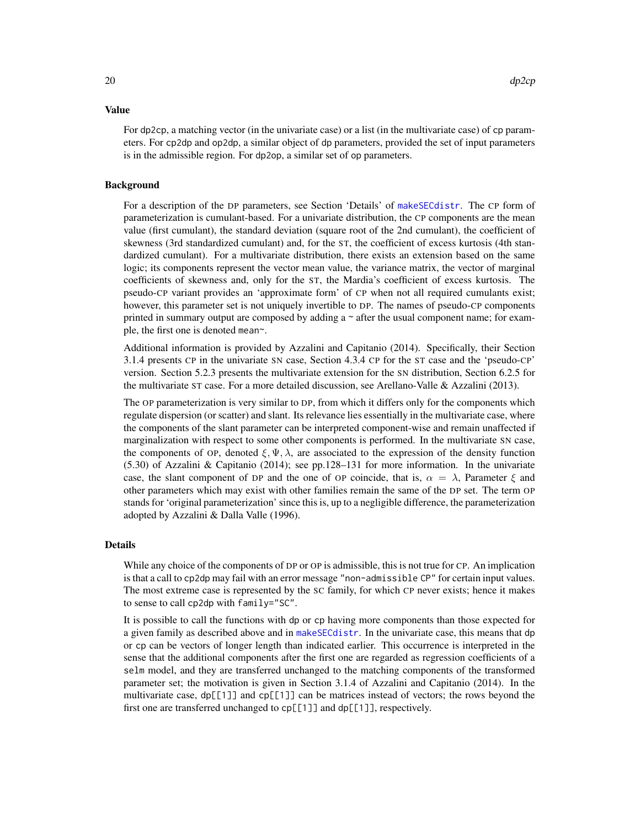For dp2cp, a matching vector (in the univariate case) or a list (in the multivariate case) of cp parameters. For cp2dp and op2dp, a similar object of dp parameters, provided the set of input parameters is in the admissible region. For dp2op, a similar set of op parameters.

#### Background

For a description of the DP parameters, see Section 'Details' of [makeSECdistr](#page-31-1). The CP form of parameterization is cumulant-based. For a univariate distribution, the CP components are the mean value (first cumulant), the standard deviation (square root of the 2nd cumulant), the coefficient of skewness (3rd standardized cumulant) and, for the ST, the coefficient of excess kurtosis (4th standardized cumulant). For a multivariate distribution, there exists an extension based on the same logic; its components represent the vector mean value, the variance matrix, the vector of marginal coefficients of skewness and, only for the ST, the Mardia's coefficient of excess kurtosis. The pseudo-CP variant provides an 'approximate form' of CP when not all required cumulants exist; however, this parameter set is not uniquely invertible to DP. The names of pseudo-CP components printed in summary output are composed by adding  $a \sim$  after the usual component name; for example, the first one is denoted mean~.

Additional information is provided by Azzalini and Capitanio (2014). Specifically, their Section 3.1.4 presents CP in the univariate SN case, Section 4.3.4 CP for the ST case and the 'pseudo-CP' version. Section 5.2.3 presents the multivariate extension for the SN distribution, Section 6.2.5 for the multivariate ST case. For a more detailed discussion, see Arellano-Valle & Azzalini (2013).

The OP parameterization is very similar to DP, from which it differs only for the components which regulate dispersion (or scatter) and slant. Its relevance lies essentially in the multivariate case, where the components of the slant parameter can be interpreted component-wise and remain unaffected if marginalization with respect to some other components is performed. In the multivariate SN case, the components of OP, denoted  $\xi, \Psi, \lambda$ , are associated to the expression of the density function (5.30) of Azzalini & Capitanio (2014); see pp.128–131 for more information. In the univariate case, the slant component of DP and the one of OP coincide, that is,  $\alpha = \lambda$ , Parameter  $\xi$  and other parameters which may exist with other families remain the same of the DP set. The term OP stands for 'original parameterization' since this is, up to a negligible difference, the parameterization adopted by Azzalini & Dalla Valle (1996).

#### Details

While any choice of the components of DP or OP is admissible, this is not true for CP. An implication is that a call to cp2dp may fail with an error message "non-admissible CP" for certain input values. The most extreme case is represented by the SC family, for which CP never exists; hence it makes to sense to call cp2dp with family="SC".

It is possible to call the functions with dp or cp having more components than those expected for a given family as described above and in [makeSECdistr](#page-31-1). In the univariate case, this means that dp or cp can be vectors of longer length than indicated earlier. This occurrence is interpreted in the sense that the additional components after the first one are regarded as regression coefficients of a selm model, and they are transferred unchanged to the matching components of the transformed parameter set; the motivation is given in Section 3.1.4 of Azzalini and Capitanio (2014). In the multivariate case,  $dp[[1]]$  and  $cp[[1]]$  can be matrices instead of vectors; the rows beyond the first one are transferred unchanged to cp[[1]] and dp[[1]], respectively.

### Value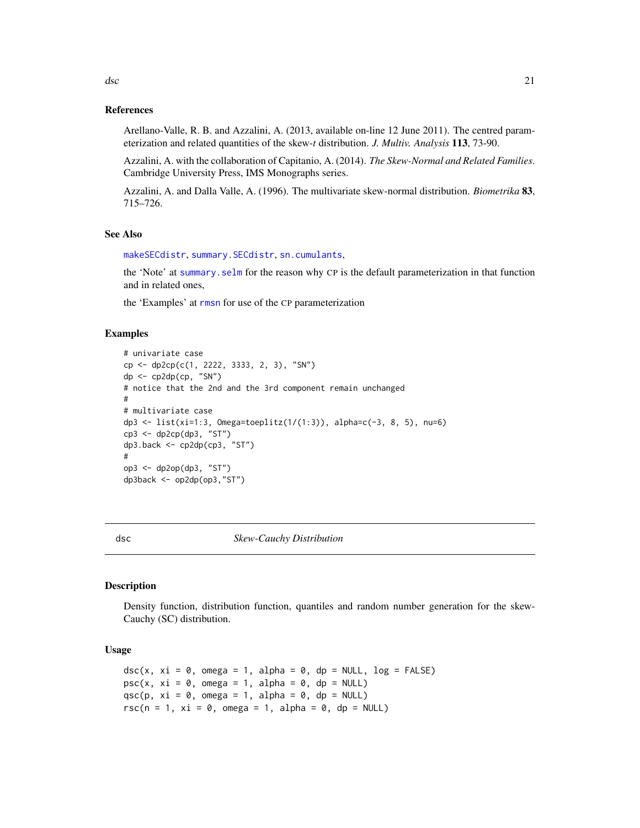# <span id="page-20-0"></span>References

Arellano-Valle, R. B. and Azzalini, A. (2013, available on-line 12 June 2011). The centred parameterization and related quantities of the skew-*t* distribution. *J. Multiv. Analysis* 113, 73-90.

Azzalini, A. with the collaboration of Capitanio, A. (2014). *The Skew-Normal and Related Families*. Cambridge University Press, IMS Monographs series.

Azzalini, A. and Dalla Valle, A. (1996). The multivariate skew-normal distribution. *Biometrika* 83, 715–726.

### See Also

[makeSECdistr](#page-31-1), [summary.SECdistr](#page-74-1), [sn.cumulants](#page-69-1),

the 'Note' at [summary.selm](#page-78-1) for the reason why CP is the default parameterization in that function and in related ones,

the 'Examples' at [rmsn](#page-14-2) for use of the CP parameterization

### Examples

```
# univariate case
cp <- dp2cp(c(1, 2222, 3333, 2, 3), "SN")
dp \leftarrow cp2dp(ep, "SN")# notice that the 2nd and the 3rd component remain unchanged
#
# multivariate case
dp3 <- list(xi=1:3, Omega=toeplitz(1/(1:3)), alpha=c(-3, 8, 5), nu=6)
cp3 <- dp2cp(dp3, "ST")
dp3.back <- cp2dp(cp3, "ST")
#
op3 <- dp2op(dp3, "ST")
dp3back <- op2dp(op3,"ST")
```
<span id="page-20-1"></span>

dsc *Skew-Cauchy Distribution*

# Description

Density function, distribution function, quantiles and random number generation for the skew-Cauchy (SC) distribution.

# Usage

```
dsc(x, xi = 0, omega = 1, alpha = 0, dp = NULL, log = FALSE)psc(x, xi = 0, omega = 1, alpha = 0, dp = NULL)qsc(p, xi = 0, omega = 1, alpha = 0, dp = NULL)
rsc(n = 1, xi = 0, omega = 1, alpha = 0, dp = NULL)
```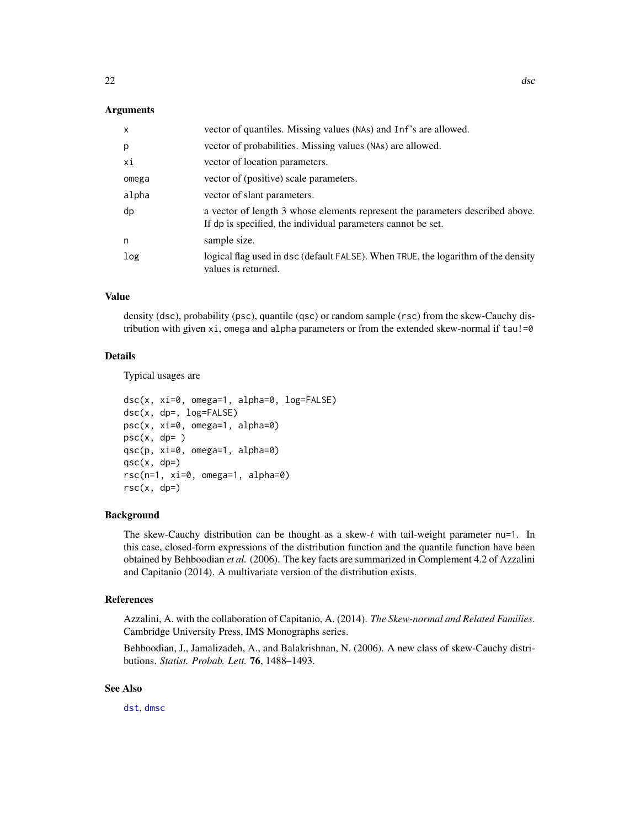### Arguments

| $\mathsf{x}$ | vector of quantiles. Missing values (NAs) and Inf's are allowed.                                                                              |
|--------------|-----------------------------------------------------------------------------------------------------------------------------------------------|
| p            | vector of probabilities. Missing values (NAs) are allowed.                                                                                    |
| хi           | vector of location parameters.                                                                                                                |
| omega        | vector of (positive) scale parameters.                                                                                                        |
| alpha        | vector of slant parameters.                                                                                                                   |
| dp           | a vector of length 3 whose elements represent the parameters described above.<br>If dp is specified, the individual parameters cannot be set. |
| n            | sample size.                                                                                                                                  |
| log          | logical flag used in dsc (default FALSE). When TRUE, the logarithm of the density<br>values is returned.                                      |

# Value

density (dsc), probability (psc), quantile (qsc) or random sample (rsc) from the skew-Cauchy distribution with given  $xi$ , omega and alpha parameters or from the extended skew-normal if  $tau$ !=0

### Details

Typical usages are

```
dsc(x, xi=0, omega=1, alpha=0, log=FALSE)
dsc(x, dp=, log=FALSE)
psc(x, xi=0, omega=1, alpha=0)
psc(x, dp= )qsc(p, xi=0, omega=1, alpha=0)
qsc(x, dp=)rsc(n=1, xi=0, omega=1, alpha=0)
rsc(x, dp=)
```
### Background

The skew-Cauchy distribution can be thought as a skew- $t$  with tail-weight parameter nu=1. In this case, closed-form expressions of the distribution function and the quantile function have been obtained by Behboodian *et al.* (2006). The key facts are summarized in Complement 4.2 of Azzalini and Capitanio (2014). A multivariate version of the distribution exists.

### References

Azzalini, A. with the collaboration of Capitanio, A. (2014). *The Skew-normal and Related Families*. Cambridge University Press, IMS Monographs series.

Behboodian, J., Jamalizadeh, A., and Balakrishnan, N. (2006). A new class of skew-Cauchy distributions. *Statist. Probab. Lett.* 76, 1488–1493.

# See Also

[dst](#page-24-1), [dmsc](#page-16-2)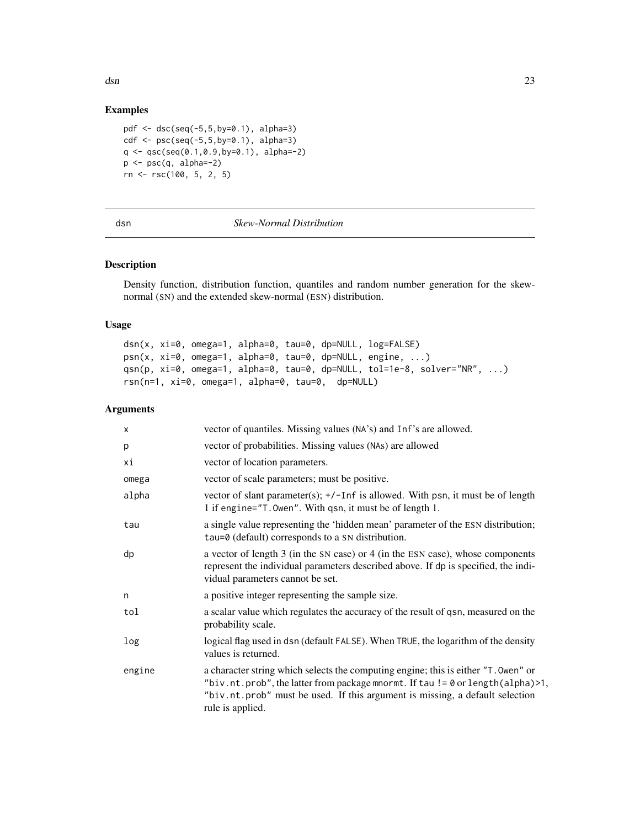<span id="page-22-0"></span> $\Delta$ dsn  $\Delta$ 33

# Examples

```
pdf <- dsc(seq(-5,5,by=0.1), alpha=3)
cdf \leq psc(seq(-5,5,by=0.1), alpha=3)
q \leftarrow \text{qsc}(\text{seq}(0.1, 0.9, \text{by=0.1}), \text{ alpha=-2})p \leftarrow psc(q, alpha=-2)rn <- rsc(100, 5, 2, 5)
```
# <span id="page-22-1"></span>dsn *Skew-Normal Distribution*

# Description

Density function, distribution function, quantiles and random number generation for the skewnormal (SN) and the extended skew-normal (ESN) distribution.

# Usage

```
dsn(x, xi=0, omega=1, alpha=0, tau=0, dp=NULL, log=FALSE)
psn(x, xi=0, omega=1, alpha=0, tau=0, dp=NULL, engine, ...)
qsn(p, xi=0, omega=1, alpha=0, tau=0, dp=NULL, tol=1e-8, solver="NR", ...)
rsn(n=1, xi=0, omega=1, alpha=0, tau=0, dp=NULL)
```
## Arguments

| X      | vector of quantiles. Missing values (NA's) and Inf's are allowed.                                                                                                                                                                                                        |
|--------|--------------------------------------------------------------------------------------------------------------------------------------------------------------------------------------------------------------------------------------------------------------------------|
| р      | vector of probabilities. Missing values (NAs) are allowed                                                                                                                                                                                                                |
| хi     | vector of location parameters.                                                                                                                                                                                                                                           |
| omega  | vector of scale parameters; must be positive.                                                                                                                                                                                                                            |
| alpha  | vector of slant parameter(s); +/-Inf is allowed. With psn, it must be of length<br>1 if engine="T. Owen". With qsn, it must be of length 1.                                                                                                                              |
| tau    | a single value representing the 'hidden mean' parameter of the ESN distribution;<br>tau=0 (default) corresponds to a SN distribution.                                                                                                                                    |
| dp     | a vector of length 3 (in the SN case) or 4 (in the ESN case), whose components<br>represent the individual parameters described above. If dp is specified, the indi-<br>vidual parameters cannot be set.                                                                 |
| n      | a positive integer representing the sample size.                                                                                                                                                                                                                         |
| tol    | a scalar value which regulates the accuracy of the result of qsn, measured on the<br>probability scale.                                                                                                                                                                  |
| log    | logical flag used in dsn (default FALSE). When TRUE, the logarithm of the density<br>values is returned.                                                                                                                                                                 |
| engine | a character string which selects the computing engine; this is either "T. Owen" or<br>"biv.nt.prob", the latter from package mnormt. If tau != 0 or length(alpha)>1,<br>"biv.nt.prob" must be used. If this argument is missing, a default selection<br>rule is applied. |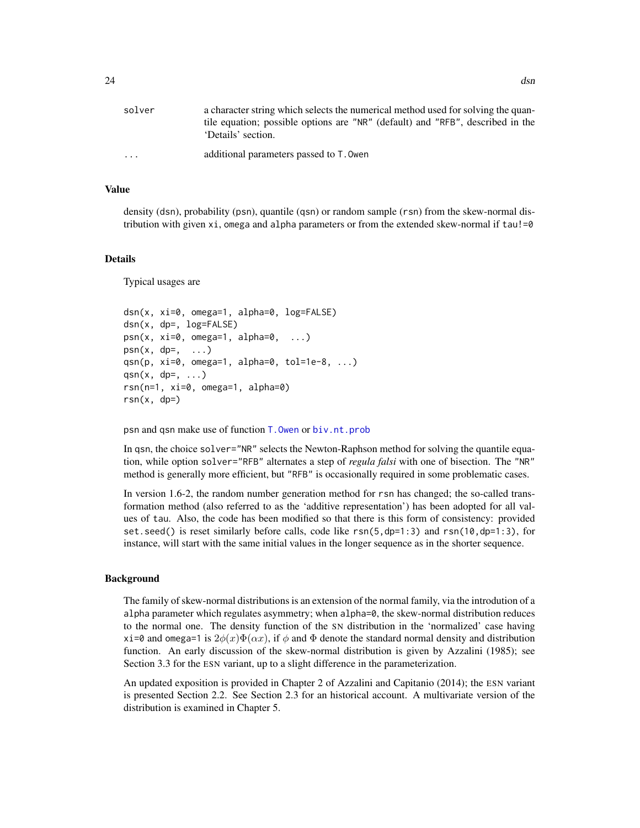### Value

density (dsn), probability (psn), quantile (qsn) or random sample (rsn) from the skew-normal distribution with given  $xi$ , omega and alpha parameters or from the extended skew-normal if  $tau$ !=0

#### Details

Typical usages are

```
dsn(x, xi=0, omega=1, alpha=0, log=FALSE)
dsn(x, dp=, log=FALSE)
psn(x, xi=0, \text{omega}=1, \text{alpha}=0, \ldots)psn(x, dp=, \ldots)qsn(p, xi=0, omega=1, alpha=0, tol=1e-8, ...)
qsn(x, dp=, ...)rsn(n=1, xi=0, omega=1, alpha=0)
rsn(x, dp=)
```
psn and qsn make use of function [T.Owen](#page-93-1) or [biv.nt.prob](#page-0-0)

In qsn, the choice solver="NR" selects the Newton-Raphson method for solving the quantile equation, while option solver="RFB" alternates a step of *regula falsi* with one of bisection. The "NR" method is generally more efficient, but "RFB" is occasionally required in some problematic cases.

In version 1.6-2, the random number generation method for rsn has changed; the so-called transformation method (also referred to as the 'additive representation') has been adopted for all values of tau. Also, the code has been modified so that there is this form of consistency: provided set.seed() is reset similarly before calls, code like rsn(5,dp=1:3) and rsn(10,dp=1:3), for instance, will start with the same initial values in the longer sequence as in the shorter sequence.

#### Background

The family of skew-normal distributions is an extension of the normal family, via the introdution of a alpha parameter which regulates asymmetry; when alpha=0, the skew-normal distribution reduces to the normal one. The density function of the SN distribution in the 'normalized' case having xi=0 and omega=1 is  $2\phi(x)\Phi(\alpha x)$ , if  $\phi$  and  $\Phi$  denote the standard normal density and distribution function. An early discussion of the skew-normal distribution is given by Azzalini (1985); see Section 3.3 for the ESN variant, up to a slight difference in the parameterization.

An updated exposition is provided in Chapter 2 of Azzalini and Capitanio (2014); the ESN variant is presented Section 2.2. See Section 2.3 for an historical account. A multivariate version of the distribution is examined in Chapter 5.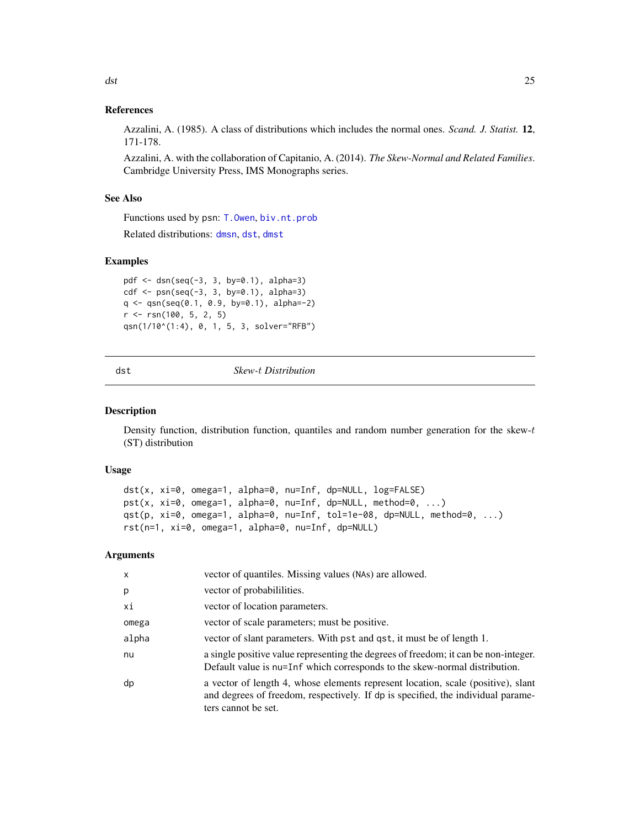# <span id="page-24-0"></span>References

Azzalini, A. (1985). A class of distributions which includes the normal ones. *Scand. J. Statist.* 12, 171-178.

Azzalini, A. with the collaboration of Capitanio, A. (2014). *The Skew-Normal and Related Families*. Cambridge University Press, IMS Monographs series.

### See Also

Functions used by psn: [T.Owen](#page-93-1), [biv.nt.prob](#page-0-0)

Related distributions: [dmsn](#page-14-1), [dst](#page-24-1), [dmst](#page-16-1)

### Examples

```
pdf <- dsn(seq(-3, 3, by=0.1), alpha=3)
cdf \leq psn(seq(-3, 3, by=0.1), alpha=3)q <- qsn(seq(0.1, 0.9, by=0.1), alpha=-2)
r <- rsn(100, 5, 2, 5)
qsn(1/10^(1:4), 0, 1, 5, 3, solver="RFB")
```
### <span id="page-24-1"></span>dst *Skew-*t *Distribution*

#### Description

Density function, distribution function, quantiles and random number generation for the skew-t (ST) distribution

### Usage

```
dst(x, xi=0, omega=1, alpha=0, nu=Inf, dp=NULL, log=FALSE)
pst(x, xi=0, omega=1, alpha=0, nu=Inf, dp=NULL, method=0, ...)
qst(p, xi=0, omega=1, alpha=0, nu=Inf, tol=1e-08, dp=NULL, method=0, ...)
rst(n=1, xi=0, omega=1, alpha=0, nu=Inf, dp=NULL)
```
### Arguments

| x     | vector of quantiles. Missing values (NAs) are allowed.                                                                                                                                      |
|-------|---------------------------------------------------------------------------------------------------------------------------------------------------------------------------------------------|
| p     | vector of probabililities.                                                                                                                                                                  |
| хi    | vector of location parameters.                                                                                                                                                              |
| omega | vector of scale parameters; must be positive.                                                                                                                                               |
| alpha | vector of slant parameters. With pst and qst, it must be of length 1.                                                                                                                       |
| nu    | a single positive value representing the degrees of freedom; it can be non-integer.<br>Default value is nu=Inf which corresponds to the skew-normal distribution.                           |
| dp    | a vector of length 4, whose elements represent location, scale (positive), slant<br>and degrees of freedom, respectively. If dp is specified, the individual parame-<br>ters cannot be set. |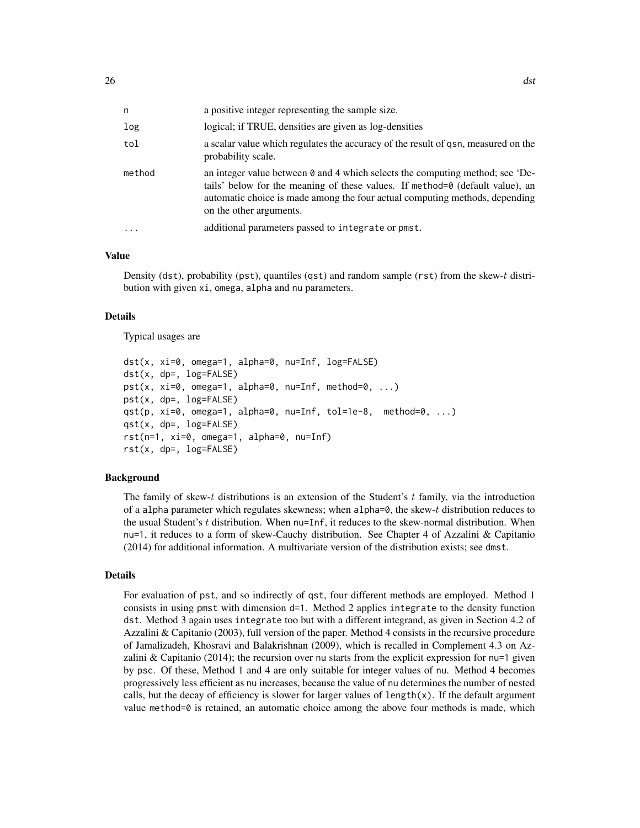| n      | a positive integer representing the sample size.                                                                                                                                                                                                                                |
|--------|---------------------------------------------------------------------------------------------------------------------------------------------------------------------------------------------------------------------------------------------------------------------------------|
| log    | logical; if TRUE, densities are given as log-densities                                                                                                                                                                                                                          |
| tol    | a scalar value which regulates the accuracy of the result of qsn, measured on the<br>probability scale.                                                                                                                                                                         |
| method | an integer value between $\theta$ and 4 which selects the computing method; see 'De-<br>tails' below for the meaning of these values. If method=0 (default value), an<br>automatic choice is made among the four actual computing methods, depending<br>on the other arguments. |
| .      | additional parameters passed to integrate or pmst.                                                                                                                                                                                                                              |

#### Value

Density (dst), probability (pst), quantiles (qst) and random sample (rst) from the skew-t distribution with given xi, omega, alpha and nu parameters.

#### Details

Typical usages are

```
dst(x, xi=0, omega=1, alpha=0, nu=Inf, log=FALSE)
dst(x, dp=, log=FALSE)
pst(x, xi=0, omega=1, alpha=0, nu=Inf, method=0, ...)
pst(x, dp=, log=FALSE)
qst(p, xi=0, omega=1, alpha=0, nu=Inf, tol=1e-8, method=0, ...)
qst(x, dp=, log=FALSE)
rst(n=1, xi=0, omega=1, alpha=0, nu=Inf)
rst(x, dp=, log=FALSE)
```
#### Background

The family of skew-t distributions is an extension of the Student's  $t$  family, via the introduction of a alpha parameter which regulates skewness; when alpha=0, the skew-t distribution reduces to the usual Student's t distribution. When nu=Inf, it reduces to the skew-normal distribution. When nu=1, it reduces to a form of skew-Cauchy distribution. See Chapter 4 of Azzalini & Capitanio (2014) for additional information. A multivariate version of the distribution exists; see dmst.

# Details

For evaluation of pst, and so indirectly of qst, four different methods are employed. Method 1 consists in using pmst with dimension d=1. Method 2 applies integrate to the density function dst. Method 3 again uses integrate too but with a different integrand, as given in Section 4.2 of Azzalini & Capitanio (2003), full version of the paper. Method 4 consists in the recursive procedure of Jamalizadeh, Khosravi and Balakrishnan (2009), which is recalled in Complement 4.3 on Azzalini & Capitanio (2014); the recursion over nu starts from the explicit expression for nu=1 given by psc. Of these, Method 1 and 4 are only suitable for integer values of nu. Method 4 becomes progressively less efficient as nu increases, because the value of nu determines the number of nested calls, but the decay of efficiency is slower for larger values of length $(x)$ . If the default argument value method= $0$  is retained, an automatic choice among the above four methods is made, which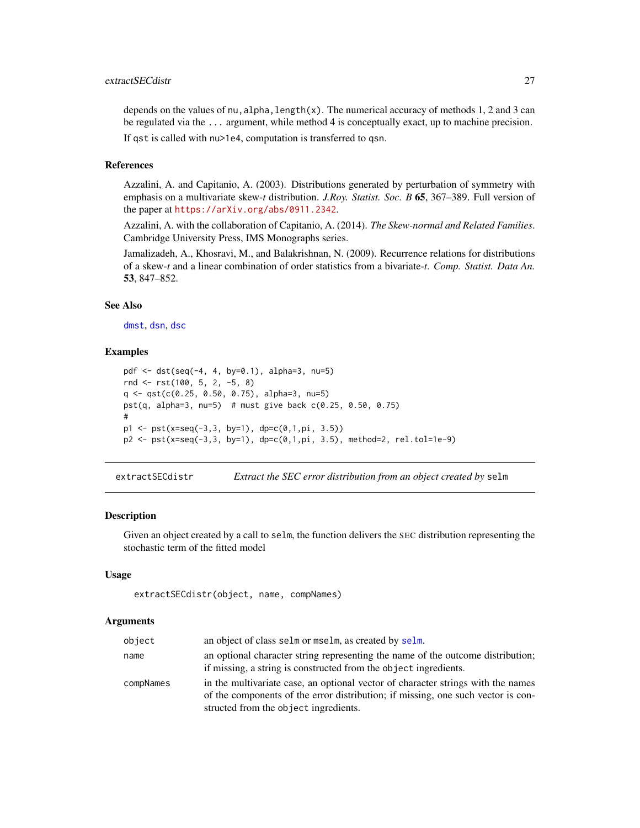# <span id="page-26-0"></span>extractSECdistr 27

depends on the values of nu, alpha, length(x). The numerical accuracy of methods 1, 2 and 3 can be regulated via the ... argument, while method 4 is conceptually exact, up to machine precision. If qst is called with nu>1e4, computation is transferred to qsn.

### References

Azzalini, A. and Capitanio, A. (2003). Distributions generated by perturbation of symmetry with emphasis on a multivariate skew-*t* distribution. *J.Roy. Statist. Soc. B* 65, 367–389. Full version of the paper at <https://arXiv.org/abs/0911.2342>.

Azzalini, A. with the collaboration of Capitanio, A. (2014). *The Skew-normal and Related Families*. Cambridge University Press, IMS Monographs series.

Jamalizadeh, A., Khosravi, M., and Balakrishnan, N. (2009). Recurrence relations for distributions of a skew-*t* and a linear combination of order statistics from a bivariate-*t*. *Comp. Statist. Data An.* 53, 847–852.

### See Also

[dmst](#page-16-1), [dsn](#page-22-1), [dsc](#page-20-1)

### Examples

```
pdf <- dst(seq(-4, 4, by=0.1), alpha=3, nu=5)
rnd <- rst(100, 5, 2, -5, 8)
q <- qst(c(0.25, 0.50, 0.75), alpha=3, nu=5)
pst(q, alpha=3, nu=5) # must give back c(0.25, 0.50, 0.75)
#
p1 \leq -pst(x=seq(-3,3, by=1), dp=c(0,1,pi, 3.5))p2 <- pst(x=seq(-3,3, by=1), dp=c(0,1,pi, 3.5), method=2, rel.tol=1e-9)
```
<span id="page-26-1"></span>extractSECdistr *Extract the SEC error distribution from an object created by* selm

### Description

Given an object created by a call to selm, the function delivers the SEC distribution representing the stochastic term of the fitted model

# Usage

```
extractSECdistr(object, name, compNames)
```
#### Arguments

| object    | an object of class selm or mselm, as created by selm.                                                                                                                                                         |
|-----------|---------------------------------------------------------------------------------------------------------------------------------------------------------------------------------------------------------------|
| name      | an optional character string representing the name of the outcome distribution;<br>if missing, a string is constructed from the object ingredients.                                                           |
| compNames | in the multivariate case, an optional vector of character strings with the names<br>of the components of the error distribution; if missing, one such vector is con-<br>structed from the object ingredients. |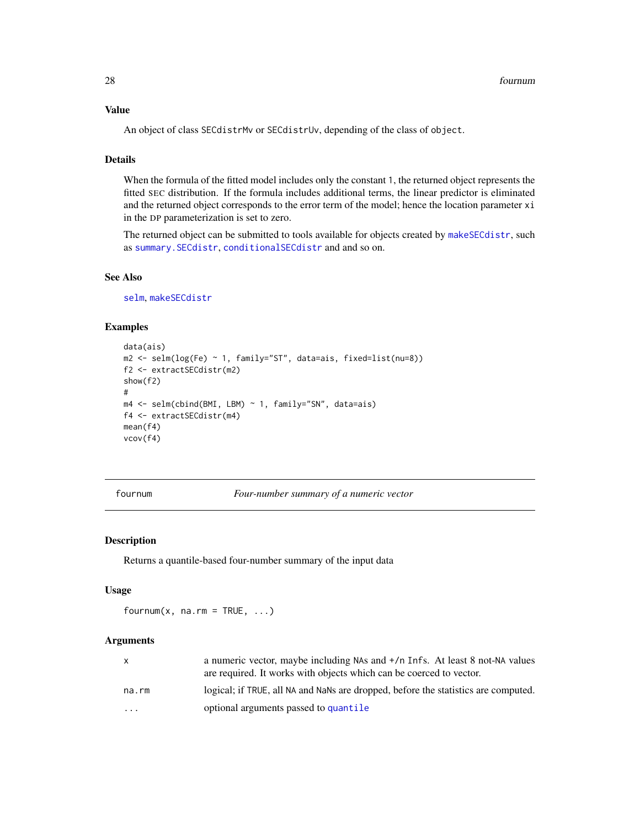# <span id="page-27-0"></span>Value

An object of class SECdistrMv or SECdistrUv, depending of the class of object.

### Details

When the formula of the fitted model includes only the constant 1, the returned object represents the fitted SEC distribution. If the formula includes additional terms, the linear predictor is eliminated and the returned object corresponds to the error term of the model; hence the location parameter xi in the DP parameterization is set to zero.

The returned object can be submitted to tools available for objects created by [makeSECdistr](#page-31-1), such as [summary.SECdistr](#page-74-1), [conditionalSECdistr](#page-8-1) and and so on.

# See Also

[selm](#page-57-1), [makeSECdistr](#page-31-1)

# Examples

```
data(ais)
m2 \le selm(log(Fe) \sim 1, family="ST", data=ais, fixed=list(nu=8))
f2 <- extractSECdistr(m2)
show(f2)
#
m4 <- selm(cbind(BMI, LBM) ~ 1, family="SN", data=ais)
f4 <- extractSECdistr(m4)
mean(f4)
vcov(f4)
```
<span id="page-27-1"></span>fournum *Four-number summary of a numeric vector*

# Description

Returns a quantile-based four-number summary of the input data

#### Usage

fournum $(x, na.rm = TRUE, ...)$ 

#### Arguments

|                         | a numeric vector, maybe including NAs and $+$ /n Infs. At least 8 not-NA values<br>are required. It works with objects which can be coerced to vector. |
|-------------------------|--------------------------------------------------------------------------------------------------------------------------------------------------------|
| na.rm                   | logical; if TRUE, all NA and NaNs are dropped, before the statistics are computed.                                                                     |
| $\cdot$ $\cdot$ $\cdot$ | optional arguments passed to quantile                                                                                                                  |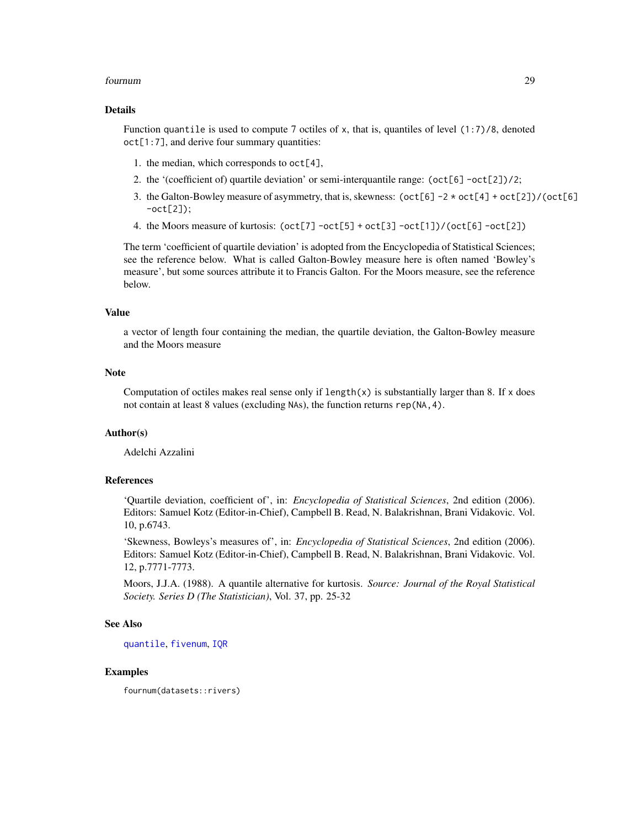#### fournum 29

### Details

Function quantile is used to compute 7 octiles of x, that is, quantiles of level  $(1:7)/8$ , denoted oct[1:7], and derive four summary quantities:

- 1. the median, which corresponds to  $oct[4]$ ,
- 2. the '(coefficient of) quartile deviation' or semi-interquantile range: (oct[6] -oct[2])/2;
- 3. the Galton-Bowley measure of asymmetry, that is, skewness:  $(\cot[6] 2 \times \cot[4] + \cot[2]) / (\cot[6])$ -oct[2]);
- 4. the Moors measure of kurtosis: (oct[7] -oct[5] + oct[3] -oct[1])/(oct[6] -oct[2])

The term 'coefficient of quartile deviation' is adopted from the Encyclopedia of Statistical Sciences; see the reference below. What is called Galton-Bowley measure here is often named 'Bowley's measure', but some sources attribute it to Francis Galton. For the Moors measure, see the reference below.

### Value

a vector of length four containing the median, the quartile deviation, the Galton-Bowley measure and the Moors measure

### **Note**

Computation of octiles makes real sense only if  $length(x)$  is substantially larger than 8. If x does not contain at least 8 values (excluding NAs), the function returns rep(NA,4).

#### Author(s)

Adelchi Azzalini

### References

'Quartile deviation, coefficient of', in: *Encyclopedia of Statistical Sciences*, 2nd edition (2006). Editors: Samuel Kotz (Editor-in-Chief), Campbell B. Read, N. Balakrishnan, Brani Vidakovic. Vol. 10, p.6743.

'Skewness, Bowleys's measures of', in: *Encyclopedia of Statistical Sciences*, 2nd edition (2006). Editors: Samuel Kotz (Editor-in-Chief), Campbell B. Read, N. Balakrishnan, Brani Vidakovic. Vol. 12, p.7771-7773.

Moors, J.J.A. (1988). A quantile alternative for kurtosis. *Source: Journal of the Royal Statistical Society. Series D (The Statistician)*, Vol. 37, pp. 25-32

### See Also

[quantile](#page-0-0), [fivenum](#page-0-0), [IQR](#page-0-0)

# **Examples**

fournum(datasets::rivers)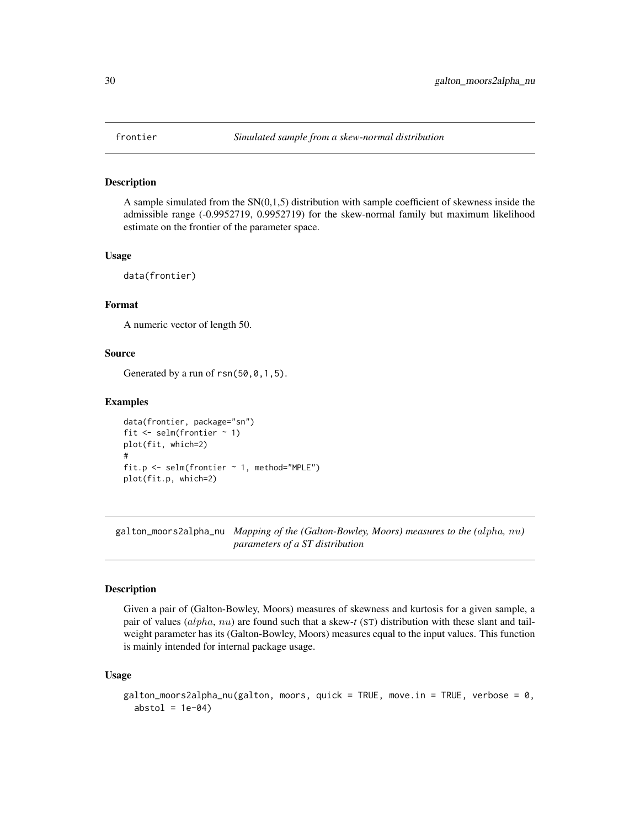<span id="page-29-0"></span>

#### Description

A sample simulated from the  $SN(0,1,5)$  distribution with sample coefficient of skewness inside the admissible range (-0.9952719, 0.9952719) for the skew-normal family but maximum likelihood estimate on the frontier of the parameter space.

#### Usage

data(frontier)

# Format

A numeric vector of length 50.

### Source

Generated by a run of  $rsn(50, 0, 1, 5)$ .

### Examples

```
data(frontier, package="sn")
fit \le selm(frontier \sim 1)
plot(fit, which=2)
#
fit.p \le - selm(frontier \sim 1, method="MPLE")
plot(fit.p, which=2)
```
galton\_moors2alpha\_nu *Mapping of the (Galton-Bowley, Moors) measures to the (*alpha*,* nu*) parameters of a ST distribution*

#### Description

Given a pair of (Galton-Bowley, Moors) measures of skewness and kurtosis for a given sample, a pair of values (alpha, nu) are found such that a skew-*t* (ST) distribution with these slant and tailweight parameter has its (Galton-Bowley, Moors) measures equal to the input values. This function is mainly intended for internal package usage.

#### Usage

```
galton_moors2alpha_nu(galton, moors, quick = TRUE, move.in = TRUE, verbose = 0,
 abstol = 1e-04
```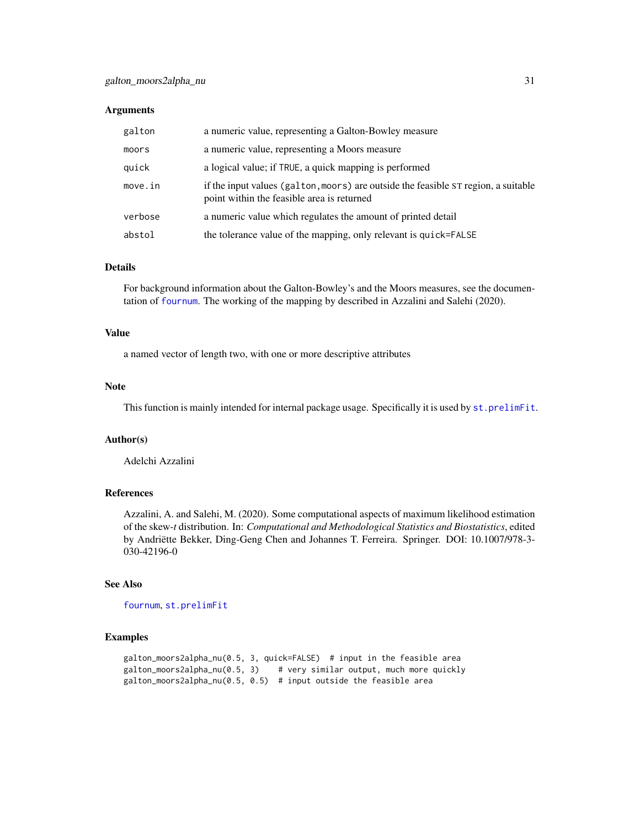#### **Arguments**

| galton  | a numeric value, representing a Galton-Bowley measure                                                                            |
|---------|----------------------------------------------------------------------------------------------------------------------------------|
| moors   | a numeric value, representing a Moors measure                                                                                    |
| quick   | a logical value; if TRUE, a quick mapping is performed                                                                           |
| move.in | if the input values (galton, moors) are outside the feasible ST region, a suitable<br>point within the feasible area is returned |
| verbose | a numeric value which regulates the amount of printed detail                                                                     |
| abstol  | the tolerance value of the mapping, only relevant is quick=FALSE                                                                 |

#### Details

For background information about the Galton-Bowley's and the Moors measures, see the documentation of [fournum](#page-27-1). The working of the mapping by described in Azzalini and Salehi (2020).

### Value

a named vector of length two, with one or more descriptive attributes

# Note

This function is mainly intended for internal package usage. Specifically it is used by [st.prelimFit](#page-72-1).

# Author(s)

Adelchi Azzalini

# References

Azzalini, A. and Salehi, M. (2020). Some computational aspects of maximum likelihood estimation of the skew-*t* distribution. In: *Computational and Methodological Statistics and Biostatistics*, edited by Andriëtte Bekker, Ding-Geng Chen and Johannes T. Ferreira. Springer. DOI: 10.1007/978-3- 030-42196-0

# See Also

[fournum](#page-27-1), [st.prelimFit](#page-72-1)

# Examples

```
galton_moors2alpha_nu(0.5, 3, quick=FALSE) # input in the feasible area
galton_moors2alpha_nu(0.5, 3) # very similar output, much more quickly
galton_moors2alpha_nu(0.5, 0.5) # input outside the feasible area
```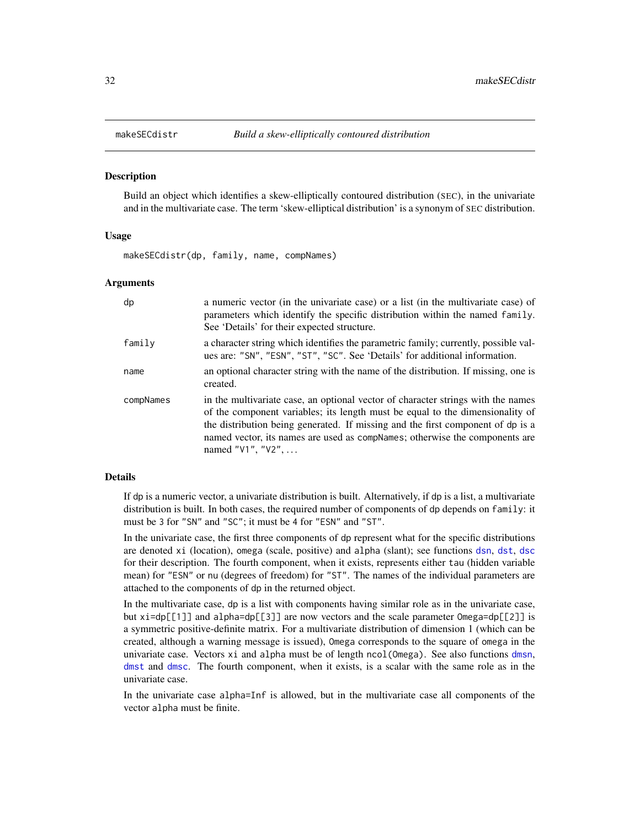<span id="page-31-1"></span><span id="page-31-0"></span>

#### **Description**

Build an object which identifies a skew-elliptically contoured distribution (SEC), in the univariate and in the multivariate case. The term 'skew-elliptical distribution' is a synonym of SEC distribution.

### Usage

makeSECdistr(dp, family, name, compNames)

#### Arguments

| dp        | a numeric vector (in the univariate case) or a list (in the multivariate case) of<br>parameters which identify the specific distribution within the named family.<br>See 'Details' for their expected structure.                                                                                                                                                 |
|-----------|------------------------------------------------------------------------------------------------------------------------------------------------------------------------------------------------------------------------------------------------------------------------------------------------------------------------------------------------------------------|
| family    | a character string which identifies the parametric family; currently, possible val-<br>ues are: "SN", "ESN", "ST", "SC". See 'Details' for additional information.                                                                                                                                                                                               |
| name      | an optional character string with the name of the distribution. If missing, one is<br>created.                                                                                                                                                                                                                                                                   |
| compNames | in the multivariate case, an optional vector of character strings with the names<br>of the component variables; its length must be equal to the dimensionality of<br>the distribution being generated. If missing and the first component of dp is a<br>named vector, its names are used as compNames; otherwise the components are<br>named " $V1$ ", " $V2$ ", |

#### Details

If dp is a numeric vector, a univariate distribution is built. Alternatively, if dp is a list, a multivariate distribution is built. In both cases, the required number of components of dp depends on family: it must be 3 for "SN" and "SC"; it must be 4 for "ESN" and "ST".

In the univariate case, the first three components of dp represent what for the specific distributions are denoted xi (location), omega (scale, positive) and alpha (slant); see functions [dsn](#page-22-1), [dst](#page-24-1), [dsc](#page-20-1) for their description. The fourth component, when it exists, represents either tau (hidden variable mean) for "ESN" or nu (degrees of freedom) for "ST". The names of the individual parameters are attached to the components of dp in the returned object.

In the multivariate case, dp is a list with components having similar role as in the univariate case, but xi=dp[[1]] and alpha=dp[[3]] are now vectors and the scale parameter Omega=dp[[2]] is a symmetric positive-definite matrix. For a multivariate distribution of dimension 1 (which can be created, although a warning message is issued), Omega corresponds to the square of omega in the univariate case. Vectors xi and alpha must be of length ncol(Omega). See also functions [dmsn](#page-14-1), [dmst](#page-16-1) and [dmsc](#page-16-2). The fourth component, when it exists, is a scalar with the same role as in the univariate case.

In the univariate case alpha=Inf is allowed, but in the multivariate case all components of the vector alpha must be finite.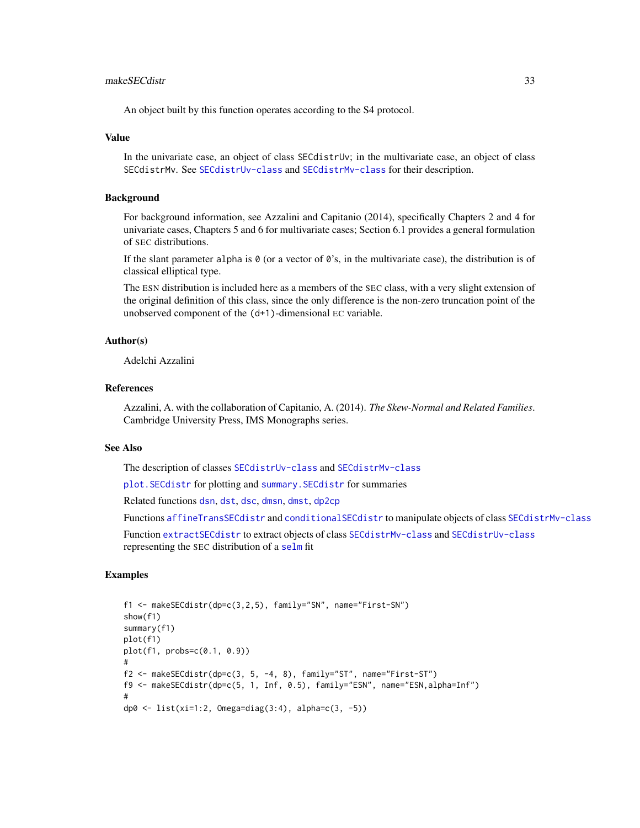# makeSECdistr 33

An object built by this function operates according to the S4 protocol.

#### Value

In the univariate case, an object of class SECdistrUv; in the multivariate case, an object of class SECdistrMv. See [SECdistrUv-class](#page-56-1) and [SECdistrMv-class](#page-55-1) for their description.

### Background

For background information, see Azzalini and Capitanio (2014), specifically Chapters 2 and 4 for univariate cases, Chapters 5 and 6 for multivariate cases; Section 6.1 provides a general formulation of SEC distributions.

If the slant parameter alpha is  $\theta$  (or a vector of  $\theta$ 's, in the multivariate case), the distribution is of classical elliptical type.

The ESN distribution is included here as a members of the SEC class, with a very slight extension of the original definition of this class, since the only difference is the non-zero truncation point of the unobserved component of the (d+1)-dimensional EC variable.

### Author(s)

Adelchi Azzalini

### **References**

Azzalini, A. with the collaboration of Capitanio, A. (2014). *The Skew-Normal and Related Families*. Cambridge University Press, IMS Monographs series.

### See Also

The description of classes [SECdistrUv-class](#page-56-1) and [SECdistrMv-class](#page-55-1)

[plot.SECdistr](#page-39-1) for plotting and [summary.SECdistr](#page-74-1) for summaries

Related functions [dsn](#page-22-1), [dst](#page-24-1), [dsc](#page-20-1), [dmsn](#page-14-1), [dmst](#page-16-1), [dp2cp](#page-18-1)

Functions [affineTransSECdistr](#page-4-1) and [conditionalSECdistr](#page-8-1) to manipulate objects of class [SECdistrMv-class](#page-55-1)

Function [extractSECdistr](#page-26-1) to extract objects of class [SECdistrMv-class](#page-55-1) and [SECdistrUv-class](#page-56-1) representing the SEC distribution of a [selm](#page-57-1) fit

# Examples

```
f1 <- makeSECdistr(dp=c(3,2,5), family="SN", name="First-SN")
show(f1)
summary(f1)
plot(f1)
plot(f1, probs=c(0.1, 0.9))
#
f2 <- makeSECdistr(dp=c(3, 5, -4, 8), family="ST", name="First-ST")
f9 <- makeSECdistr(dp=c(5, 1, Inf, 0.5), family="ESN", name="ESN,alpha=Inf")
#
dp0 <- list(xi=1:2, Omega=diag(3:4), alpha=c(3, -5))
```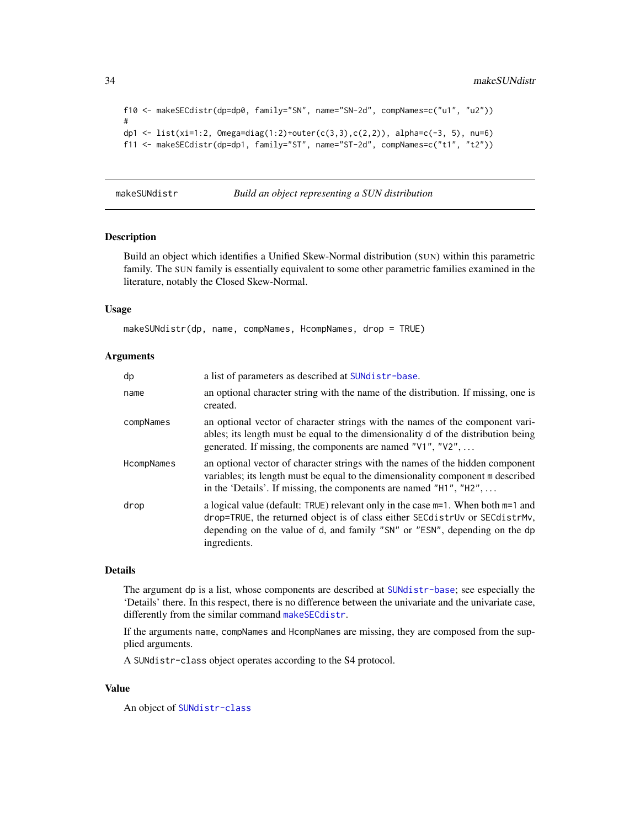```
f10 <- makeSECdistr(dp=dp0, family="SN", name="SN-2d", compNames=c("u1", "u2"))
#
dp1 <- list(xi=1:2, Omega=diag(1:2)+outer(c(3,3),c(2,2)), alpha=c(-3, 5), nu=6)
f11 <- makeSECdistr(dp=dp1, family="ST", name="ST-2d", compNames=c("t1", "t2"))
```
<span id="page-33-1"></span>makeSUNdistr *Build an object representing a SUN distribution*

#### Description

Build an object which identifies a Unified Skew-Normal distribution (SUN) within this parametric family. The SUN family is essentially equivalent to some other parametric families examined in the literature, notably the Closed Skew-Normal.

### Usage

makeSUNdistr(dp, name, compNames, HcompNames, drop = TRUE)

### Arguments

| dp         | a list of parameters as described at SUNdistr-base.                                                                                                                                                                                                                |
|------------|--------------------------------------------------------------------------------------------------------------------------------------------------------------------------------------------------------------------------------------------------------------------|
| name       | an optional character string with the name of the distribution. If missing, one is<br>created.                                                                                                                                                                     |
| compNames  | an optional vector of character strings with the names of the component vari-<br>ables; its length must be equal to the dimensionality d of the distribution being<br>generated. If missing, the components are named "V1", "V2",                                  |
| HcompNames | an optional vector of character strings with the names of the hidden component<br>variables; its length must be equal to the dimensionality component m described<br>in the 'Details'. If missing, the components are named "H1", "H2",                            |
| drop       | a logical value (default: TRUE) relevant only in the case $m=1$ . When both $m=1$ and<br>drop=TRUE, the returned object is of class either SECdistrUv or SECdistrMv,<br>depending on the value of d, and family "SN" or "ESN", depending on the dp<br>ingredients. |

### Details

The argument dp is a list, whose components are described at [SUNdistr-base](#page-82-1); see especially the 'Details' there. In this respect, there is no difference between the univariate and the univariate case, differently from the similar command [makeSECdistr](#page-31-1).

If the arguments name, compNames and HcompNames are missing, they are composed from the supplied arguments.

A SUNdistr-class object operates according to the S4 protocol.

### Value

An object of [SUNdistr-class](#page-85-1)

<span id="page-33-0"></span>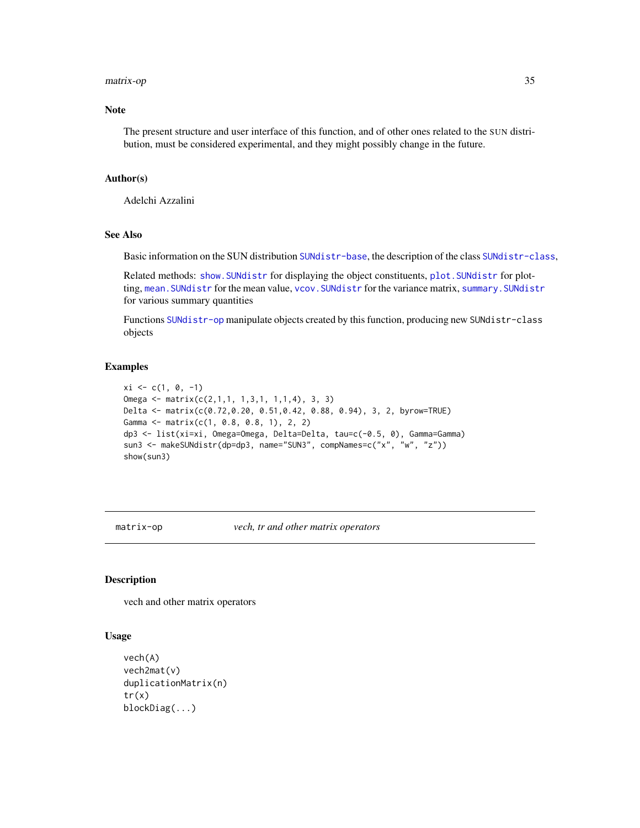#### <span id="page-34-0"></span>matrix-op 35

### Note

The present structure and user interface of this function, and of other ones related to the SUN distribution, must be considered experimental, and they might possibly change in the future.

### Author(s)

Adelchi Azzalini

# See Also

Basic information on the SUN distribution [SUNdistr-base](#page-82-1), the description of the class [SUNdistr-class](#page-85-1),

Related methods: [show.SUNdistr](#page-85-2) for displaying the object constituents, [plot.SUNdistr](#page-44-1) for plotting, [mean.SUNdistr](#page-85-2) for the mean value, [vcov.SUNdistr](#page-85-2) for the variance matrix, [summary.SUNdistr](#page-80-1) for various summary quantities

Functions [SUNdistr-op](#page-87-1) manipulate objects created by this function, producing new SUNdistr-class objects

#### Examples

```
xi \leftarrow c(1, 0, -1)Omega <- matrix(c(2,1,1, 1,3,1, 1,1,4), 3, 3)
Delta <- matrix(c(0.72,0.20, 0.51,0.42, 0.88, 0.94), 3, 2, byrow=TRUE)
Gamma \leq matrix(c(1, 0.8, 0.8, 1), 2, 2)
dp3 <- list(xi=xi, Omega=Omega, Delta=Delta, tau=c(-0.5, 0), Gamma=Gamma)
sun3 <- makeSUNdistr(dp=dp3, name="SUN3", compNames=c("x", "w", "z"))
show(sun3)
```
matrix-op *vech, tr and other matrix operators*

# Description

vech and other matrix operators

#### Usage

```
vech(A)
vech2mat(v)
duplicationMatrix(n)
tr(x)blockDiag(...)
```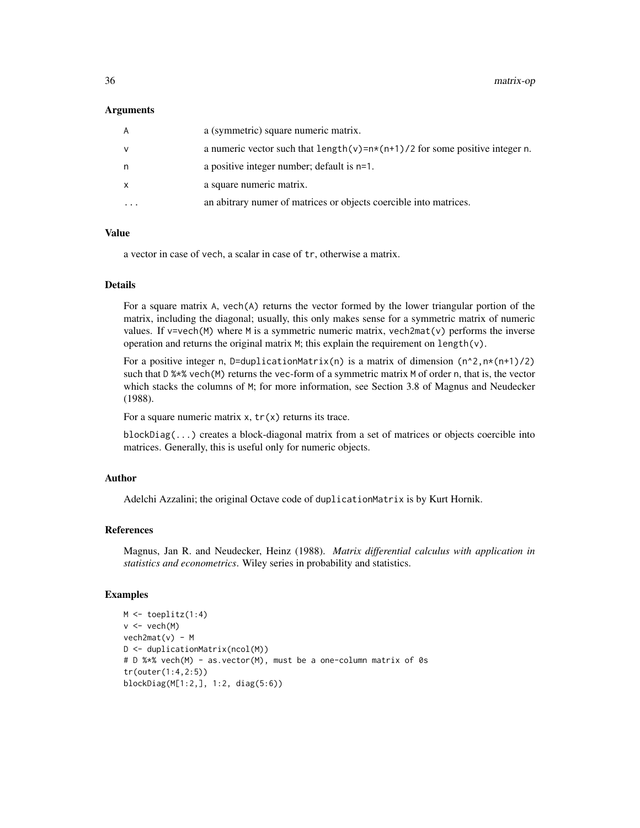#### Arguments

| A        | a (symmetric) square numeric matrix.                                            |
|----------|---------------------------------------------------------------------------------|
| v        | a numeric vector such that $length(v) = n*(n+1)/2$ for some positive integer n. |
| n        | a positive integer number; default is n=1.                                      |
| X        | a square numeric matrix.                                                        |
| $\cdots$ | an abitrary numer of matrices or objects coercible into matrices.               |

#### Value

a vector in case of vech, a scalar in case of tr, otherwise a matrix.

### Details

For a square matrix A, vech(A) returns the vector formed by the lower triangular portion of the matrix, including the diagonal; usually, this only makes sense for a symmetric matrix of numeric values. If  $v = v \cdot (M)$  where M is a symmetric numeric matrix, vech2mat(v) performs the inverse operation and returns the original matrix  $M$ ; this explain the requirement on length(v).

For a positive integer n, D=duplicationMatrix(n) is a matrix of dimension  $(n^2, n*(n+1)/2)$ such that D %\*% vech(M) returns the vec-form of a symmetric matrix M of order n, that is, the vector which stacks the columns of M; for more information, see Section 3.8 of Magnus and Neudecker (1988).

For a square numeric matrix  $x$ ,  $tr(x)$  returns its trace.

blockDiag(...) creates a block-diagonal matrix from a set of matrices or objects coercible into matrices. Generally, this is useful only for numeric objects.

# Author

Adelchi Azzalini; the original Octave code of duplicationMatrix is by Kurt Hornik.

# References

Magnus, Jan R. and Neudecker, Heinz (1988). *Matrix differential calculus with application in statistics and econometrics*. Wiley series in probability and statistics.

### Examples

```
M <- toeplitz(1:4)
v < -vech(M)vech2mat(v) - MD <- duplicationMatrix(ncol(M))
# D %*% vech(M) - as.vector(M), must be a one-column matrix of 0s
tr(outer(1:4,2:5))
blockDiag(M[1:2,], 1:2, diag(5:6))
```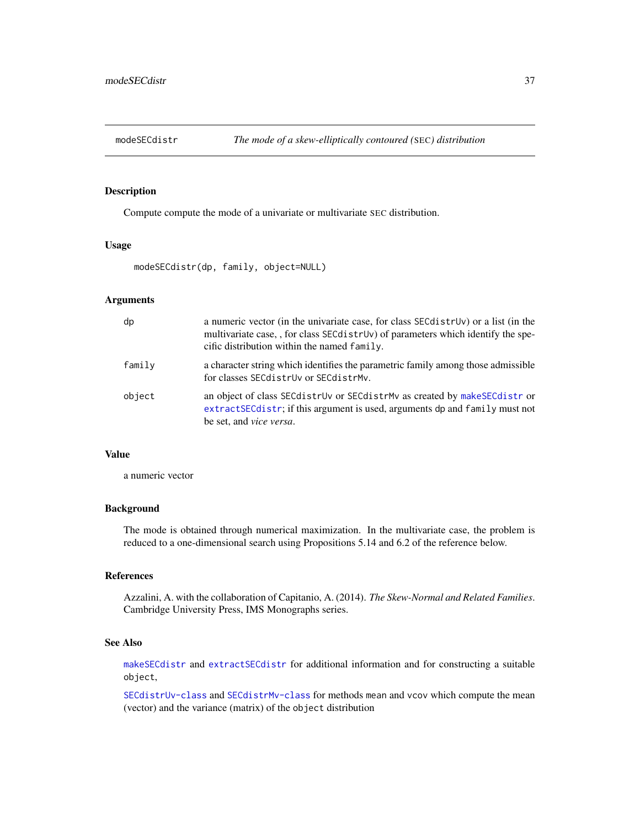# Description

Compute compute the mode of a univariate or multivariate SEC distribution.

# Usage

modeSECdistr(dp, family, object=NULL)

# Arguments

| dp     | a numeric vector (in the univariate case, for class SEC distrutionally or a list (in the<br>multivariate case, , for class SEC distruv) of parameters which identify the spe-<br>cific distribution within the named $f$ amily. |
|--------|---------------------------------------------------------------------------------------------------------------------------------------------------------------------------------------------------------------------------------|
| family | a character string which identifies the parametric family among those admissible<br>for classes SEC distruv or SEC distrMy.                                                                                                     |
| object | an object of class SEC distrUv or SEC distrMv as created by make SEC distror<br>extractSECdistr; if this argument is used, arguments dp and family must not<br>be set, and <i>vice versa</i> .                                  |

# Value

a numeric vector

# Background

The mode is obtained through numerical maximization. In the multivariate case, the problem is reduced to a one-dimensional search using Propositions 5.14 and 6.2 of the reference below.

#### References

Azzalini, A. with the collaboration of Capitanio, A. (2014). *The Skew-Normal and Related Families*. Cambridge University Press, IMS Monographs series.

## See Also

[makeSECdistr](#page-31-0) and [extractSECdistr](#page-26-0) for additional information and for constructing a suitable object,

[SECdistrUv-class](#page-56-0) and [SECdistrMv-class](#page-55-0) for methods mean and vcov which compute the mean (vector) and the variance (matrix) of the object distribution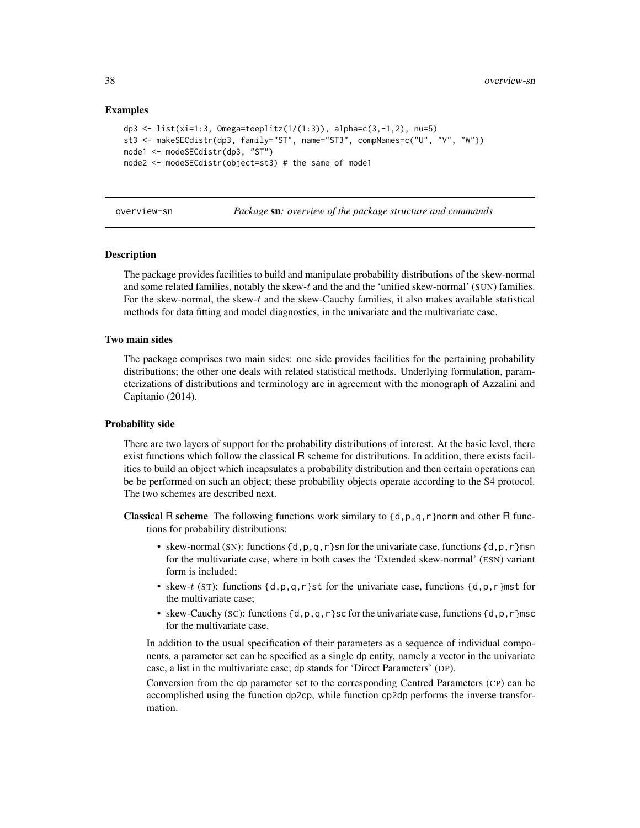# Examples

```
dp3 <- list(xi=1:3, Omega=toeplitz(1/(1:3)), alpha=c(3,-1,2), nu=5)
st3 <- makeSECdistr(dp3, family="ST", name="ST3", compNames=c("U", "V", "W"))
mode1 <- modeSECdistr(dp3, "ST")
mode2 <- modeSECdistr(object=st3) # the same of mode1
```
overview-sn *Package* sn*: overview of the package structure and commands*

#### **Description**

The package provides facilities to build and manipulate probability distributions of the skew-normal and some related families, notably the skew-t and the and the 'unified skew-normal' (SUN) families. For the skew-normal, the skew-t and the skew-Cauchy families, it also makes available statistical methods for data fitting and model diagnostics, in the univariate and the multivariate case.

## Two main sides

The package comprises two main sides: one side provides facilities for the pertaining probability distributions; the other one deals with related statistical methods. Underlying formulation, parameterizations of distributions and terminology are in agreement with the monograph of Azzalini and Capitanio (2014).

## Probability side

There are two layers of support for the probability distributions of interest. At the basic level, there exist functions which follow the classical R scheme for distributions. In addition, there exists facilities to build an object which incapsulates a probability distribution and then certain operations can be be performed on such an object; these probability objects operate according to the S4 protocol. The two schemes are described next.

- **Classical R scheme** The following functions work similary to  $\{d, p, q, r\}$  norm and other R functions for probability distributions:
	- skew-normal (SN): functions  $\{d,p,q,r\}$ sn for the univariate case, functions  $\{d,p,r\}$ msn for the multivariate case, where in both cases the 'Extended skew-normal' (ESN) variant form is included;
	- skew-t (ST): functions  $\{d, p, q, r\}$ st for the univariate case, functions  $\{d, p, r\}$ mst for the multivariate case;
	- skew-Cauchy (SC): functions {d, p, q, r}sc for the univariate case, functions {d, p, r}msc for the multivariate case.

In addition to the usual specification of their parameters as a sequence of individual components, a parameter set can be specified as a single dp entity, namely a vector in the univariate case, a list in the multivariate case; dp stands for 'Direct Parameters' (DP).

Conversion from the dp parameter set to the corresponding Centred Parameters (CP) can be accomplished using the function dp2cp, while function cp2dp performs the inverse transformation.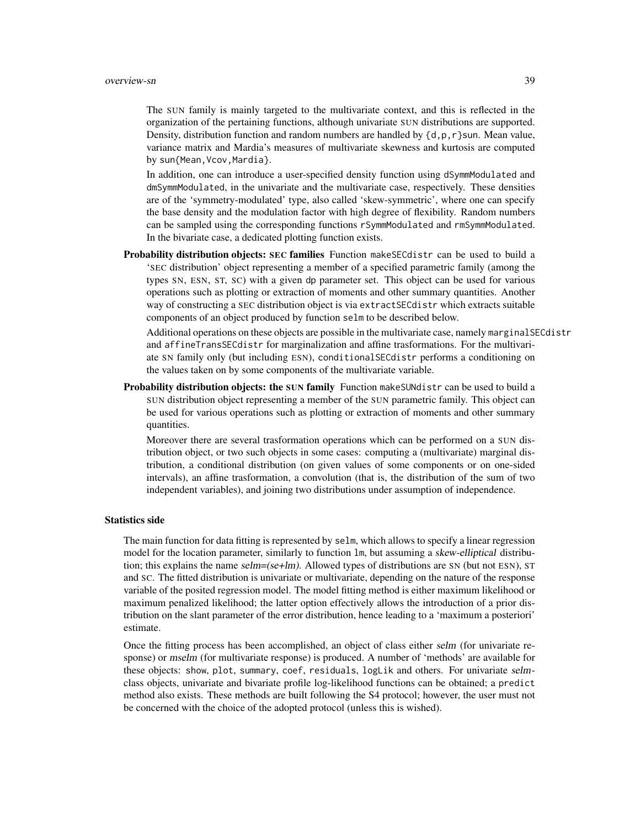The SUN family is mainly targeted to the multivariate context, and this is reflected in the organization of the pertaining functions, although univariate SUN distributions are supported. Density, distribution function and random numbers are handled by  $\{d, p, r\}$ sun. Mean value, variance matrix and Mardia's measures of multivariate skewness and kurtosis are computed by sun{Mean,Vcov,Mardia}.

In addition, one can introduce a user-specified density function using dSymmModulated and dmSymmModulated, in the univariate and the multivariate case, respectively. These densities are of the 'symmetry-modulated' type, also called 'skew-symmetric', where one can specify the base density and the modulation factor with high degree of flexibility. Random numbers can be sampled using the corresponding functions rSymmModulated and rmSymmModulated. In the bivariate case, a dedicated plotting function exists.

Probability distribution objects: SEC families Function make SEC distribution be used to build a 'SEC distribution' object representing a member of a specified parametric family (among the types SN, ESN, ST, SC) with a given dp parameter set. This object can be used for various operations such as plotting or extraction of moments and other summary quantities. Another way of constructing a SEC distribution object is via extractSECdistr which extracts suitable components of an object produced by function selm to be described below.

Additional operations on these objects are possible in the multivariate case, namely marginalSECdistr and affineTransSECdistr for marginalization and affine trasformations. For the multivariate SN family only (but including ESN), conditionalSECdistr performs a conditioning on the values taken on by some components of the multivariate variable.

Probability distribution objects: the SUN family Function make SUNdistr can be used to build a SUN distribution object representing a member of the SUN parametric family. This object can be used for various operations such as plotting or extraction of moments and other summary quantities.

Moreover there are several trasformation operations which can be performed on a SUN distribution object, or two such objects in some cases: computing a (multivariate) marginal distribution, a conditional distribution (on given values of some components or on one-sided intervals), an affine trasformation, a convolution (that is, the distribution of the sum of two independent variables), and joining two distributions under assumption of independence.

#### Statistics side

The main function for data fitting is represented by selm, which allows to specify a linear regression model for the location parameter, similarly to function 1m, but assuming a skew-elliptical distribution; this explains the name  $\text{selm} = (\text{se+lm})$ . Allowed types of distributions are SN (but not ESN), ST and SC. The fitted distribution is univariate or multivariate, depending on the nature of the response variable of the posited regression model. The model fitting method is either maximum likelihood or maximum penalized likelihood; the latter option effectively allows the introduction of a prior distribution on the slant parameter of the error distribution, hence leading to a 'maximum a posteriori' estimate.

Once the fitting process has been accomplished, an object of class either selm (for univariate response) or mselm (for multivariate response) is produced. A number of 'methods' are available for these objects: show, plot, summary, coef, residuals, logLik and others. For univariate selmclass objects, univariate and bivariate profile log-likelihood functions can be obtained; a predict method also exists. These methods are built following the S4 protocol; however, the user must not be concerned with the choice of the adopted protocol (unless this is wished).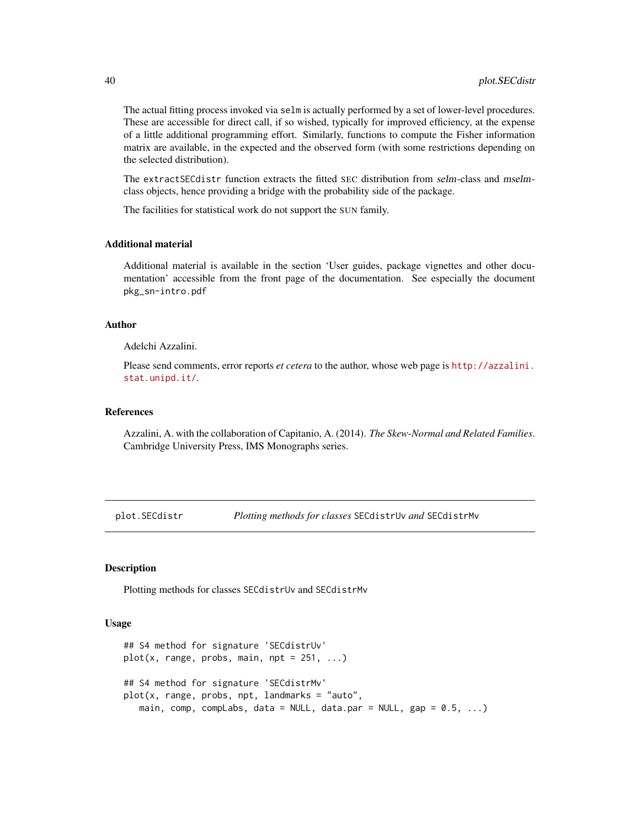The actual fitting process invoked via selm is actually performed by a set of lower-level procedures. These are accessible for direct call, if so wished, typically for improved efficiency, at the expense of a little additional programming effort. Similarly, functions to compute the Fisher information matrix are available, in the expected and the observed form (with some restrictions depending on the selected distribution).

The extractSECdistr function extracts the fitted SEC distribution from selm-class and mselmclass objects, hence providing a bridge with the probability side of the package.

The facilities for statistical work do not support the SUN family.

#### Additional material

Additional material is available in the section 'User guides, package vignettes and other documentation' accessible from the front page of the documentation. See especially the document pkg\_sn-intro.pdf

## Author

Adelchi Azzalini.

Please send comments, error reports *et cetera* to the author, whose web page is [http://azzalini.](http://azzalini.stat.unipd.it/) [stat.unipd.it/](http://azzalini.stat.unipd.it/).

# References

Azzalini, A. with the collaboration of Capitanio, A. (2014). *The Skew-Normal and Related Families*. Cambridge University Press, IMS Monographs series.

plot.SECdistr *Plotting methods for classes* SECdistrUv *and* SECdistrMv

## Description

Plotting methods for classes SECdistrUv and SECdistrMv

## Usage

```
## S4 method for signature 'SECdistrUv'
plot(x, range, probs, main, npt = 251, ...)## S4 method for signature 'SECdistrMv'
plot(x, range, probs, npt, landmarks = "auto",
   main, comp, compLabs, data = NULL, data.par = NULL, gap = 0.5, ...)
```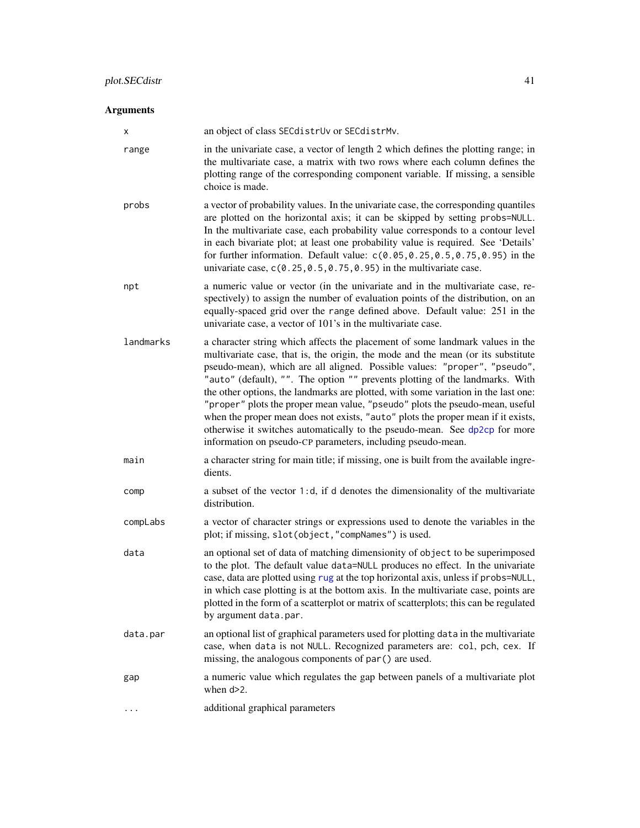# Arguments

| х         | an object of class SECdistrUv or SECdistrMv.                                                                                                                                                                                                                                                                                                                                                                                                                                                                                                                                                                                                                                                                                          |
|-----------|---------------------------------------------------------------------------------------------------------------------------------------------------------------------------------------------------------------------------------------------------------------------------------------------------------------------------------------------------------------------------------------------------------------------------------------------------------------------------------------------------------------------------------------------------------------------------------------------------------------------------------------------------------------------------------------------------------------------------------------|
| range     | in the univariate case, a vector of length 2 which defines the plotting range; in<br>the multivariate case, a matrix with two rows where each column defines the<br>plotting range of the corresponding component variable. If missing, a sensible<br>choice is made.                                                                                                                                                                                                                                                                                                                                                                                                                                                                 |
| probs     | a vector of probability values. In the univariate case, the corresponding quantiles<br>are plotted on the horizontal axis; it can be skipped by setting probs=NULL.<br>In the multivariate case, each probability value corresponds to a contour level<br>in each bivariate plot; at least one probability value is required. See 'Details'<br>for further information. Default value: $c(0.05, 0.25, 0.5, 0.75, 0.95)$ in the<br>univariate case, $c(0.25, 0.5, 0.75, 0.95)$ in the multivariate case.                                                                                                                                                                                                                               |
| npt       | a numeric value or vector (in the univariate and in the multivariate case, re-<br>spectively) to assign the number of evaluation points of the distribution, on an<br>equally-spaced grid over the range defined above. Default value: 251 in the<br>univariate case, a vector of 101's in the multivariate case.                                                                                                                                                                                                                                                                                                                                                                                                                     |
| landmarks | a character string which affects the placement of some landmark values in the<br>multivariate case, that is, the origin, the mode and the mean (or its substitute<br>pseudo-mean), which are all aligned. Possible values: "proper", "pseudo",<br>"auto" (default), "". The option "" prevents plotting of the landmarks. With<br>the other options, the landmarks are plotted, with some variation in the last one:<br>"proper" plots the proper mean value, "pseudo" plots the pseudo-mean, useful<br>when the proper mean does not exists, "auto" plots the proper mean if it exists,<br>otherwise it switches automatically to the pseudo-mean. See dp2cp for more<br>information on pseudo-CP parameters, including pseudo-mean. |
| main      | a character string for main title; if missing, one is built from the available ingre-<br>dients.                                                                                                                                                                                                                                                                                                                                                                                                                                                                                                                                                                                                                                      |
| comp      | a subset of the vector 1:d, if d denotes the dimensionality of the multivariate<br>distribution.                                                                                                                                                                                                                                                                                                                                                                                                                                                                                                                                                                                                                                      |
| compLabs  | a vector of character strings or expressions used to denote the variables in the<br>plot; if missing, slot(object, "compNames") is used.                                                                                                                                                                                                                                                                                                                                                                                                                                                                                                                                                                                              |
| data      | an optional set of data of matching dimensionity of object to be superimposed<br>to the plot. The default value data=NULL produces no effect. In the univariate<br>case, data are plotted using rug at the top horizontal axis, unless if probs=NULL,<br>in which case plotting is at the bottom axis. In the multivariate case, points are<br>plotted in the form of a scatterplot or matrix of scatterplots; this can be regulated<br>by argument data.par.                                                                                                                                                                                                                                                                         |
| data.par  | an optional list of graphical parameters used for plotting data in the multivariate<br>case, when data is not NULL. Recognized parameters are: col, pch, cex. If<br>missing, the analogous components of par() are used.                                                                                                                                                                                                                                                                                                                                                                                                                                                                                                              |
| gap       | a numeric value which regulates the gap between panels of a multivariate plot<br>when $d > 2$ .                                                                                                                                                                                                                                                                                                                                                                                                                                                                                                                                                                                                                                       |
|           | additional graphical parameters                                                                                                                                                                                                                                                                                                                                                                                                                                                                                                                                                                                                                                                                                                       |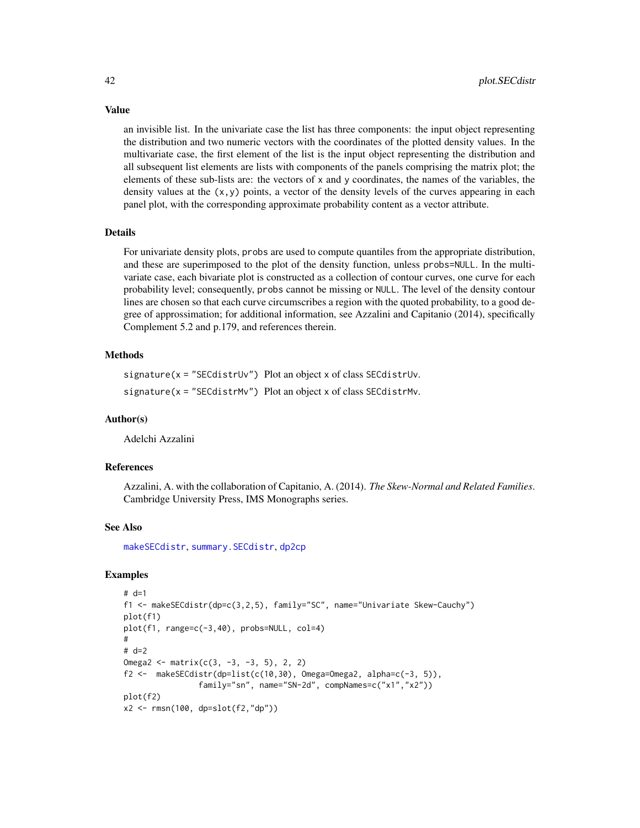an invisible list. In the univariate case the list has three components: the input object representing the distribution and two numeric vectors with the coordinates of the plotted density values. In the multivariate case, the first element of the list is the input object representing the distribution and all subsequent list elements are lists with components of the panels comprising the matrix plot; the elements of these sub-lists are: the vectors of x and y coordinates, the names of the variables, the density values at the  $(x, y)$  points, a vector of the density levels of the curves appearing in each panel plot, with the corresponding approximate probability content as a vector attribute.

#### Details

For univariate density plots, probs are used to compute quantiles from the appropriate distribution, and these are superimposed to the plot of the density function, unless probs=NULL. In the multivariate case, each bivariate plot is constructed as a collection of contour curves, one curve for each probability level; consequently, probs cannot be missing or NULL. The level of the density contour lines are chosen so that each curve circumscribes a region with the quoted probability, to a good degree of approssimation; for additional information, see Azzalini and Capitanio (2014), specifically Complement 5.2 and p.179, and references therein.

# Methods

signature(x = "SECdistrUv") Plot an object x of class SECdistrUv. signature(x = "SECdistrMv") Plot an object x of class SECdistrMv.

#### Author(s)

Adelchi Azzalini

## References

Azzalini, A. with the collaboration of Capitanio, A. (2014). *The Skew-Normal and Related Families*. Cambridge University Press, IMS Monographs series.

# See Also

[makeSECdistr](#page-31-0), [summary.SECdistr](#page-74-0), [dp2cp](#page-18-0)

# Examples

```
# d=1f1 <- makeSECdistr(dp=c(3,2,5), family="SC", name="Univariate Skew-Cauchy")
plot(f1)
plot(f1, range=c(-3,40), probs=NULL, col=4)
#
# d=2
Omega2 <- matrix(c(3, -3, -3, 5), 2, 2)
f2 \leq - makeSECdistr(dp=list(c(10,30), Omega=Omega2, alpha=c(-3, 5)),
                family="sn", name="SN-2d", compNames=c("x1","x2"))
plot(f2)
x2 <- rmsn(100, dp=slot(f2,"dp"))
```
# Value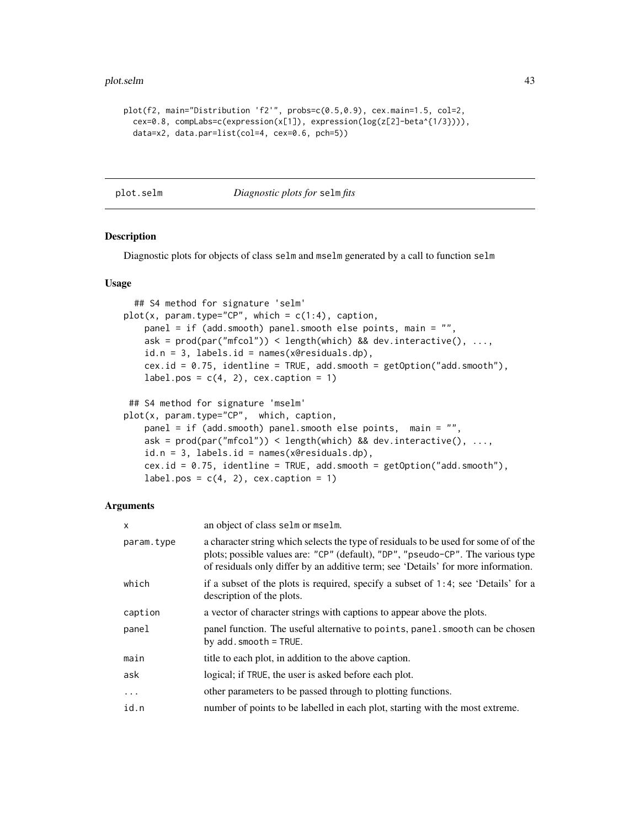#### plot.selm 43

```
plot(f2, main="Distribution 'f2'", probs=c(0.5,0.9), cex.main=1.5, col=2,
  cex=0.8, compLabs=c(expression(x[1]), expression(log(z[2]-beta^{1/3}))),
  data=x2, data.par=list(col=4, cex=0.6, pch=5))
```
<span id="page-42-0"></span>

#### plot.selm *Diagnostic plots for* selm *fits*

## Description

Diagnostic plots for objects of class selm and mselm generated by a call to function selm

#### Usage

```
## S4 method for signature 'selm'
plot(x, param-type="CP", which = c(1:4), caption,panel = if (add.smooth) panel.smooth else points, main = "",
   ask = prod(par("mfcol")) < length(which) && dev.interactive(), ...,id.n = 3, labels.id = names(x@residuals.dp),
   cex.id = 0.75, identline = TRUE, add.smooth = getOption("add.smooth"),
   label.pos = c(4, 2), cex.caption = 1)
## S4 method for signature 'mselm'
plot(x, param.type="CP", which, caption,
   panel = if (add.smooth) panel.smooth else points, main = "",
   ask = prod(par("mfcol")) < length(which) && dev.interactive(), ...,id.n = 3, labels.id = names(x@residuals.dp),
   cex.id = 0.75, identline = TRUE, add.smooth = getOption("add.smooth"),
   label.pos = c(4, 2), cex.caption = 1)
```
# Arguments

| $\mathsf{x}$ | an object of class selm or mselm.                                                                                                                                                                                                                            |
|--------------|--------------------------------------------------------------------------------------------------------------------------------------------------------------------------------------------------------------------------------------------------------------|
| param.type   | a character string which selects the type of residuals to be used for some of of the<br>plots; possible values are: "CP" (default), "DP", "pseudo-CP". The various type<br>of residuals only differ by an additive term; see 'Details' for more information. |
| which        | if a subset of the plots is required, specify a subset of 1:4; see 'Details' for a<br>description of the plots.                                                                                                                                              |
| caption      | a vector of character strings with captions to appear above the plots.                                                                                                                                                                                       |
| panel        | panel function. The useful alternative to points, panel smooth can be chosen<br>by $add.smodth = TRUE$ .                                                                                                                                                     |
| main         | title to each plot, in addition to the above caption.                                                                                                                                                                                                        |
| ask          | logical; if TRUE, the user is asked before each plot.                                                                                                                                                                                                        |
| $\cdots$     | other parameters to be passed through to plotting functions.                                                                                                                                                                                                 |
| id.n         | number of points to be labelled in each plot, starting with the most extreme.                                                                                                                                                                                |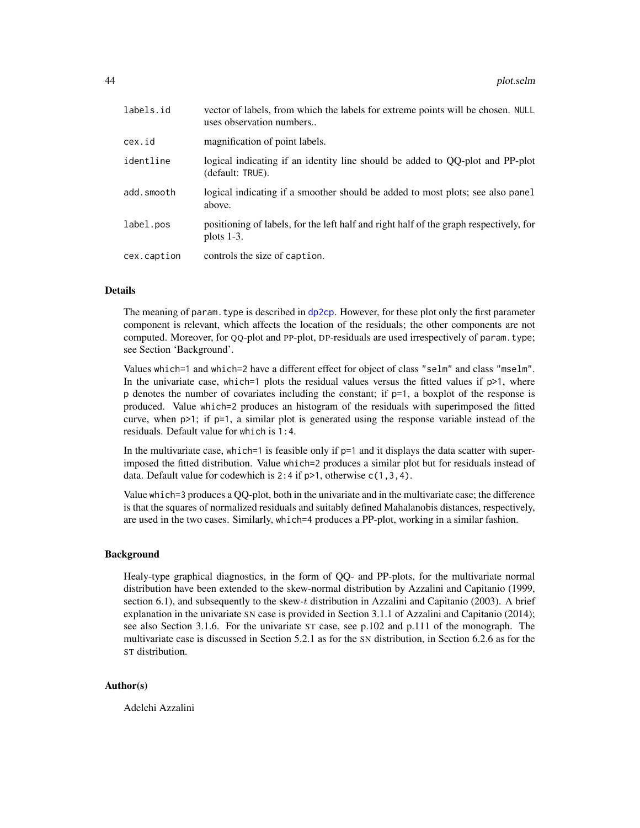| labels.id   | vector of labels, from which the labels for extreme points will be chosen. NULL<br>uses observation numbers |
|-------------|-------------------------------------------------------------------------------------------------------------|
| cex.id      | magnification of point labels.                                                                              |
| identline   | logical indicating if an identity line should be added to QQ-plot and PP-plot<br>(default: TRUE).           |
| add.smooth  | logical indicating if a smoother should be added to most plots; see also panel<br>above.                    |
| label.pos   | positioning of labels, for the left half and right half of the graph respectively, for<br>plots $1-3$ .     |
| cex.caption | controls the size of caption.                                                                               |

#### Details

The meaning of param. type is described in [dp2cp](#page-18-0). However, for these plot only the first parameter component is relevant, which affects the location of the residuals; the other components are not computed. Moreover, for QQ-plot and PP-plot, DP-residuals are used irrespectively of param.type; see Section 'Background'.

Values which=1 and which=2 have a different effect for object of class "selm" and class "mselm". In the univariate case, which=1 plots the residual values versus the fitted values if  $p>1$ , where p denotes the number of covariates including the constant; if  $p=1$ , a boxplot of the response is produced. Value which=2 produces an histogram of the residuals with superimposed the fitted curve, when p>1; if p=1, a similar plot is generated using the response variable instead of the residuals. Default value for which is 1:4.

In the multivariate case, which=1 is feasible only if  $p=1$  and it displays the data scatter with superimposed the fitted distribution. Value which=2 produces a similar plot but for residuals instead of data. Default value for codewhich is  $2:4$  if  $p>1$ , otherwise  $c(1,3,4)$ .

Value which=3 produces a QQ-plot, both in the univariate and in the multivariate case; the difference is that the squares of normalized residuals and suitably defined Mahalanobis distances, respectively, are used in the two cases. Similarly, which=4 produces a PP-plot, working in a similar fashion.

#### Background

Healy-type graphical diagnostics, in the form of QQ- and PP-plots, for the multivariate normal distribution have been extended to the skew-normal distribution by Azzalini and Capitanio (1999, section 6.1), and subsequently to the skew-t distribution in Azzalini and Capitanio (2003). A brief explanation in the univariate SN case is provided in Section 3.1.1 of Azzalini and Capitanio (2014); see also Section 3.1.6. For the univariate ST case, see p.102 and p.111 of the monograph. The multivariate case is discussed in Section 5.2.1 as for the SN distribution, in Section 6.2.6 as for the ST distribution.

# Author(s)

Adelchi Azzalini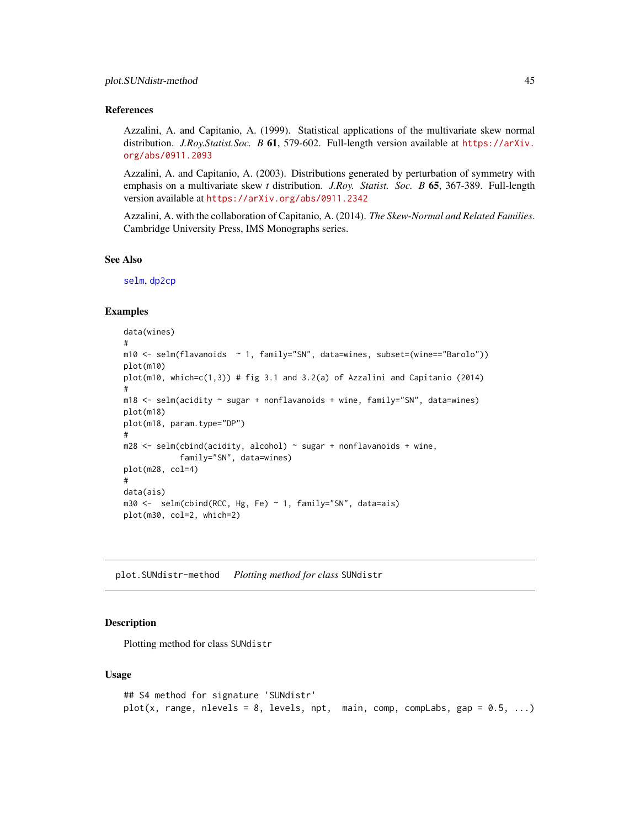## References

Azzalini, A. and Capitanio, A. (1999). Statistical applications of the multivariate skew normal distribution. *J.Roy.Statist.Soc. B* 61, 579-602. Full-length version available at [https://arXiv.](https://arXiv.org/abs/0911.2093) [org/abs/0911.2093](https://arXiv.org/abs/0911.2093)

Azzalini, A. and Capitanio, A. (2003). Distributions generated by perturbation of symmetry with emphasis on a multivariate skew *t* distribution. *J.Roy. Statist. Soc. B* 65, 367-389. Full-length version available at <https://arXiv.org/abs/0911.2342>

Azzalini, A. with the collaboration of Capitanio, A. (2014). *The Skew-Normal and Related Families*. Cambridge University Press, IMS Monographs series.

#### See Also

[selm](#page-57-0), [dp2cp](#page-18-0)

#### Examples

```
data(wines)
#
m10 <- selm(flavanoids ~ 1, family="SN", data=wines, subset=(wine=="Barolo"))
plot(m10)
plot(m10, which = c(1,3)) # fig 3.1 and 3.2(a) of Azzalini and Capitanio (2014)
#
m18 \le - selm(acidity \sim sugar + nonflavanoids + wine, family="SN", data=wines)
plot(m18)
plot(m18, param.type="DP")
#
m28 < - selm(cbind(acidity, alcohol) \sim sugar + nonflavanoids + wine,
            family="SN", data=wines)
plot(m28, col=4)
#
data(ais)
m30 <- selm(cbind(RCC, Hg, Fe) ~ 1, family="SN", data=ais)
plot(m30, col=2, which=2)
```
plot.SUNdistr-method *Plotting method for class* SUNdistr

## **Description**

Plotting method for class SUNdistr

#### Usage

```
## S4 method for signature 'SUNdistr'
plot(x, range, nlevels = 8, levels, npt, main, comp, compLabs, gap = 0.5, ...)
```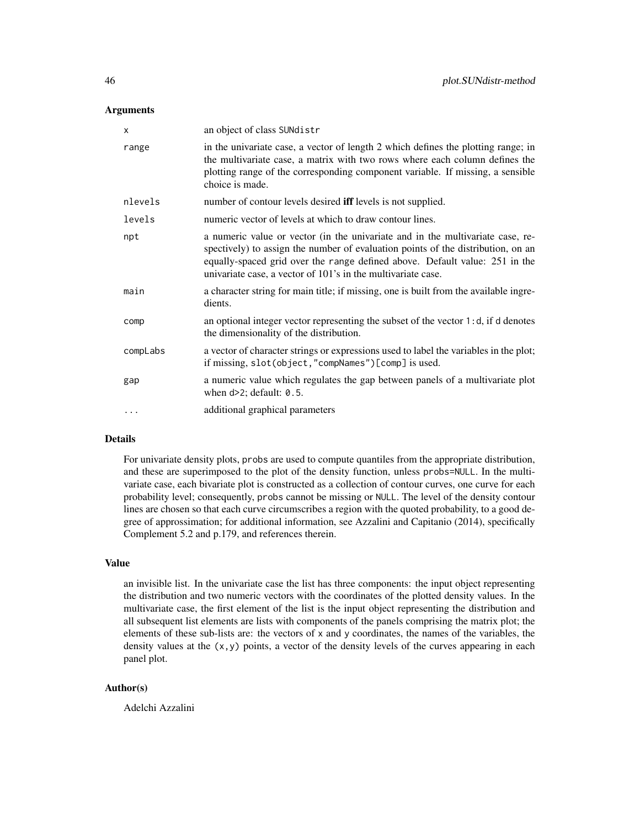## **Arguments**

| X        | an object of class SUNdistr                                                                                                                                                                                                                                                                                       |
|----------|-------------------------------------------------------------------------------------------------------------------------------------------------------------------------------------------------------------------------------------------------------------------------------------------------------------------|
| range    | in the univariate case, a vector of length 2 which defines the plotting range; in<br>the multivariate case, a matrix with two rows where each column defines the<br>plotting range of the corresponding component variable. If missing, a sensible<br>choice is made.                                             |
| nlevels  | number of contour levels desired <b>iff</b> levels is not supplied.                                                                                                                                                                                                                                               |
| levels   | numeric vector of levels at which to draw contour lines.                                                                                                                                                                                                                                                          |
| npt      | a numeric value or vector (in the univariate and in the multivariate case, re-<br>spectively) to assign the number of evaluation points of the distribution, on an<br>equally-spaced grid over the range defined above. Default value: 251 in the<br>univariate case, a vector of 101's in the multivariate case. |
| main     | a character string for main title; if missing, one is built from the available ingre-<br>dients.                                                                                                                                                                                                                  |
| comp     | an optional integer vector representing the subset of the vector 1:d, if d denotes<br>the dimensionality of the distribution.                                                                                                                                                                                     |
| compLabs | a vector of character strings or expressions used to label the variables in the plot;<br>if missing, slot(object, "compNames")[comp] is used.                                                                                                                                                                     |
| gap      | a numeric value which regulates the gap between panels of a multivariate plot<br>when $d>2$ ; default: $0.5$ .                                                                                                                                                                                                    |
| $\cdots$ | additional graphical parameters                                                                                                                                                                                                                                                                                   |

# Details

For univariate density plots, probs are used to compute quantiles from the appropriate distribution, and these are superimposed to the plot of the density function, unless probs=NULL. In the multivariate case, each bivariate plot is constructed as a collection of contour curves, one curve for each probability level; consequently, probs cannot be missing or NULL. The level of the density contour lines are chosen so that each curve circumscribes a region with the quoted probability, to a good degree of approssimation; for additional information, see Azzalini and Capitanio (2014), specifically Complement 5.2 and p.179, and references therein.

# Value

an invisible list. In the univariate case the list has three components: the input object representing the distribution and two numeric vectors with the coordinates of the plotted density values. In the multivariate case, the first element of the list is the input object representing the distribution and all subsequent list elements are lists with components of the panels comprising the matrix plot; the elements of these sub-lists are: the vectors of x and y coordinates, the names of the variables, the density values at the  $(x,y)$  points, a vector of the density levels of the curves appearing in each panel plot.

# Author(s)

Adelchi Azzalini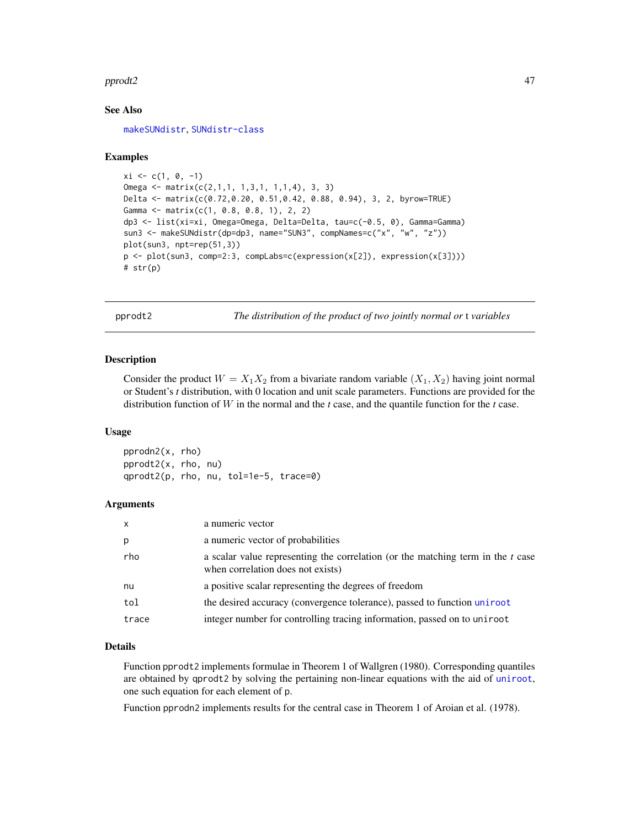#### pprodt2 and the set of the set of the set of the set of the set of the set of the set of the set of the set of the set of the set of the set of the set of the set of the set of the set of the set of the set of the set of t

# See Also

[makeSUNdistr](#page-33-0), [SUNdistr-class](#page-85-0)

## Examples

```
xi \leftarrow c(1, 0, -1)Omega <- matrix(c(2,1,1, 1,3,1, 1,1,4), 3, 3)
Delta <- matrix(c(0.72,0.20, 0.51,0.42, 0.88, 0.94), 3, 2, byrow=TRUE)
Gamma <- matrix(c(1, 0.8, 0.8, 1), 2, 2)
dp3 <- list(xi=xi, Omega=Omega, Delta=Delta, tau=c(-0.5, 0), Gamma=Gamma)
sun3 <- makeSUNdistr(dp=dp3, name="SUN3", compNames=c("x", "w", "z"))
plot(sun3, npt=rep(51,3))
p <- plot(sun3, comp=2:3, compLabs=c(expression(x[2]), expression(x[3])))
# str(p)
```
pprodt2 *The distribution of the product of two jointly normal or* t *variables*

## Description

Consider the product  $W = X_1 X_2$  from a bivariate random variable  $(X_1, X_2)$  having joint normal or Student's *t* distribution, with 0 location and unit scale parameters. Functions are provided for the distribution function of W in the normal and the *t* case, and the quantile function for the *t* case.

#### Usage

pprodn2(x, rho) pprodt2(x, rho, nu) qprodt2(p, rho, nu, tol=1e-5, trace=0)

#### Arguments

| $\mathsf{x}$ | a numeric vector                                                                                                       |
|--------------|------------------------------------------------------------------------------------------------------------------------|
| p            | a numeric vector of probabilities                                                                                      |
| rho          | a scalar value representing the correlation (or the matching term in the $t$ case<br>when correlation does not exists) |
| nu           | a positive scalar representing the degrees of freedom                                                                  |
| tol          | the desired accuracy (convergence tolerance), passed to function unit root                                             |
| trace        | integer number for controlling tracing information, passed on to uniroot                                               |

## Details

Function pprodt2 implements formulae in Theorem 1 of Wallgren (1980). Corresponding quantiles are obtained by qprodt2 by solving the pertaining non-linear equations with the aid of [uniroot](#page-0-0), one such equation for each element of p.

Function pprodn2 implements results for the central case in Theorem 1 of Aroian et al. (1978).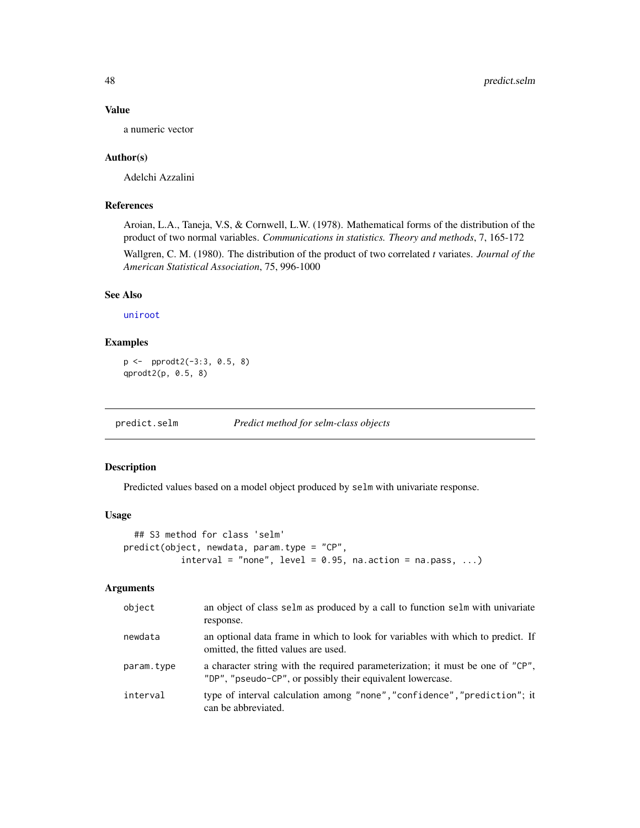# Value

a numeric vector

## Author(s)

Adelchi Azzalini

# References

Aroian, L.A., Taneja, V.S, & Cornwell, L.W. (1978). Mathematical forms of the distribution of the product of two normal variables. *Communications in statistics. Theory and methods*, 7, 165-172

Wallgren, C. M. (1980). The distribution of the product of two correlated *t* variates. *Journal of the American Statistical Association*, 75, 996-1000

# See Also

[uniroot](#page-0-0)

# Examples

```
p <- pprodt2(-3:3, 0.5, 8)
qprodt2(p, 0.5, 8)
```
predict.selm *Predict method for selm-class objects*

# Description

Predicted values based on a model object produced by selm with univariate response.

# Usage

```
## S3 method for class 'selm'
predict(object, newdata, param.type = "CP",
           interval = "none", level = 0.95, na.action = na.pass, ...)
```
#### Arguments

| object     | an object of class selm as produced by a call to function selm with univariate<br>response.                                                  |
|------------|----------------------------------------------------------------------------------------------------------------------------------------------|
| newdata    | an optional data frame in which to look for variables with which to predict. If<br>omitted, the fitted values are used.                      |
| param.type | a character string with the required parameterization; it must be one of "CP",<br>"DP", "pseudo-CP", or possibly their equivalent lowercase. |
| interval   | type of interval calculation among "none", "confidence", "prediction"; it<br>can be abbreviated.                                             |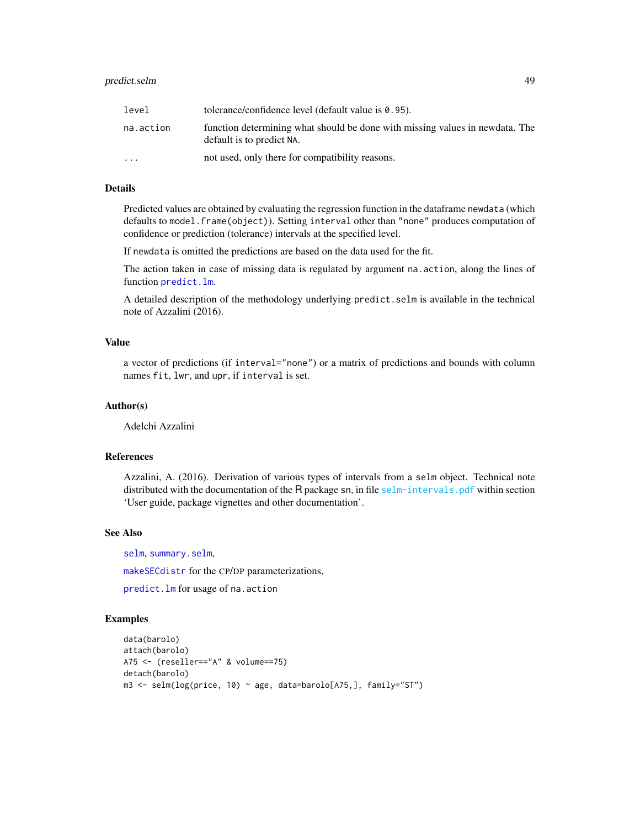| level                   | tolerance/confidence level (default value is $0.95$ ).                                                    |
|-------------------------|-----------------------------------------------------------------------------------------------------------|
| na.action               | function determining what should be done with missing values in newdata. The<br>default is to predict NA. |
| $\cdot$ $\cdot$ $\cdot$ | not used, only there for compatibility reasons.                                                           |

#### Details

Predicted values are obtained by evaluating the regression function in the dataframe newdata (which defaults to model. frame(object)). Setting interval other than "none" produces computation of confidence or prediction (tolerance) intervals at the specified level.

If newdata is omitted the predictions are based on the data used for the fit.

The action taken in case of missing data is regulated by argument na.action, along the lines of function [predict.lm](#page-0-0).

A detailed description of the methodology underlying predict.selm is available in the technical note of Azzalini (2016).

# Value

a vector of predictions (if interval="none") or a matrix of predictions and bounds with column names fit, lwr, and upr, if interval is set.

# Author(s)

Adelchi Azzalini

# References

Azzalini, A. (2016). Derivation of various types of intervals from a selm object. Technical note distributed with the documentation of the R package sn, in file [selm-intervals.pdf](#page-0-0) within section 'User guide, package vignettes and other documentation'.

## See Also

[selm](#page-57-0), [summary.selm](#page-78-0),

[makeSECdistr](#page-31-0) for the CP/DP parameterizations,

[predict.lm](#page-0-0) for usage of na.action

# Examples

```
data(barolo)
attach(barolo)
A75 <- (reseller=="A" & volume==75)
detach(barolo)
m3 <- selm(log(price, 10) ~ age, data=barolo[A75,], family="ST")
```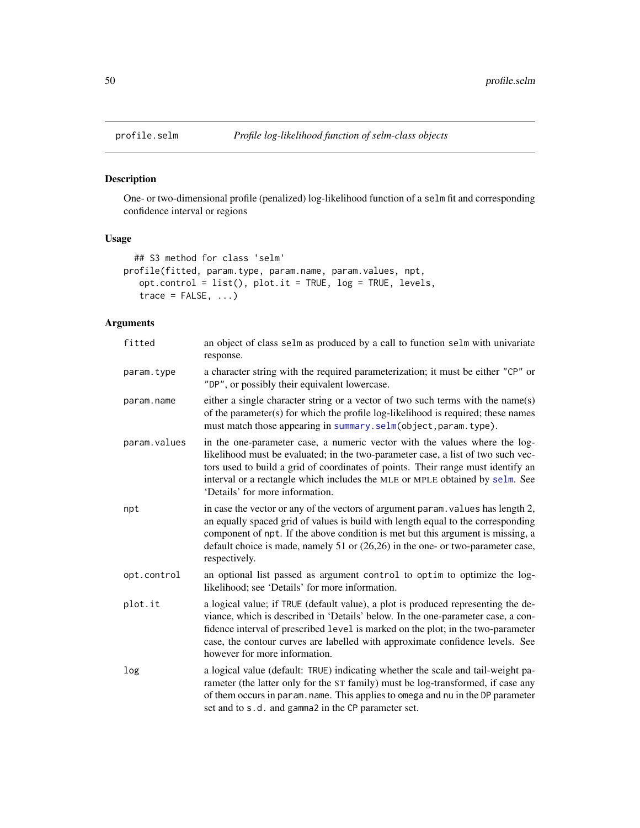<span id="page-49-0"></span>

# Description

One- or two-dimensional profile (penalized) log-likelihood function of a selm fit and corresponding confidence interval or regions

# Usage

```
## S3 method for class 'selm'
profile(fitted, param.type, param.name, param.values, npt,
   opt.control = list(), plot.it = TRUE, log = TRUE, levels,
   trace = FALSE, ...)
```
# Arguments

| fitted       | an object of class selm as produced by a call to function selm with univariate<br>response.                                                                                                                                                                                                                                                                                 |
|--------------|-----------------------------------------------------------------------------------------------------------------------------------------------------------------------------------------------------------------------------------------------------------------------------------------------------------------------------------------------------------------------------|
| param.type   | a character string with the required parameterization; it must be either "CP" or<br>"DP", or possibly their equivalent lowercase.                                                                                                                                                                                                                                           |
| param.name   | either a single character string or a vector of two such terms with the name(s)<br>of the parameter(s) for which the profile log-likelihood is required; these names<br>must match those appearing in summary.selm(object, param.type).                                                                                                                                     |
| param.values | in the one-parameter case, a numeric vector with the values where the log-<br>likelihood must be evaluated; in the two-parameter case, a list of two such vec-<br>tors used to build a grid of coordinates of points. Their range must identify an<br>interval or a rectangle which includes the MLE or MPLE obtained by selm. See<br>'Details' for more information.       |
| npt          | in case the vector or any of the vectors of argument param. values has length 2,<br>an equally spaced grid of values is build with length equal to the corresponding<br>component of npt. If the above condition is met but this argument is missing, a<br>default choice is made, namely 51 or (26,26) in the one- or two-parameter case,<br>respectively.                 |
| opt.control  | an optional list passed as argument control to optim to optimize the log-<br>likelihood; see 'Details' for more information.                                                                                                                                                                                                                                                |
| plot.it      | a logical value; if TRUE (default value), a plot is produced representing the de-<br>viance, which is described in 'Details' below. In the one-parameter case, a con-<br>fidence interval of prescribed level is marked on the plot; in the two-parameter<br>case, the contour curves are labelled with approximate confidence levels. See<br>however for more information. |
| log          | a logical value (default: TRUE) indicating whether the scale and tail-weight pa-<br>rameter (the latter only for the ST family) must be log-transformed, if case any<br>of them occurs in param. name. This applies to omega and nu in the DP parameter<br>set and to s.d. and gamma2 in the CP parameter set.                                                              |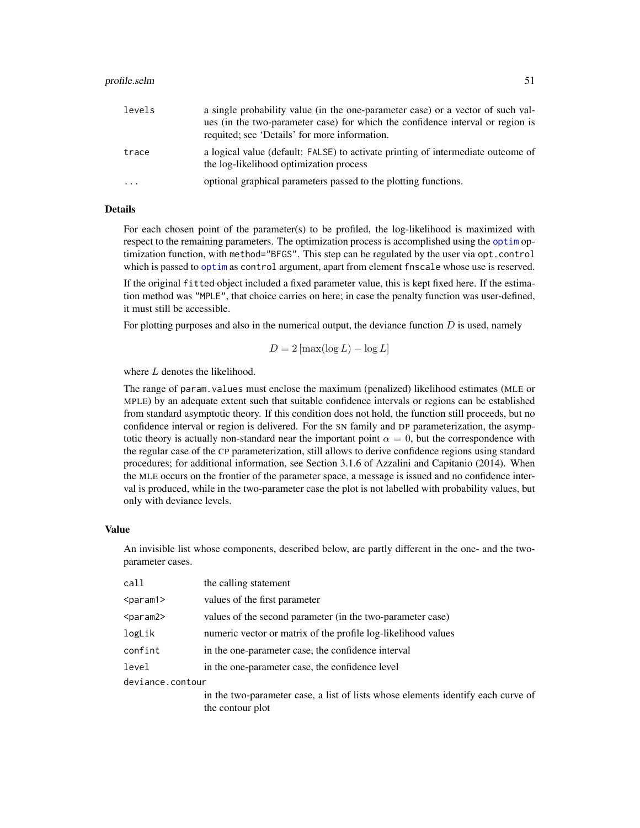#### profile.selm 51

| levels  | a single probability value (in the one-parameter case) or a vector of such val-                                             |
|---------|-----------------------------------------------------------------------------------------------------------------------------|
|         | ues (in the two-parameter case) for which the confidence interval or region is                                              |
|         | requited; see 'Details' for more information.                                                                               |
| trace   | a logical value (default: FALSE) to activate printing of intermediate outcome of<br>the log-likelihood optimization process |
| $\cdot$ | optional graphical parameters passed to the plotting functions.                                                             |

# Details

For each chosen point of the parameter(s) to be profiled, the log-likelihood is maximized with respect to the remaining parameters. The optimization process is accomplished using the [optim](#page-0-0) optimization function, with method="BFGS". This step can be regulated by the user via opt.control which is passed to [optim](#page-0-0) as control argument, apart from element fnscale whose use is reserved.

If the original fitted object included a fixed parameter value, this is kept fixed here. If the estimation method was "MPLE", that choice carries on here; in case the penalty function was user-defined, it must still be accessible.

For plotting purposes and also in the numerical output, the deviance function  $D$  is used, namely

$$
D = 2\left[\max(\log L) - \log L\right]
$$

where L denotes the likelihood.

The range of param.values must enclose the maximum (penalized) likelihood estimates (MLE or MPLE) by an adequate extent such that suitable confidence intervals or regions can be established from standard asymptotic theory. If this condition does not hold, the function still proceeds, but no confidence interval or region is delivered. For the SN family and DP parameterization, the asymptotic theory is actually non-standard near the important point  $\alpha = 0$ , but the correspondence with the regular case of the CP parameterization, still allows to derive confidence regions using standard procedures; for additional information, see Section 3.1.6 of Azzalini and Capitanio (2014). When the MLE occurs on the frontier of the parameter space, a message is issued and no confidence interval is produced, while in the two-parameter case the plot is not labelled with probability values, but only with deviance levels.

#### Value

An invisible list whose components, described below, are partly different in the one- and the twoparameter cases.

| call              | the calling statement                                                            |
|-------------------|----------------------------------------------------------------------------------|
| <param1></param1> | values of the first parameter                                                    |
| <param2></param2> | values of the second parameter (in the two-parameter case)                       |
| logLik            | numeric vector or matrix of the profile log-likelihood values                    |
| confint           | in the one-parameter case, the confidence interval                               |
| level             | in the one-parameter case, the confidence level                                  |
| deviance.contour  |                                                                                  |
|                   | in the two-parameter case, a list of lists whose elements identify each curve of |
|                   | the contour plot                                                                 |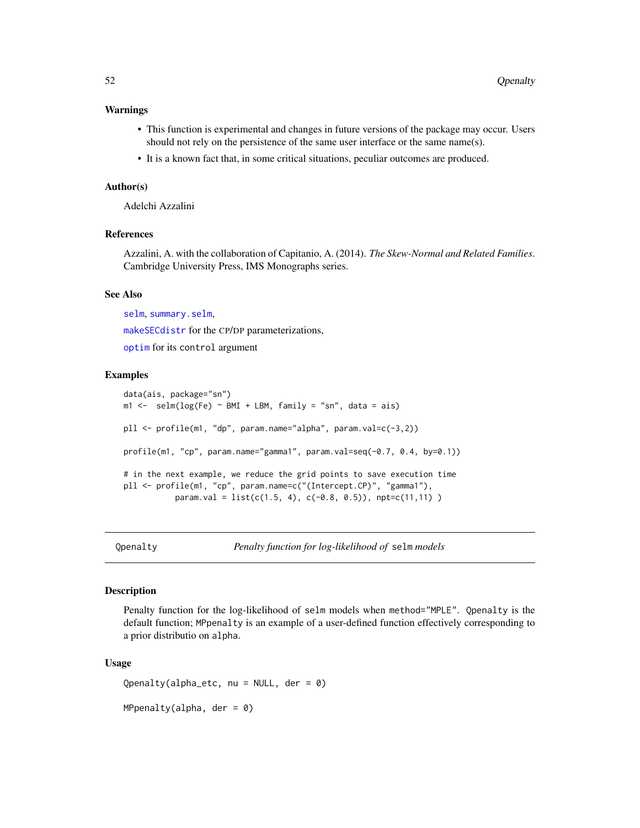#### Warnings

- This function is experimental and changes in future versions of the package may occur. Users should not rely on the persistence of the same user interface or the same name(s).
- It is a known fact that, in some critical situations, peculiar outcomes are produced.

#### Author(s)

Adelchi Azzalini

# References

Azzalini, A. with the collaboration of Capitanio, A. (2014). *The Skew-Normal and Related Families*. Cambridge University Press, IMS Monographs series.

# See Also

[selm](#page-57-0), [summary.selm](#page-78-0), [makeSECdistr](#page-31-0) for the CP/DP parameterizations, [optim](#page-0-0) for its control argument

#### Examples

```
data(ais, package="sn")
m1 \le - selm(log(Fe) \sim BMI + LBM, family = "sn", data = ais)
pll <- profile(m1, "dp", param.name="alpha", param.val=c(-3,2))
profile(m1, "cp", param.name="gamma1", param.val=seq(-0.7, 0.4, by=0.1))
# in the next example, we reduce the grid points to save execution time
pll <- profile(m1, "cp", param.name=c("(Intercept.CP)", "gamma1"),
           param.val = list(c(1.5, 4), c(-0.8, 0.5)), npt=c(11, 11))
```
<span id="page-51-0"></span>Qpenalty *Penalty function for log-likelihood of* selm *models*

## Description

Penalty function for the log-likelihood of selm models when method="MPLE". Qpenalty is the default function; MPpenalty is an example of a user-defined function effectively corresponding to a prior distributio on alpha.

#### Usage

 $Qpenalty(alpha\_etc, nu = NULL, der = 0)$ 

 $MPpenalty(alpha, der = 0)$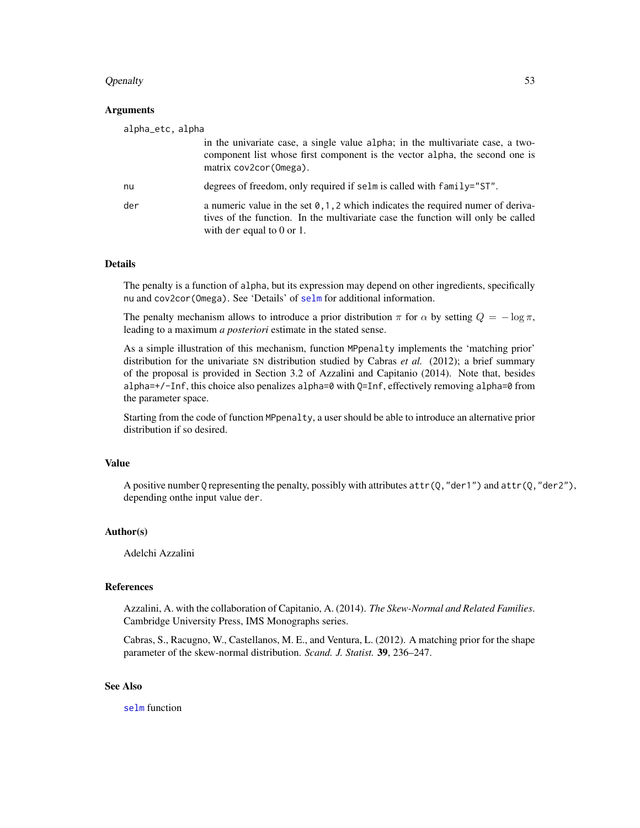## Qpenalty 53

## Arguments

| alpha_etc, alpha |                                                                                                                                                                                                       |
|------------------|-------------------------------------------------------------------------------------------------------------------------------------------------------------------------------------------------------|
|                  | in the univariate case, a single value alpha; in the multivariate case, a two-<br>component list whose first component is the vector alpha, the second one is<br>matrix cov2cor (Omega).              |
| nu               | degrees of freedom, only required if selm is called with family="ST".                                                                                                                                 |
| der              | a numeric value in the set $0, 1, 2$ which indicates the required numer of deriva-<br>tives of the function. In the multivariate case the function will only be called<br>with der equal to $0$ or 1. |

# Details

The penalty is a function of alpha, but its expression may depend on other ingredients, specifically nu and cov2cor(Omega). See 'Details' of [selm](#page-57-0) for additional information.

The penalty mechanism allows to introduce a prior distribution  $\pi$  for  $\alpha$  by setting  $Q = -\log \pi$ , leading to a maximum *a posteriori* estimate in the stated sense.

As a simple illustration of this mechanism, function MPpenalty implements the 'matching prior' distribution for the univariate SN distribution studied by Cabras *et al.* (2012); a brief summary of the proposal is provided in Section 3.2 of Azzalini and Capitanio (2014). Note that, besides alpha=+/-Inf, this choice also penalizes alpha=0 with Q=Inf, effectively removing alpha=0 from the parameter space.

Starting from the code of function MPpenalty, a user should be able to introduce an alternative prior distribution if so desired.

## Value

A positive number Q representing the penalty, possibly with attributes  $attr(0, "der1")$  and  $attr(0, "der2")$ , depending onthe input value der.

## Author(s)

Adelchi Azzalini

#### References

Azzalini, A. with the collaboration of Capitanio, A. (2014). *The Skew-Normal and Related Families*. Cambridge University Press, IMS Monographs series.

Cabras, S., Racugno, W., Castellanos, M. E., and Ventura, L. (2012). A matching prior for the shape parameter of the skew-normal distribution. *Scand. J. Statist.* 39, 236–247.

# See Also

[selm](#page-57-0) function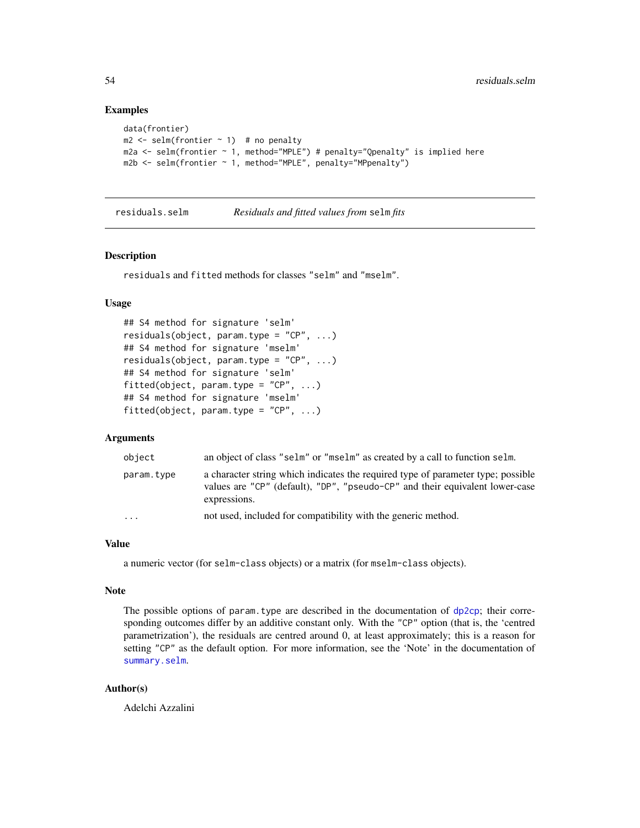# Examples

```
data(frontier)
m2 \le - selm(frontier \sim 1) # no penalty
m2a \leq selm(frontier \sim 1, method="MPLE") # penalty="Openalty" is implied here
m2b <- selm(frontier ~ 1, method="MPLE", penalty="MPpenalty")
```
<span id="page-53-0"></span>residuals.selm *Residuals and fitted values from* selm *fits*

#### Description

residuals and fitted methods for classes "selm" and "mselm".

# Usage

```
## S4 method for signature 'selm'
residuals(object, param.type = "CP", ...)
## S4 method for signature 'mselm'
residuals(object, param.type = "CP", ...)
## S4 method for signature 'selm'
fitted(object, param.type = "CP", ...)
## S4 method for signature 'mselm'
fitted(object, param.type = "CP", \dots)
```
# Arguments

| object     | an object of class "selm" or "mselm" as created by a call to function selm.                                                                                                      |
|------------|----------------------------------------------------------------------------------------------------------------------------------------------------------------------------------|
| param.type | a character string which indicates the required type of parameter type; possible<br>values are "CP" (default), "DP", "pseudo-CP" and their equivalent lower-case<br>expressions. |
| $\ddotsc$  | not used, included for compatibility with the generic method.                                                                                                                    |

#### Value

a numeric vector (for selm-class objects) or a matrix (for mselm-class objects).

#### Note

The possible options of param.type are described in the documentation of  $dp2cp$ ; their corresponding outcomes differ by an additive constant only. With the "CP" option (that is, the 'centred parametrization'), the residuals are centred around 0, at least approximately; this is a reason for setting "CP" as the default option. For more information, see the 'Note' in the documentation of [summary.selm](#page-78-0).

# Author(s)

Adelchi Azzalini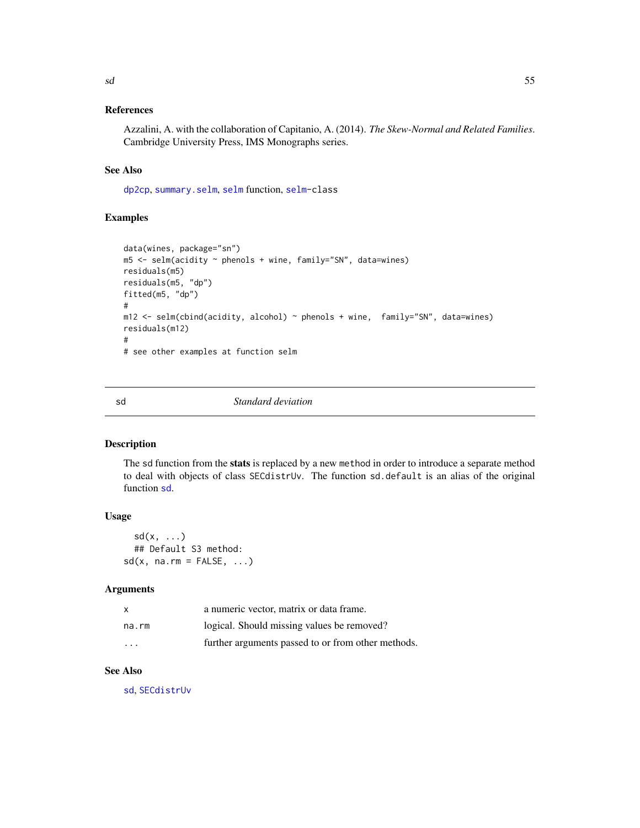# References

Azzalini, A. with the collaboration of Capitanio, A. (2014). *The Skew-Normal and Related Families*. Cambridge University Press, IMS Monographs series.

# See Also

[dp2cp](#page-18-0), [summary.selm](#page-78-0), [selm](#page-57-0) function, [selm-](#page-63-0)class

# Examples

```
data(wines, package="sn")
m5 <- selm(acidity ~ phenols + wine, family="SN", data=wines)
residuals(m5)
residuals(m5, "dp")
fitted(m5, "dp")
#
m12 \le selm(cbind(acidity, alcohol) \sim phenols + wine, family="SN", data=wines)
residuals(m12)
#
# see other examples at function selm
```
<span id="page-54-0"></span>sd *Standard deviation*

# Description

The sd function from the stats is replaced by a new method in order to introduce a separate method to deal with objects of class SECdistrUv. The function sd.default is an alias of the original function [sd](#page-54-0).

# Usage

 $sd(x, \ldots)$ ## Default S3 method:  $sd(x, na.rm = FALSE, ...)$ 

#### Arguments

| x                       | a numeric vector, matrix or data frame.            |
|-------------------------|----------------------------------------------------|
| na.rm                   | logical. Should missing values be removed?         |
| $\cdot$ $\cdot$ $\cdot$ | further arguments passed to or from other methods. |

# See Also

[sd](#page-54-0), [SECdistrUv](#page-56-0)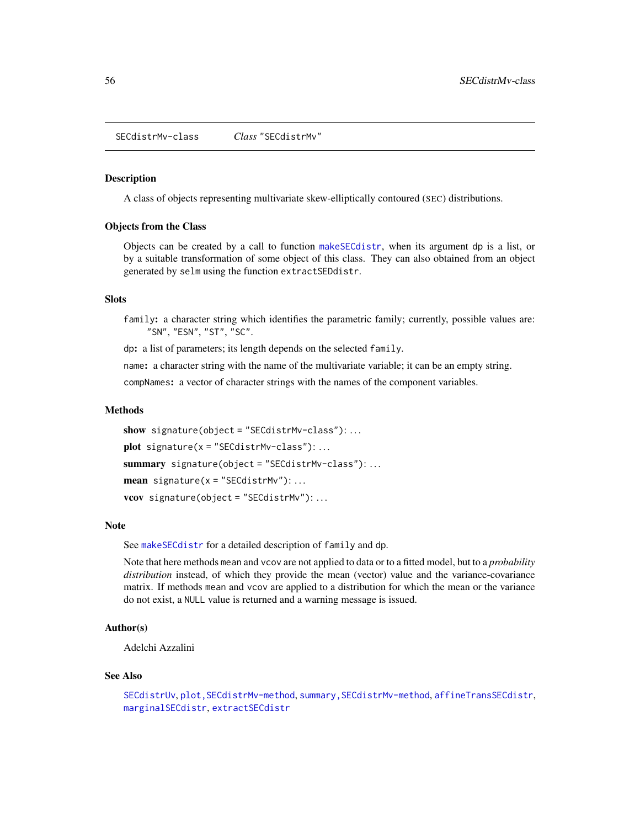<span id="page-55-0"></span>SECdistrMv-class *Class* "SECdistrMv"

## Description

A class of objects representing multivariate skew-elliptically contoured (SEC) distributions.

#### Objects from the Class

Objects can be created by a call to function [makeSECdistr](#page-31-0), when its argument dp is a list, or by a suitable transformation of some object of this class. They can also obtained from an object generated by selm using the function extractSEDdistr.

# **Slots**

family: a character string which identifies the parametric family; currently, possible values are: "SN", "ESN", "ST", "SC".

dp: a list of parameters; its length depends on the selected family.

name: a character string with the name of the multivariate variable; it can be an empty string.

compNames: a vector of character strings with the names of the component variables.

#### Methods

show signature(object = "SECdistrMv-class"):... plot signature( $x =$  "SECdistrMv-class"): ... summary signature(object = "SECdistrMv-class"): ... mean signature( $x =$ "SECdistrMv"):... vcov signature(object = "SECdistrMv"): . . .

#### Note

See [makeSECdistr](#page-31-0) for a detailed description of family and dp.

Note that here methods mean and vcov are not applied to data or to a fitted model, but to a *probability distribution* instead, of which they provide the mean (vector) value and the variance-covariance matrix. If methods mean and vcov are applied to a distribution for which the mean or the variance do not exist, a NULL value is returned and a warning message is issued.

# Author(s)

Adelchi Azzalini

#### See Also

```
SECdistrUv, plot,SECdistrMv-method, summary,SECdistrMv-method, affineTransSECdistr,
marginalSECdistr, extractSECdistr
```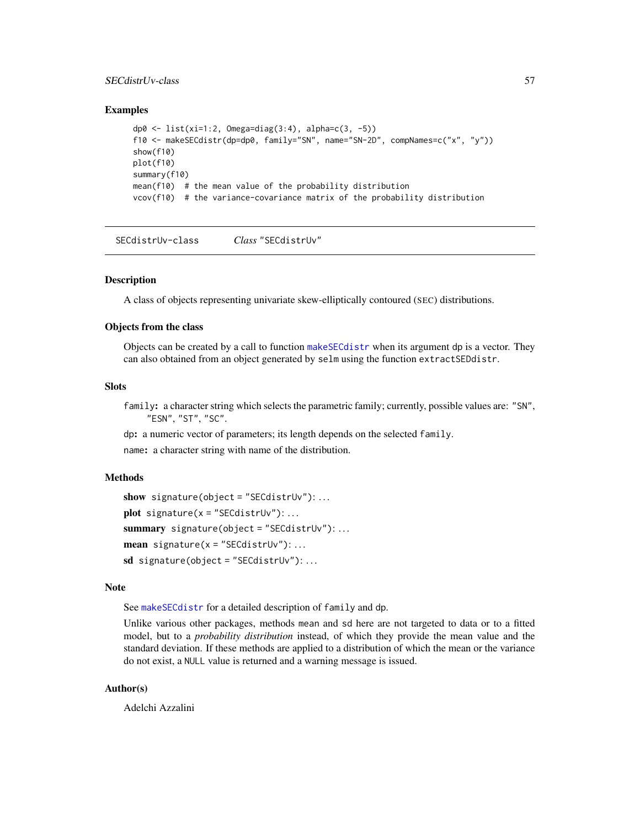# SECdistrUv-class 57

## Examples

```
dp0 <- list(xi=1:2, Omega=diag(3:4), alpha=c(3, -5))
f10 <- makeSECdistr(dp=dp0, family="SN", name="SN-2D", compNames=c("x", "y"))
show(f10)
plot(f10)
summary(f10)
mean(f10) # the mean value of the probability distribution
vcov(f10) # the variance-covariance matrix of the probability distribution
```
<span id="page-56-0"></span>SECdistrUv-class *Class* "SECdistrUv"

## Description

A class of objects representing univariate skew-elliptically contoured (SEC) distributions.

# Objects from the class

Objects can be created by a call to function [makeSECdistr](#page-31-0) when its argument dp is a vector. They can also obtained from an object generated by selm using the function extractSEDdistr.

#### Slots

family: a character string which selects the parametric family; currently, possible values are: "SN", "ESN", "ST", "SC".

dp: a numeric vector of parameters; its length depends on the selected family.

name: a character string with name of the distribution.

## Methods

```
show signature(object = "SECdistrUv"): ...
plot signature(x ="SECdistrUv"):...
summary signature(object = "SECdistrUv"): ...
mean signature(x ="SECdistrUv"):...
sd signature(object = "SECdistrUv"): ...
```
#### Note

See [makeSECdistr](#page-31-0) for a detailed description of family and dp.

Unlike various other packages, methods mean and sd here are not targeted to data or to a fitted model, but to a *probability distribution* instead, of which they provide the mean value and the standard deviation. If these methods are applied to a distribution of which the mean or the variance do not exist, a NULL value is returned and a warning message is issued.

# Author(s)

Adelchi Azzalini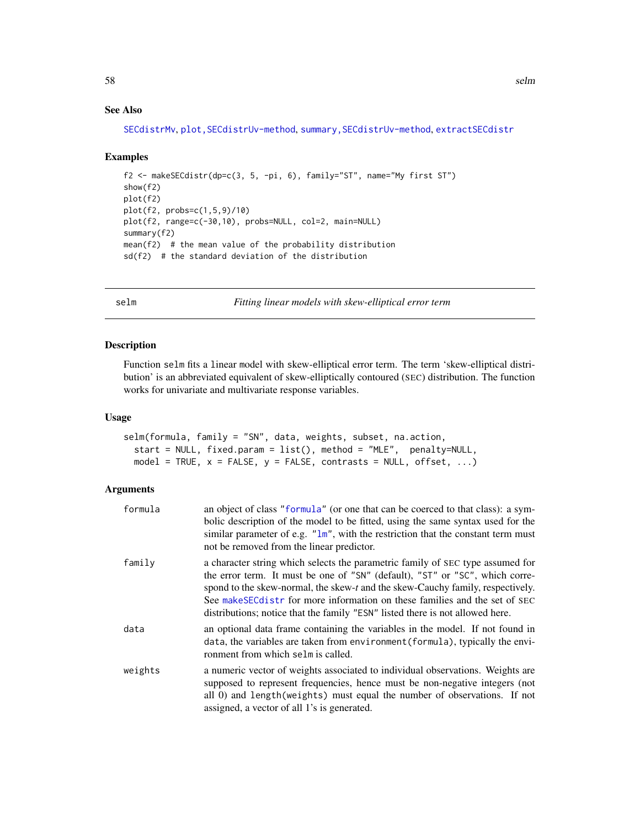# See Also

[SECdistrMv](#page-55-0), [plot,SECdistrUv-method](#page-0-0), [summary,SECdistrUv-method](#page-0-0), [extractSECdistr](#page-26-0)

#### Examples

```
f2 <- makeSECdistr(dp=c(3, 5, -pi, 6), family="ST", name="My first ST")
show(f2)
plot(f2)
plot(f2, probs=c(1,5,9)/10)
plot(f2, range=c(-30,10), probs=NULL, col=2, main=NULL)
summary(f2)
mean(f2) # the mean value of the probability distribution
sd(f2) # the standard deviation of the distribution
```
<span id="page-57-0"></span>selm *Fitting linear models with skew-elliptical error term*

# Description

Function selm fits a linear model with skew-elliptical error term. The term 'skew-elliptical distribution' is an abbreviated equivalent of skew-elliptically contoured (SEC) distribution. The function works for univariate and multivariate response variables.

## Usage

```
selm(formula, family = "SN", data, weights, subset, na.action,
  start = NULL, fixed.param = list(), method = "MLE", penalty=NULL,
 model = TRUE, x = FALSE, y = FALSE, contrasts = NULL, offset, ...)
```
## Arguments

| formula | an object of class "formula" (or one that can be coerced to that class): a sym-<br>bolic description of the model to be fitted, using the same syntax used for the<br>similar parameter of e.g. $"lm",$ with the restriction that the constant term must<br>not be removed from the linear predictor.                                                                                                             |
|---------|-------------------------------------------------------------------------------------------------------------------------------------------------------------------------------------------------------------------------------------------------------------------------------------------------------------------------------------------------------------------------------------------------------------------|
| family  | a character string which selects the parametric family of SEC type assumed for<br>the error term. It must be one of "SN" (default), "ST" or "SC", which corre-<br>spond to the skew-normal, the skew-t and the skew-Cauchy family, respectively.<br>See make SEC distr for more information on these families and the set of SEC<br>distributions; notice that the family "ESN" listed there is not allowed here. |
| data    | an optional data frame containing the variables in the model. If not found in<br>data, the variables are taken from environment (formula), typically the envi-<br>ronment from which selm is called.                                                                                                                                                                                                              |
| weights | a numeric vector of weights associated to individual observations. Weights are<br>supposed to represent frequencies, hence must be non-negative integers (not<br>all 0) and length (weights) must equal the number of observations. If not<br>assigned, a vector of all 1's is generated.                                                                                                                         |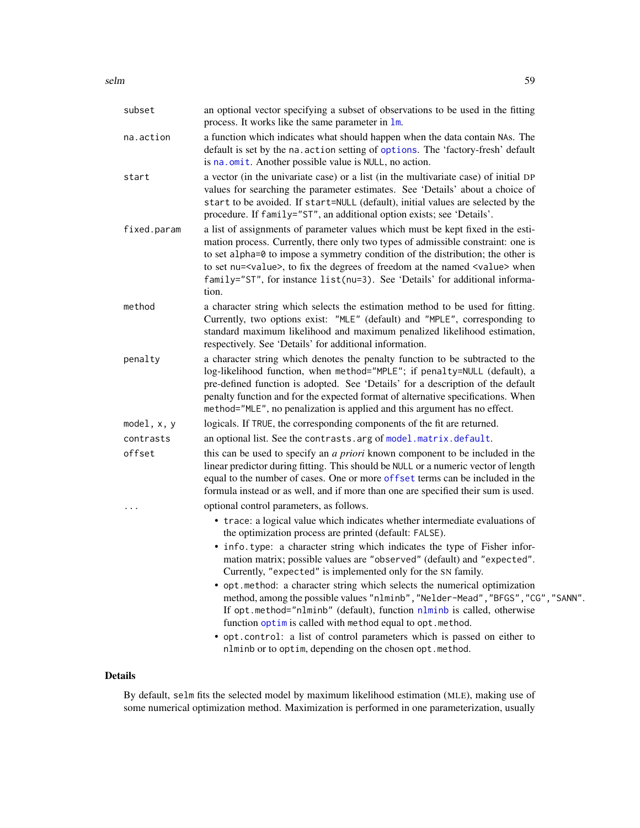| subset        | an optional vector specifying a subset of observations to be used in the fitting<br>process. It works like the same parameter in 1m.                                                                                                                                                                                                                                                                                                            |
|---------------|-------------------------------------------------------------------------------------------------------------------------------------------------------------------------------------------------------------------------------------------------------------------------------------------------------------------------------------------------------------------------------------------------------------------------------------------------|
| na.action     | a function which indicates what should happen when the data contain NAs. The<br>default is set by the na. action setting of options. The 'factory-fresh' default<br>is na. omit. Another possible value is NULL, no action.                                                                                                                                                                                                                     |
| start         | a vector (in the univariate case) or a list (in the multivariate case) of initial DP<br>values for searching the parameter estimates. See 'Details' about a choice of<br>start to be avoided. If start=NULL (default), initial values are selected by the<br>procedure. If family="ST", an additional option exists; see 'Details'.                                                                                                             |
| fixed.param   | a list of assignments of parameter values which must be kept fixed in the esti-<br>mation process. Currently, there only two types of admissible constraint: one is<br>to set alpha=0 to impose a symmetry condition of the distribution; the other is<br>to set nu= <value>, to fix the degrees of freedom at the named <value> when<br/>family="ST", for instance list(nu=3). See 'Details' for additional informa-<br/>tion.</value></value> |
| method        | a character string which selects the estimation method to be used for fitting.<br>Currently, two options exist: "MLE" (default) and "MPLE", corresponding to<br>standard maximum likelihood and maximum penalized likelihood estimation,<br>respectively. See 'Details' for additional information.                                                                                                                                             |
| penalty       | a character string which denotes the penalty function to be subtracted to the<br>log-likelihood function, when method="MPLE"; if penalty=NULL (default), a<br>pre-defined function is adopted. See 'Details' for a description of the default<br>penalty function and for the expected format of alternative specifications. When<br>method="MLE", no penalization is applied and this argument has no effect.                                  |
| model, $x, y$ | logicals. If TRUE, the corresponding components of the fit are returned.                                                                                                                                                                                                                                                                                                                                                                        |
| contrasts     | an optional list. See the contrasts. arg of model. matrix. default.                                                                                                                                                                                                                                                                                                                                                                             |
| offset        | this can be used to specify an <i>a priori</i> known component to be included in the<br>linear predictor during fitting. This should be NULL or a numeric vector of length<br>equal to the number of cases. One or more offset terms can be included in the<br>formula instead or as well, and if more than one are specified their sum is used.                                                                                                |
| .             | optional control parameters, as follows.                                                                                                                                                                                                                                                                                                                                                                                                        |
|               | • trace: a logical value which indicates whether intermediate evaluations of<br>the optimization process are printed (default: FALSE).                                                                                                                                                                                                                                                                                                          |
|               | • info.type: a character string which indicates the type of Fisher infor-<br>mation matrix; possible values are "observed" (default) and "expected".<br>Currently, "expected" is implemented only for the SN family.                                                                                                                                                                                                                            |
|               | • opt. method: a character string which selects the numerical optimization<br>method, among the possible values "nlminb", "Nelder-Mead", "BFGS", "CG", "SANN".<br>If opt.method="nlminb" (default), function nlminb is called, otherwise<br>function optim is called with method equal to opt. method.                                                                                                                                          |
|               | · opt.control: a list of control parameters which is passed on either to<br>nlminb or to optim, depending on the chosen opt. method.                                                                                                                                                                                                                                                                                                            |

# Details

By default, selm fits the selected model by maximum likelihood estimation (MLE), making use of some numerical optimization method. Maximization is performed in one parameterization, usually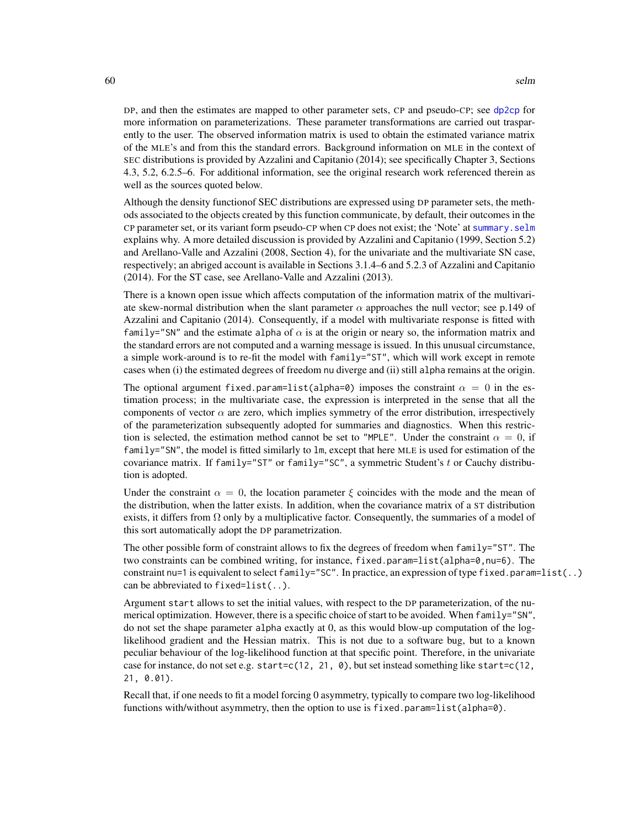DP, and then the estimates are mapped to other parameter sets, CP and pseudo-CP; see [dp2cp](#page-18-0) for more information on parameterizations. These parameter transformations are carried out trasparently to the user. The observed information matrix is used to obtain the estimated variance matrix of the MLE's and from this the standard errors. Background information on MLE in the context of SEC distributions is provided by Azzalini and Capitanio (2014); see specifically Chapter 3, Sections 4.3, 5.2, 6.2.5–6. For additional information, see the original research work referenced therein as well as the sources quoted below.

Although the density functionof SEC distributions are expressed using DP parameter sets, the methods associated to the objects created by this function communicate, by default, their outcomes in the CP parameter set, or its variant form pseudo-CP when CP does not exist; the 'Note' at [summary.selm](#page-78-0) explains why. A more detailed discussion is provided by Azzalini and Capitanio (1999, Section 5.2) and Arellano-Valle and Azzalini (2008, Section 4), for the univariate and the multivariate SN case, respectively; an abriged account is available in Sections 3.1.4–6 and 5.2.3 of Azzalini and Capitanio (2014). For the ST case, see Arellano-Valle and Azzalini (2013).

There is a known open issue which affects computation of the information matrix of the multivariate skew-normal distribution when the slant parameter  $\alpha$  approaches the null vector; see p.149 of Azzalini and Capitanio (2014). Consequently, if a model with multivariate response is fitted with family="SN" and the estimate alpha of  $\alpha$  is at the origin or neary so, the information matrix and the standard errors are not computed and a warning message is issued. In this unusual circumstance, a simple work-around is to re-fit the model with family="ST", which will work except in remote cases when (i) the estimated degrees of freedom nu diverge and (ii) still alpha remains at the origin.

The optional argument fixed.param=list(alpha=0) imposes the constraint  $\alpha = 0$  in the estimation process; in the multivariate case, the expression is interpreted in the sense that all the components of vector  $\alpha$  are zero, which implies symmetry of the error distribution, irrespectively of the parameterization subsequently adopted for summaries and diagnostics. When this restriction is selected, the estimation method cannot be set to "MPLE". Under the constraint  $\alpha = 0$ , if  $family="SN"$ , the model is fitted similarly to  $lm$ , except that here MLE is used for estimation of the covariance matrix. If  $f$ amily="ST" or  $f$ amily="SC", a symmetric Student's t or Cauchy distribution is adopted.

Under the constraint  $\alpha = 0$ , the location parameter  $\xi$  coincides with the mode and the mean of the distribution, when the latter exists. In addition, when the covariance matrix of a ST distribution exists, it differs from  $\Omega$  only by a multiplicative factor. Consequently, the summaries of a model of this sort automatically adopt the DP parametrization.

The other possible form of constraint allows to fix the degrees of freedom when family="ST". The two constraints can be combined writing, for instance,  $fixed.parent=list(alpha=0, nu=6)$ . The constraint nu=1 is equivalent to select family="SC". In practice, an expression of type fixed.param=list(..) can be abbreviated to fixed=list(..).

Argument start allows to set the initial values, with respect to the DP parameterization, of the numerical optimization. However, there is a specific choice of start to be avoided. When family="SN", do not set the shape parameter alpha exactly at 0, as this would blow-up computation of the loglikelihood gradient and the Hessian matrix. This is not due to a software bug, but to a known peculiar behaviour of the log-likelihood function at that specific point. Therefore, in the univariate case for instance, do not set e.g. start=c(12, 21, 0), but set instead something like start=c(12, 21, 0.01).

Recall that, if one needs to fit a model forcing 0 asymmetry, typically to compare two log-likelihood functions with/without asymmetry, then the option to use is fixed.param=list(alpha=0).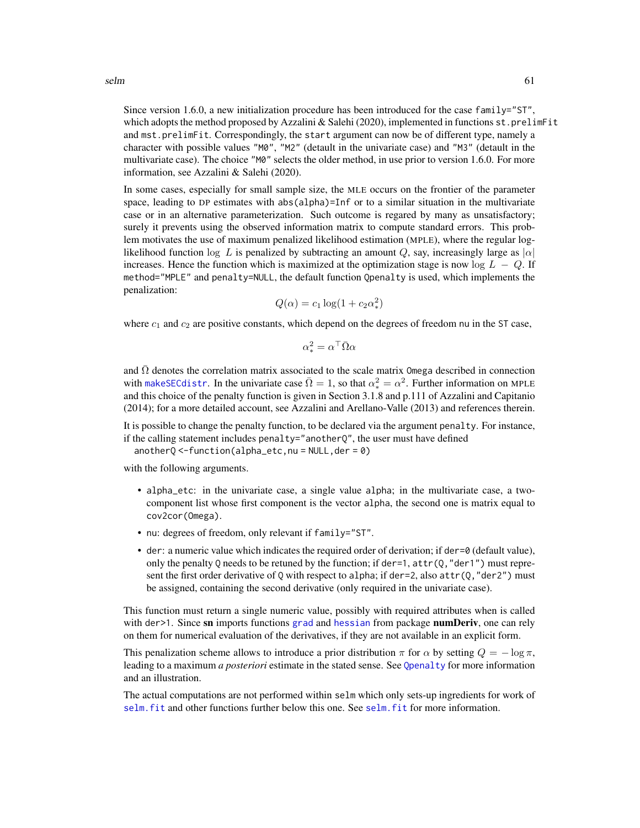Since version 1.6.0, a new initialization procedure has been introduced for the case family="ST", which adopts the method proposed by Azzalini  $&$  Salehi (2020), implemented in functions  $st$ .prelimFit and mst.prelimFit. Correspondingly, the start argument can now be of different type, namely a character with possible values "M0", "M2" (detault in the univariate case) and "M3" (detault in the multivariate case). The choice "M0" selects the older method, in use prior to version 1.6.0. For more information, see Azzalini & Salehi (2020).

In some cases, especially for small sample size, the MLE occurs on the frontier of the parameter space, leading to DP estimates with abs(alpha)=Inf or to a similar situation in the multivariate case or in an alternative parameterization. Such outcome is regared by many as unsatisfactory; surely it prevents using the observed information matrix to compute standard errors. This problem motivates the use of maximum penalized likelihood estimation (MPLE), where the regular loglikelihood function log L is penalized by subtracting an amount Q, say, increasingly large as  $|\alpha|$ increases. Hence the function which is maximized at the optimization stage is now  $log L - Q$ . If method="MPLE" and penalty=NULL, the default function Qpenalty is used, which implements the penalization:

$$
Q(\alpha) = c_1 \log(1 + c_2 \alpha_*^2)
$$

where  $c_1$  and  $c_2$  are positive constants, which depend on the degrees of freedom nu in the ST case,

$$
\alpha_*^2 = \alpha^\top \bar{\Omega} \alpha
$$

and  $\overline{\Omega}$  denotes the correlation matrix associated to the scale matrix Omega described in connection with make SEC distr. In the univariate case  $\overline{\Omega} = 1$ , so that  $\alpha_*^2 = \alpha^2$ . Further information on MPLE and this choice of the penalty function is given in Section 3.1.8 and p.111 of Azzalini and Capitanio (2014); for a more detailed account, see Azzalini and Arellano-Valle (2013) and references therein.

It is possible to change the penalty function, to be declared via the argument penalty. For instance, if the calling statement includes penalty="another $O$ ", the user must have defined

 $anotherQ < -function(alpha pha_e etc, nu = NULL, der = 0)$ 

with the following arguments.

- alpha\_etc: in the univariate case, a single value alpha; in the multivariate case, a twocomponent list whose first component is the vector alpha, the second one is matrix equal to cov2cor(Omega).
- nu: degrees of freedom, only relevant if family="ST".
- der: a numeric value which indicates the required order of derivation; if der=0 (default value), only the penalty 0 needs to be retuned by the function; if der=1,  $attr(0, "der1")$  must represent the first order derivative of Q with respect to alpha; if der=2, also  $attr(Q, "der2")$  must be assigned, containing the second derivative (only required in the univariate case).

This function must return a single numeric value, possibly with required attributes when is called with der  $>1$ . Since sn imports functions [grad](#page-0-0) and [hessian](#page-0-0) from package **numDeriv**, one can rely on them for numerical evaluation of the derivatives, if they are not available in an explicit form.

This penalization scheme allows to introduce a prior distribution  $\pi$  for  $\alpha$  by setting  $Q = -\log \pi$ , leading to a maximum *a posteriori* estimate in the stated sense. See [Qpenalty](#page-51-0) for more information and an illustration.

The actual computations are not performed within selm which only sets-up ingredients for work of [selm.fit](#page-65-0) and other functions further below this one. See [selm.fit](#page-65-0) for more information.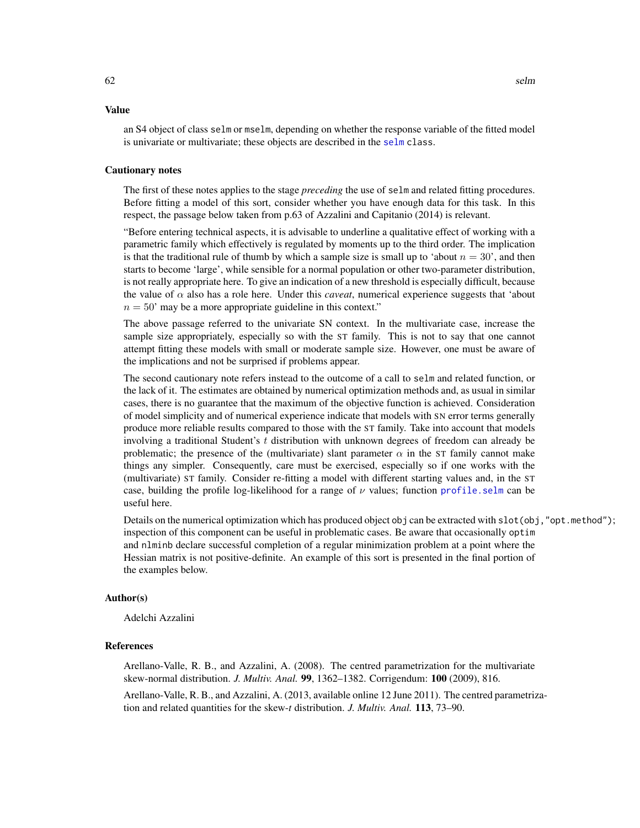#### Value

an S4 object of class selm or mselm, depending on whether the response variable of the fitted model is univariate or multivariate; these objects are described in the [selm](#page-63-0) class.

#### Cautionary notes

The first of these notes applies to the stage *preceding* the use of selm and related fitting procedures. Before fitting a model of this sort, consider whether you have enough data for this task. In this respect, the passage below taken from p.63 of Azzalini and Capitanio (2014) is relevant.

"Before entering technical aspects, it is advisable to underline a qualitative effect of working with a parametric family which effectively is regulated by moments up to the third order. The implication is that the traditional rule of thumb by which a sample size is small up to 'about  $n = 30$ ', and then starts to become 'large', while sensible for a normal population or other two-parameter distribution, is not really appropriate here. To give an indication of a new threshold is especially difficult, because the value of  $\alpha$  also has a role here. Under this *caveat*, numerical experience suggests that 'about  $n = 50'$  may be a more appropriate guideline in this context."

The above passage referred to the univariate SN context. In the multivariate case, increase the sample size appropriately, especially so with the ST family. This is not to say that one cannot attempt fitting these models with small or moderate sample size. However, one must be aware of the implications and not be surprised if problems appear.

The second cautionary note refers instead to the outcome of a call to selm and related function, or the lack of it. The estimates are obtained by numerical optimization methods and, as usual in similar cases, there is no guarantee that the maximum of the objective function is achieved. Consideration of model simplicity and of numerical experience indicate that models with SN error terms generally produce more reliable results compared to those with the ST family. Take into account that models involving a traditional Student's t distribution with unknown degrees of freedom can already be problematic; the presence of the (multivariate) slant parameter  $\alpha$  in the ST family cannot make things any simpler. Consequently, care must be exercised, especially so if one works with the (multivariate) ST family. Consider re-fitting a model with different starting values and, in the ST case, building the profile log-likelihood for a range of  $\nu$  values; function profile. selm can be useful here.

Details on the numerical optimization which has produced object obj can be extracted with slot(obj,"opt.method"); inspection of this component can be useful in problematic cases. Be aware that occasionally optim and nlminb declare successful completion of a regular minimization problem at a point where the Hessian matrix is not positive-definite. An example of this sort is presented in the final portion of the examples below.

#### Author(s)

Adelchi Azzalini

# **References**

Arellano-Valle, R. B., and Azzalini, A. (2008). The centred parametrization for the multivariate skew-normal distribution. *J. Multiv. Anal.* 99, 1362–1382. Corrigendum: 100 (2009), 816. Arellano-Valle, R. B., and Azzalini, A. (2013, available online 12 June 2011). The centred parametrization and related quantities for the skew-*t* distribution. *J. Multiv. Anal.* 113, 73–90.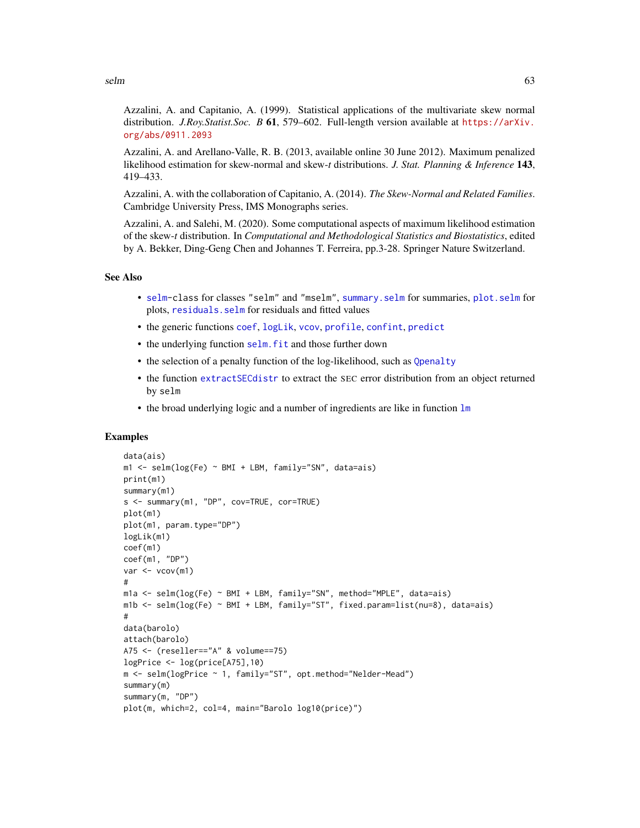Azzalini, A. and Capitanio, A. (1999). Statistical applications of the multivariate skew normal distribution. *J.Roy.Statist.Soc. B* 61, 579–602. Full-length version available at [https://arXiv.](https://arXiv.org/abs/0911.2093) [org/abs/0911.2093](https://arXiv.org/abs/0911.2093)

Azzalini, A. and Arellano-Valle, R. B. (2013, available online 30 June 2012). Maximum penalized likelihood estimation for skew-normal and skew-*t* distributions. *J. Stat. Planning & Inference* 143, 419–433.

Azzalini, A. with the collaboration of Capitanio, A. (2014). *The Skew-Normal and Related Families*. Cambridge University Press, IMS Monographs series.

Azzalini, A. and Salehi, M. (2020). Some computational aspects of maximum likelihood estimation of the skew-*t* distribution. In *Computational and Methodological Statistics and Biostatistics*, edited by A. Bekker, Ding-Geng Chen and Johannes T. Ferreira, pp.3-28. Springer Nature Switzerland.

#### See Also

- [selm-](#page-63-0)class for classes "selm" and "mselm", [summary.selm](#page-78-0) for summaries, [plot.selm](#page-42-0) for plots, [residuals.selm](#page-53-0) for residuals and fitted values
- the generic functions [coef](#page-0-0), [logLik](#page-0-0), [vcov](#page-0-0), [profile](#page-0-0), [confint](#page-0-0), [predict](#page-0-0)
- the underlying function selm. fit and those further down
- the selection of a penalty function of the log-likelihood, such as [Qpenalty](#page-51-0)
- the function [extractSECdistr](#page-26-0) to extract the SEC error distribution from an object returned by selm
- the broad underlying logic and a number of ingredients are like in function  $\text{lm}$  $\text{lm}$  $\text{lm}$

# Examples

```
data(ais)
m1 \le - selm(log(Fe) \sim BMI + LBM, family="SN", data=ais)
print(m1)
summary(m1)
s <- summary(m1, "DP", cov=TRUE, cor=TRUE)
plot(m1)
plot(m1, param.type="DP")
logLik(m1)
coef(m1)
coef(m1, "DP")
var < - vcov(m1)
#
m1a <- selm(log(Fe) ~ BMI + LBM, family="SN", method="MPLE", data=ais)
m1b <- selm(log(Fe) ~ BMI + LBM, family="ST", fixed.param=list(nu=8), data=ais)
#
data(barolo)
attach(barolo)
A75 <- (reseller=="A" & volume==75)
logPrice <- log(price[A75],10)
m <- selm(logPrice ~ 1, family="ST", opt.method="Nelder-Mead")
summary(m)
summary(m, "DP")
plot(m, which=2, col=4, main="Barolo log10(price)")
```
selm 63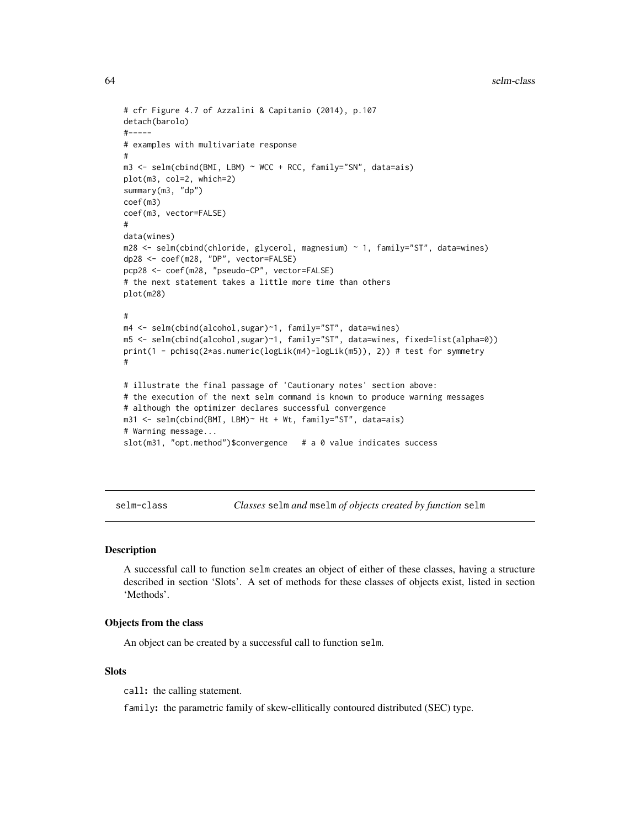#### 64 selm-class selm-class selm-class selm-class selm-class selm-class selm-class selm-class selm-class selm-class selm-class selm-class selm-class selm-class selm-class selm-class selm-class selm-class selm-class selm-class

```
# cfr Figure 4.7 of Azzalini & Capitanio (2014), p.107
detach(barolo)
#-----
# examples with multivariate response
#
m3 <- selm(cbind(BMI, LBM) ~ WCC + RCC, family="SN", data=ais)
plot(m3, col=2, which=2)
summary(m3, "dp")
coef(m3)
coef(m3, vector=FALSE)
#
data(wines)
m28 <- selm(cbind(chloride, glycerol, magnesium) ~ 1, family="ST", data=wines)
dp28 <- coef(m28, "DP", vector=FALSE)
pcp28 <- coef(m28, "pseudo-CP", vector=FALSE)
# the next statement takes a little more time than others
plot(m28)
#
m4 <- selm(cbind(alcohol,sugar)~1, family="ST", data=wines)
m5 <- selm(cbind(alcohol,sugar)~1, family="ST", data=wines, fixed=list(alpha=0))
print(1 - pchisq(2*as.numeric(logLik(m4)-logLik(m5)), 2)) # test for symmetry
#
# illustrate the final passage of 'Cautionary notes' section above:
# the execution of the next selm command is known to produce warning messages
# although the optimizer declares successful convergence
m31 <- selm(cbind(BMI, LBM)~ Ht + Wt, family="ST", data=ais)
# Warning message...
slot(m31, "opt.method")$convergence # a 0 value indicates success
```
<span id="page-63-0"></span>selm-class *Classes* selm *and* mselm *of objects created by function* selm

# **Description**

A successful call to function selm creates an object of either of these classes, having a structure described in section 'Slots'. A set of methods for these classes of objects exist, listed in section 'Methods'.

#### Objects from the class

An object can be created by a successful call to function selm.

# **Slots**

call: the calling statement.

family: the parametric family of skew-ellitically contoured distributed (SEC) type.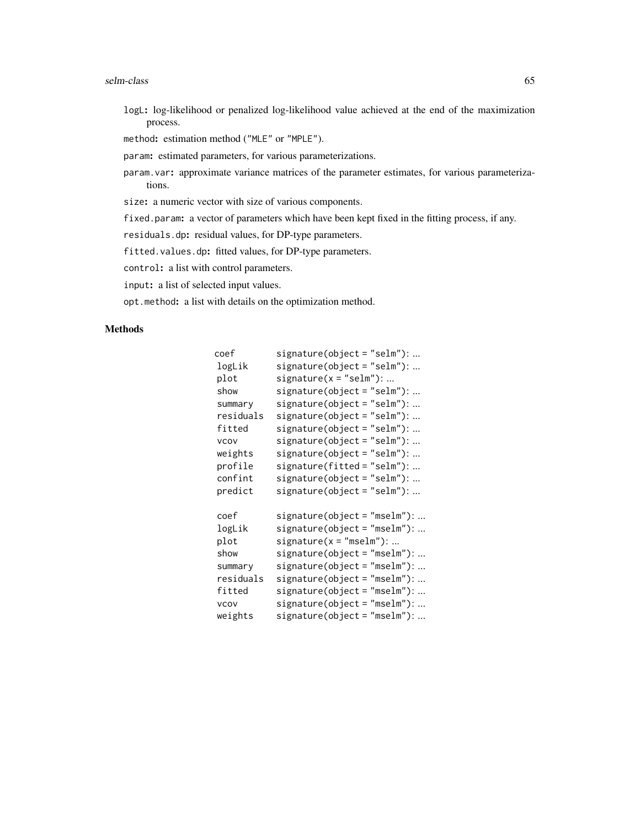#### selm-class 65

logL: log-likelihood or penalized log-likelihood value achieved at the end of the maximization process.

method: estimation method ("MLE" or "MPLE").

param: estimated parameters, for various parameterizations.

param.var: approximate variance matrices of the parameter estimates, for various parameterizations.

size: a numeric vector with size of various components.

fixed.param: a vector of parameters which have been kept fixed in the fitting process, if any.

residuals.dp: residual values, for DP-type parameters.

fitted.values.dp: fitted values, for DP-type parameters.

control: a list with control parameters.

input: a list of selected input values.

opt.method: a list with details on the optimization method.

# Methods

| coef        | $signature(object = "selm"): $  |
|-------------|---------------------------------|
| logLik      | $signature(object = "selm"): $  |
| plot        | $signature(x = "selm"); $       |
| show        | $signature(object = "selm"): $  |
| summary     | $signature(object = "selm"): $  |
| residuals   | $signature(object = "selm"): $  |
| fitted      | signature(object = "selm"):     |
| <b>VCOV</b> | signature(object="selm"):       |
| weights     | $signature(object = "selm"): $  |
| profile     | $signature(fitted = "selm");$   |
| confint     | $signature(object = "selm"): $  |
| predict     | $signature(object = "selm"): $  |
| coef        | signature(object="mselm"):      |
| logLik      | signature(object="mselm"):      |
| plot        | $signature(x = "mselm")$ :      |
| show        | signature(object="mselm"):      |
| summary     | signature(object="mselm"):      |
| residuals   | signature(object="mselm"):      |
| fitted      | signature(object="mselm"):      |
| <b>VCOV</b> | signature(object="mselm"):      |
| weights     | $signature(object = "mselm")$ : |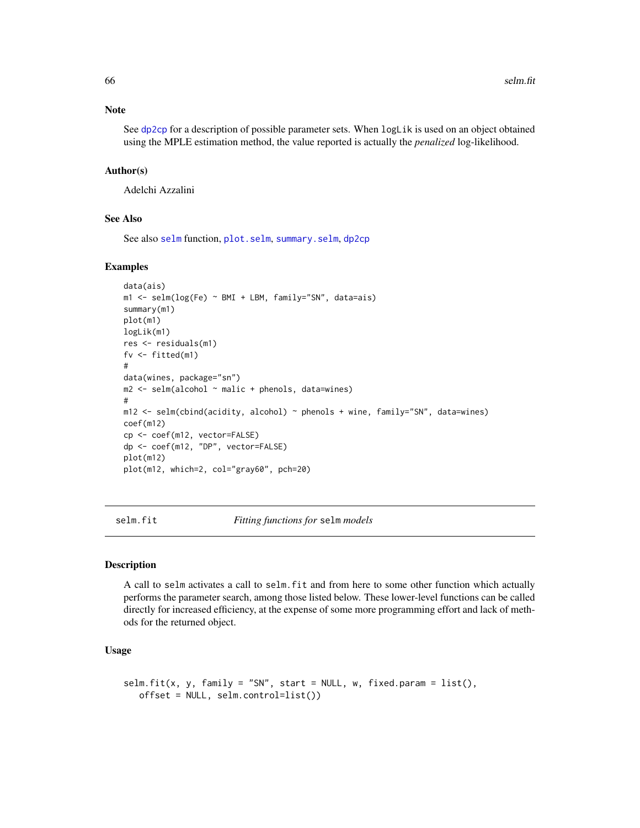# Note

See [dp2cp](#page-18-0) for a description of possible parameter sets. When logLik is used on an object obtained using the MPLE estimation method, the value reported is actually the *penalized* log-likelihood.

# Author(s)

Adelchi Azzalini

# See Also

See also [selm](#page-57-0) function, [plot.selm](#page-42-0), [summary.selm](#page-78-1), [dp2cp](#page-18-0)

#### Examples

```
data(ais)
m1 <- selm(log(Fe) ~ BMI + LBM, family="SN", data=ais)
summary(m1)
plot(m1)
logLik(m1)
res <- residuals(m1)
fv <- fitted(m1)
#
data(wines, package="sn")
m2 \le - selm(alcohol \sim malic + phenols, data=wines)
#
m12 \le selm(cbind(acidity, alcohol) \sim phenols + wine, family="SN", data=wines)
coef(m12)
cp <- coef(m12, vector=FALSE)
dp <- coef(m12, "DP", vector=FALSE)
plot(m12)
plot(m12, which=2, col="gray60", pch=20)
```
<span id="page-65-0"></span>selm.fit *Fitting functions for* selm *models*

## **Description**

A call to selm activates a call to selm.fit and from here to some other function which actually performs the parameter search, among those listed below. These lower-level functions can be called directly for increased efficiency, at the expense of some more programming effort and lack of methods for the returned object.

## Usage

```
selm.fit(x, y, family = "SN", start = NULL, w, fixed.param = list(),
   offset = NULL, selm.control=list())
```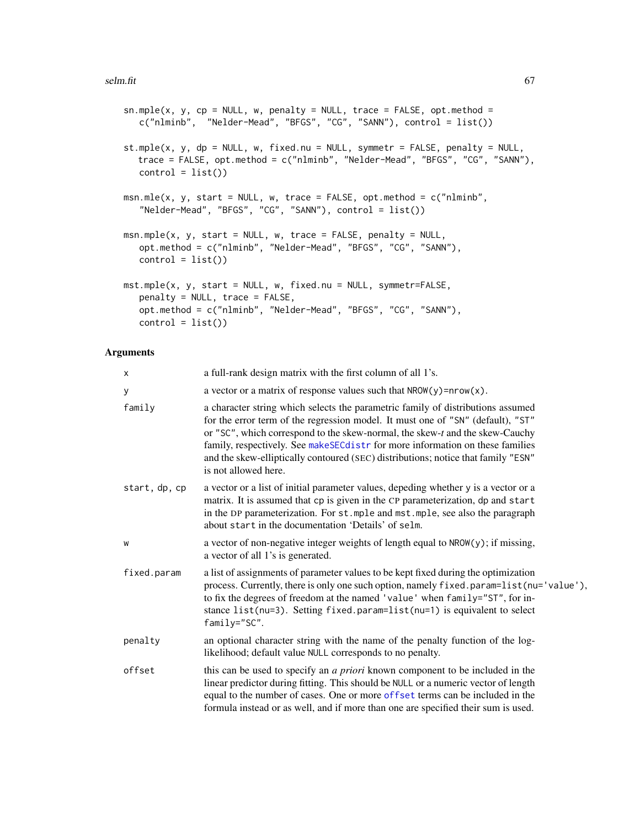```
sn.\text{mple}(x, y, cp = \text{NULL}, w, penalty = \text{NULL}, trace = \text{FALSE}, opt.\text{method} =c("nlminb", "Nelder-Mead", "BFGS", "CG", "SANN"), control = list())
st.mple(x, y, dp = NULL, w, fixed.nu = NULL, symmetr = FALSE, penalty = NULL,
  trace = FALSE, opt.method = c("nlminb", "Nelder-Mead", "BFGS", "CG", "SANN"),
   control = list()msn.mle(x, y, start = NULL, w, trace = FALSE, opt.method = c("nlminb","Nelder-Mead", "BFGS", "CG", "SANN"), control = list())
msn.mple(x, y, start = NULL, w, trace = FALSE, penalty = NULL,opt.method = c("nlminb", "Nelder-Mead", "BFGS", "CG", "SANN"),
   control = list()mst.mple(x, y, start = NULL, w, fixed.nu = NULL, symmetr=FALSE,
   penalty = NULL, trace = FALSE,
   opt.method = c("nlminb", "Nelder-Mead", "BFGS", "CG", "SANN"),
   control = list()
```
#### Arguments

| x             | a full-rank design matrix with the first column of all 1's.                                                                                                                                                                                                                                                                                                                                                                                      |
|---------------|--------------------------------------------------------------------------------------------------------------------------------------------------------------------------------------------------------------------------------------------------------------------------------------------------------------------------------------------------------------------------------------------------------------------------------------------------|
| у             | a vector or a matrix of response values such that $NROW(y) = nrow(x)$ .                                                                                                                                                                                                                                                                                                                                                                          |
| family        | a character string which selects the parametric family of distributions assumed<br>for the error term of the regression model. It must one of "SN" (default), "ST"<br>or "SC", which correspond to the skew-normal, the skew-t and the skew-Cauchy<br>family, respectively. See makeSECdistr for more information on these families<br>and the skew-elliptically contoured (SEC) distributions; notice that family "ESN"<br>is not allowed here. |
| start, dp, cp | a vector or a list of initial parameter values, depeding whether y is a vector or a<br>matrix. It is assumed that cp is given in the CP parameterization, dp and start<br>in the DP parameterization. For st. mple and mst. mple, see also the paragraph<br>about start in the documentation 'Details' of selm.                                                                                                                                  |
| W             | a vector of non-negative integer weights of length equal to NROW(y); if missing,<br>a vector of all 1's is generated.                                                                                                                                                                                                                                                                                                                            |
| fixed.param   | a list of assignments of parameter values to be kept fixed during the optimization<br>process. Currently, there is only one such option, namely fixed.param=list(nu='value'),<br>to fix the degrees of freedom at the named 'value' when family="ST", for in-<br>stance list(nu=3). Setting fixed.param=list(nu=1) is equivalent to select<br>family="SC".                                                                                       |
| penalty       | an optional character string with the name of the penalty function of the log-<br>likelihood; default value NULL corresponds to no penalty.                                                                                                                                                                                                                                                                                                      |
| offset        | this can be used to specify an a priori known component to be included in the<br>linear predictor during fitting. This should be NULL or a numeric vector of length<br>equal to the number of cases. One or more offset terms can be included in the<br>formula instead or as well, and if more than one are specified their sum is used.                                                                                                        |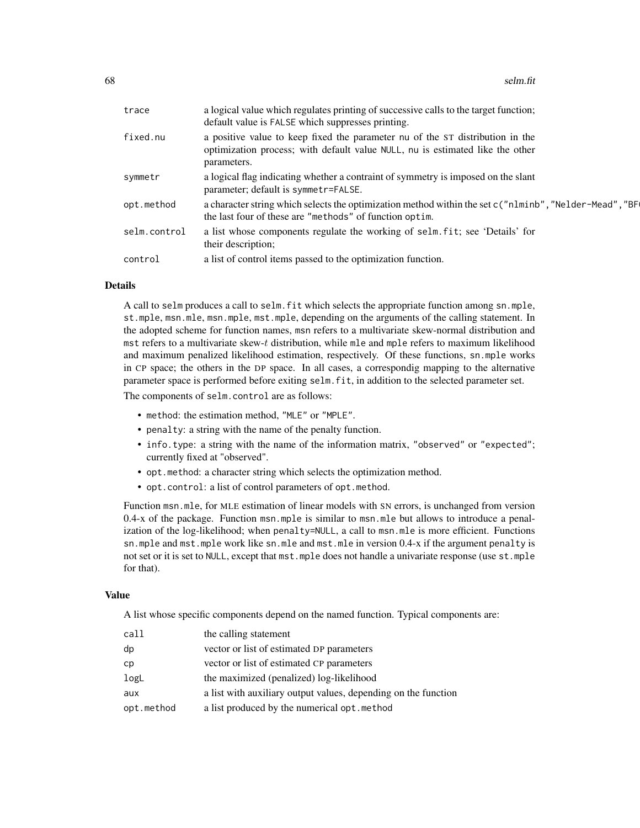| trace        | a logical value which regulates printing of successive calls to the target function;<br>default value is FALSE which suppresses printing.                                     |
|--------------|-------------------------------------------------------------------------------------------------------------------------------------------------------------------------------|
| fixed.nu     | a positive value to keep fixed the parameter nu of the ST distribution in the<br>optimization process; with default value NULL, nu is estimated like the other<br>parameters. |
| symmetr      | a logical flag indicating whether a contraint of symmetry is imposed on the slant<br>parameter; default is symmetr=FALSE.                                                     |
| opt.method   | a character string which selects the optimization method within the set c("nlminb", "Nelder-Mead", "BF<br>the last four of these are "methods" of function optim.             |
| selm.control | a list whose components regulate the working of selm. fit; see 'Details' for<br>their description;                                                                            |
| control      | a list of control items passed to the optimization function.                                                                                                                  |
|              |                                                                                                                                                                               |

## Details

A call to selm produces a call to selm.fit which selects the appropriate function among sn.mple, st.mple, msn.mle, msn.mple, mst.mple, depending on the arguments of the calling statement. In the adopted scheme for function names, msn refers to a multivariate skew-normal distribution and mst refers to a multivariate skew-t distribution, while mle and mple refers to maximum likelihood and maximum penalized likelihood estimation, respectively. Of these functions, sn.mple works in CP space; the others in the DP space. In all cases, a correspondig mapping to the alternative parameter space is performed before exiting selm.fit, in addition to the selected parameter set.

The components of selm.control are as follows:

- method: the estimation method, "MLE" or "MPLE".
- penalty: a string with the name of the penalty function.
- info.type: a string with the name of the information matrix, "observed" or "expected"; currently fixed at "observed".
- opt.method: a character string which selects the optimization method.
- opt.control: a list of control parameters of opt.method.

Function msn.mle, for MLE estimation of linear models with SN errors, is unchanged from version 0.4-x of the package. Function msn.mple is similar to msn.mle but allows to introduce a penalization of the log-likelihood; when penalty=NULL, a call to msn.mle is more efficient. Functions sn.mple and mst.mple work like sn.mle and mst.mle in version 0.4-x if the argument penalty is not set or it is set to NULL, except that mst.mple does not handle a univariate response (use st.mple for that).

#### Value

A list whose specific components depend on the named function. Typical components are:

| call       | the calling statement                                          |
|------------|----------------------------------------------------------------|
| dp         | vector or list of estimated DP parameters                      |
| cp         | vector or list of estimated CP parameters                      |
| logL       | the maximized (penalized) log-likelihood                       |
| aux        | a list with auxiliary output values, depending on the function |
| opt.method | a list produced by the numerical opt.method                    |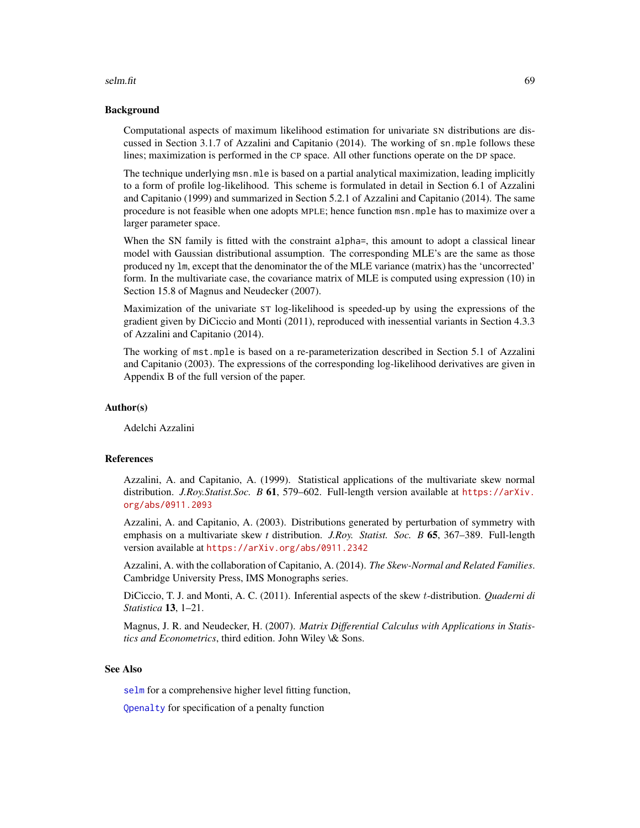#### selm.fit 69

## Background

Computational aspects of maximum likelihood estimation for univariate SN distributions are discussed in Section 3.1.7 of Azzalini and Capitanio (2014). The working of sn.mple follows these lines; maximization is performed in the CP space. All other functions operate on the DP space.

The technique underlying msn.mle is based on a partial analytical maximization, leading implicitly to a form of profile log-likelihood. This scheme is formulated in detail in Section 6.1 of Azzalini and Capitanio (1999) and summarized in Section 5.2.1 of Azzalini and Capitanio (2014). The same procedure is not feasible when one adopts MPLE; hence function msn.mple has to maximize over a larger parameter space.

When the SN family is fitted with the constraint alpha=, this amount to adopt a classical linear model with Gaussian distributional assumption. The corresponding MLE's are the same as those produced ny lm, except that the denominator the of the MLE variance (matrix) has the 'uncorrected' form. In the multivariate case, the covariance matrix of MLE is computed using expression (10) in Section 15.8 of Magnus and Neudecker (2007).

Maximization of the univariate ST log-likelihood is speeded-up by using the expressions of the gradient given by DiCiccio and Monti (2011), reproduced with inessential variants in Section 4.3.3 of Azzalini and Capitanio (2014).

The working of mst.mple is based on a re-parameterization described in Section 5.1 of Azzalini and Capitanio (2003). The expressions of the corresponding log-likelihood derivatives are given in Appendix B of the full version of the paper.

# Author(s)

Adelchi Azzalini

# References

Azzalini, A. and Capitanio, A. (1999). Statistical applications of the multivariate skew normal distribution. *J.Roy.Statist.Soc. B* 61, 579–602. Full-length version available at [https://arXiv.](https://arXiv.org/abs/0911.2093) [org/abs/0911.2093](https://arXiv.org/abs/0911.2093)

Azzalini, A. and Capitanio, A. (2003). Distributions generated by perturbation of symmetry with emphasis on a multivariate skew *t* distribution. *J.Roy. Statist. Soc. B* 65, 367–389. Full-length version available at <https://arXiv.org/abs/0911.2342>

Azzalini, A. with the collaboration of Capitanio, A. (2014). *The Skew-Normal and Related Families*. Cambridge University Press, IMS Monographs series.

DiCiccio, T. J. and Monti, A. C. (2011). Inferential aspects of the skew t-distribution. *Quaderni di Statistica* 13, 1–21.

Magnus, J. R. and Neudecker, H. (2007). *Matrix Differential Calculus with Applications in Statistics and Econometrics*, third edition. John Wiley \& Sons.

## See Also

[selm](#page-57-0) for a comprehensive higher level fitting function,

[Qpenalty](#page-51-0) for specification of a penalty function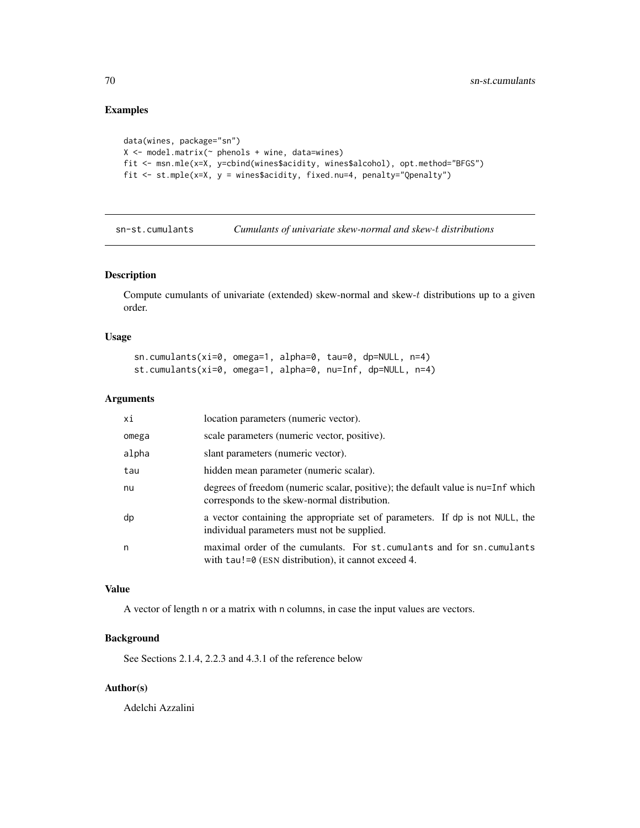# Examples

```
data(wines, package="sn")
X \le - model.matrix(\sim phenols + wine, data=wines)
fit <- msn.mle(x=X, y=cbind(wines$acidity, wines$alcohol), opt.method="BFGS")
fit <- st.mple(x=X, y = wines$acidity, fixed.nu=4, penalty="Qpenalty")
```
sn-st.cumulants *Cumulants of univariate skew-normal and skew-*t *distributions*

# Description

Compute cumulants of univariate (extended) skew-normal and skew- $t$  distributions up to a given order.

#### Usage

```
sn.cumulants(xi=0, omega=1, alpha=0, tau=0, dp=NULL, n=4)
st.cumulants(xi=0, omega=1, alpha=0, nu=Inf, dp=NULL, n=4)
```
# Arguments

| хi    | location parameters (numeric vector).                                                                                            |
|-------|----------------------------------------------------------------------------------------------------------------------------------|
| omega | scale parameters (numeric vector, positive).                                                                                     |
| alpha | slant parameters (numeric vector).                                                                                               |
| tau   | hidden mean parameter (numeric scalar).                                                                                          |
| nu    | degrees of freedom (numeric scalar, positive); the default value is nu=Inf which<br>corresponds to the skew-normal distribution. |
| dp    | a vector containing the appropriate set of parameters. If dp is not NULL, the<br>individual parameters must not be supplied.     |
| n     | maximal order of the cumulants. For st. cumulants and for sn. cumulants<br>with $tau!=0$ (ESN distribution), it cannot exceed 4. |

# Value

A vector of length n or a matrix with n columns, in case the input values are vectors.

# Background

See Sections 2.1.4, 2.2.3 and 4.3.1 of the reference below

# Author(s)

Adelchi Azzalini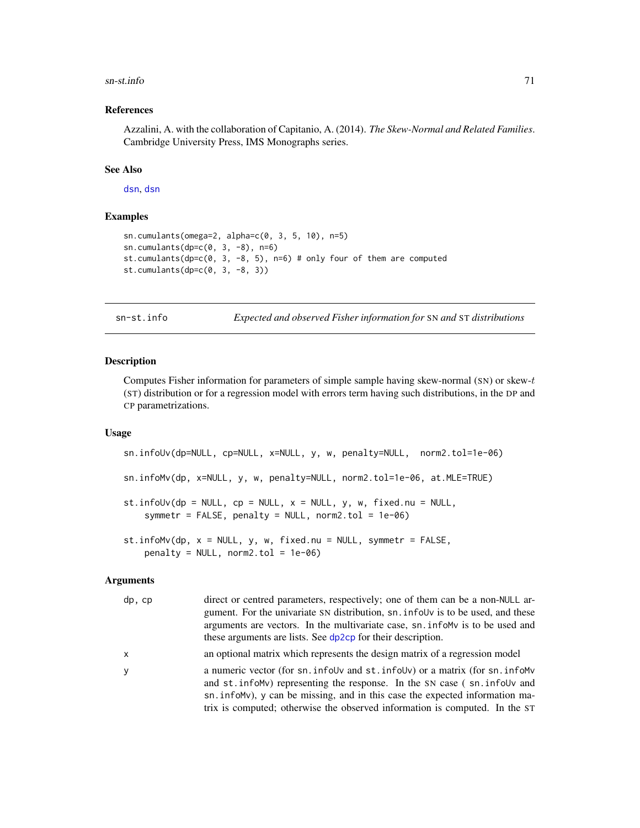#### $\frac{1}{2}$ sn-st.info  $\frac{71}{2}$

## References

Azzalini, A. with the collaboration of Capitanio, A. (2014). *The Skew-Normal and Related Families*. Cambridge University Press, IMS Monographs series.

# See Also

[dsn](#page-22-0), [dsn](#page-22-0)

# Examples

```
sn.cumulants(omega=2, alpha=c(0, 3, 5, 10), n=5)
sn.cumulants(dp=c(0, 3, -8), n=6)
st.cumulants(dp=c(0, 3, -8, 5), n=6) # only four of them are computed
st.cumulants(dp=c(0, 3, -8, 3))
```
sn-st.info *Expected and observed Fisher information for* SN *and* ST *distributions*

# Description

Computes Fisher information for parameters of simple sample having skew-normal (SN) or skew-t (ST) distribution or for a regression model with errors term having such distributions, in the DP and CP parametrizations.

#### Usage

sn.infoUv(dp=NULL, cp=NULL, x=NULL, y, w, penalty=NULL, norm2.tol=1e-06) sn.infoMv(dp, x=NULL, y, w, penalty=NULL, norm2.tol=1e-06, at.MLE=TRUE) st.infoUv(dp = NULL, cp = NULL,  $x =$  NULL,  $y$ ,  $w$ , fixed.nu = NULL, symmetr = FALSE, penalty = NULL, norm2.tol =  $1e-06$ ) st.infoMv(dp, x = NULL, y, w, fixed.nu = NULL, symmetr = FALSE, penalty = NULL, norm2.tol = 1e-06)

# Arguments

| dp, cp       | direct or centred parameters, respectively; one of them can be a non-NULL ar-<br>gument. For the univariate SN distribution, sn. infolly is to be used, and these<br>arguments are vectors. In the multivariate case, sn. infolly is to be used and |
|--------------|-----------------------------------------------------------------------------------------------------------------------------------------------------------------------------------------------------------------------------------------------------|
|              | these arguments are lists. See dp2cp for their description.                                                                                                                                                                                         |
| $\mathsf{x}$ | an optional matrix which represents the design matrix of a regression model                                                                                                                                                                         |
| <b>y</b>     | a numeric vector (for sn. infolly and st. infolly) or a matrix (for sn. infolly<br>and st. infolly representing the response. In the SN case (sn. infolly and<br>sn. infolly), y can be missing, and in this case the expected information ma-      |
|              | trix is computed; otherwise the observed information is computed. In the ST                                                                                                                                                                         |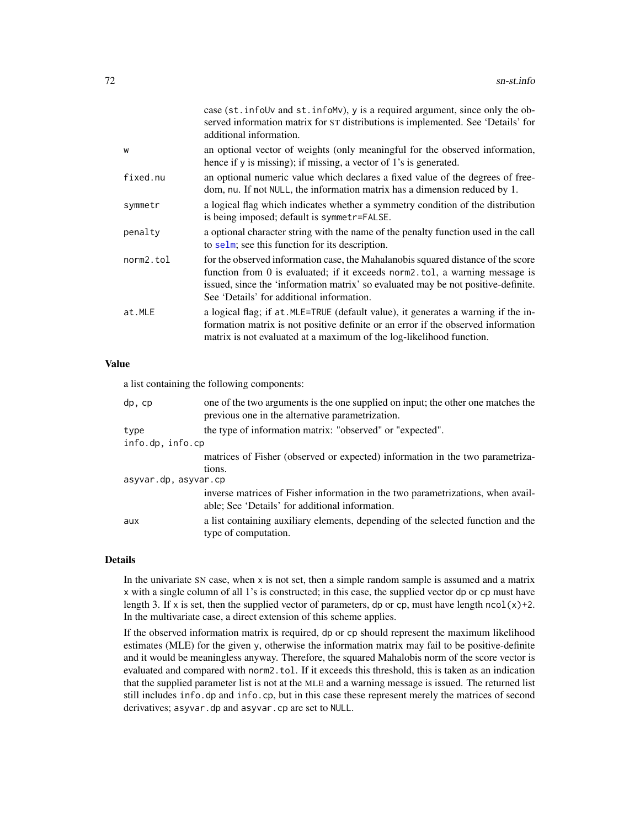|           | case (st. infoUv and st. infoMv), y is a required argument, since only the ob-<br>served information matrix for ST distributions is implemented. See 'Details' for<br>additional information.                                                                                                     |
|-----------|---------------------------------------------------------------------------------------------------------------------------------------------------------------------------------------------------------------------------------------------------------------------------------------------------|
| W         | an optional vector of weights (only meaningful for the observed information,<br>hence if y is missing); if missing, a vector of 1's is generated.                                                                                                                                                 |
| fixed.nu  | an optional numeric value which declares a fixed value of the degrees of free-<br>dom, nu. If not NULL, the information matrix has a dimension reduced by 1.                                                                                                                                      |
| symmetr   | a logical flag which indicates whether a symmetry condition of the distribution<br>is being imposed; default is symmetr=FALSE.                                                                                                                                                                    |
| penalty   | a optional character string with the name of the penalty function used in the call<br>to selm; see this function for its description.                                                                                                                                                             |
| norm2.tol | for the observed information case, the Mahalanobis squared distance of the score<br>function from 0 is evaluated; if it exceeds norm2.tol, a warning message is<br>issued, since the 'information matrix' so evaluated may be not positive-definite.<br>See 'Details' for additional information. |
| at.MLE    | a logical flag; if at . MLE=TRUE (default value), it generates a warning if the in-<br>formation matrix is not positive definite or an error if the observed information<br>matrix is not evaluated at a maximum of the log-likelihood function.                                                  |

# Value

a list containing the following components:

| dp, cp               | one of the two arguments is the one supplied on input; the other one matches the<br>previous one in the alternative parametrization. |
|----------------------|--------------------------------------------------------------------------------------------------------------------------------------|
| type                 | the type of information matrix: "observed" or "expected".                                                                            |
| info.dp, info.cp     |                                                                                                                                      |
|                      | matrices of Fisher (observed or expected) information in the two parametriza-                                                        |
|                      | tions.                                                                                                                               |
| asyvar.dp, asyvar.cp |                                                                                                                                      |
|                      | inverse matrices of Fisher information in the two parametrizations, when avail-<br>able; See 'Details' for additional information.   |
| aux                  | a list containing auxiliary elements, depending of the selected function and the<br>type of computation.                             |

# Details

In the univariate SN case, when x is not set, then a simple random sample is assumed and a matrix x with a single column of all 1's is constructed; in this case, the supplied vector dp or cp must have length 3. If x is set, then the supplied vector of parameters, dp or cp, must have length ncol(x)+2. In the multivariate case, a direct extension of this scheme applies.

If the observed information matrix is required, dp or cp should represent the maximum likelihood estimates (MLE) for the given y, otherwise the information matrix may fail to be positive-definite and it would be meaningless anyway. Therefore, the squared Mahalobis norm of the score vector is evaluated and compared with norm2.tol. If it exceeds this threshold, this is taken as an indication that the supplied parameter list is not at the MLE and a warning message is issued. The returned list still includes info.dp and info.cp, but in this case these represent merely the matrices of second derivatives; asyvar.dp and asyvar.cp are set to NULL.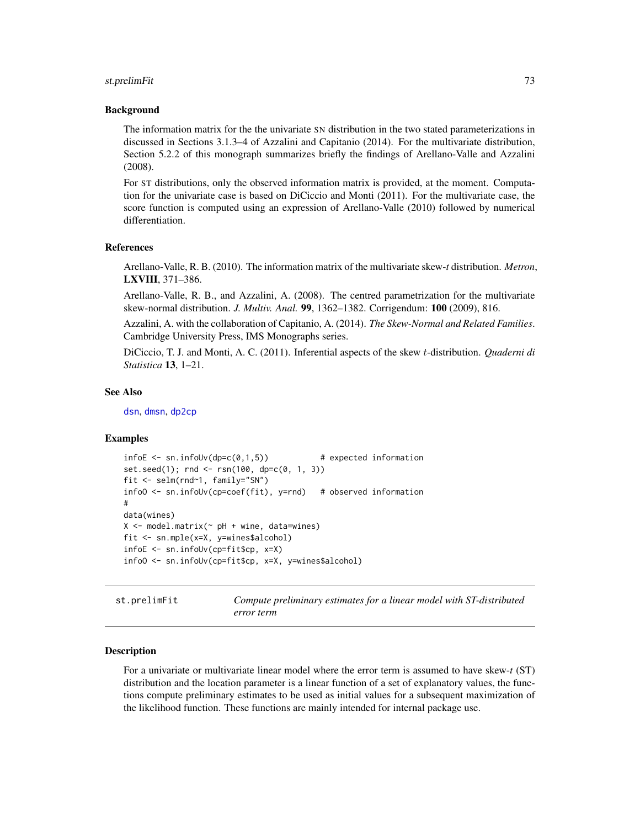#### <span id="page-72-0"></span>st.prelimFit 73

#### Background

The information matrix for the the univariate SN distribution in the two stated parameterizations in discussed in Sections 3.1.3–4 of Azzalini and Capitanio (2014). For the multivariate distribution, Section 5.2.2 of this monograph summarizes briefly the findings of Arellano-Valle and Azzalini (2008).

For ST distributions, only the observed information matrix is provided, at the moment. Computation for the univariate case is based on DiCiccio and Monti (2011). For the multivariate case, the score function is computed using an expression of Arellano-Valle (2010) followed by numerical differentiation.

#### References

Arellano-Valle, R. B. (2010). The information matrix of the multivariate skew-*t* distribution. *Metron*, LXVIII, 371–386.

Arellano-Valle, R. B., and Azzalini, A. (2008). The centred parametrization for the multivariate skew-normal distribution. *J. Multiv. Anal.* 99, 1362–1382. Corrigendum: 100 (2009), 816.

Azzalini, A. with the collaboration of Capitanio, A. (2014). *The Skew-Normal and Related Families*. Cambridge University Press, IMS Monographs series.

DiCiccio, T. J. and Monti, A. C. (2011). Inferential aspects of the skew t-distribution. *Quaderni di Statistica* 13, 1–21.

#### See Also

[dsn](#page-22-0), [dmsn](#page-14-0), [dp2cp](#page-18-0)

#### Examples

```
infoE \leq sn.infollow(dp=c(0,1,5)) # expected information
set.seed(1); rnd <- rsn(100, dp=c(0, 1, 3))
fit <- selm(rnd~1, family="SN")
infoO <- sn.infoUv(cp=coef(fit), y=rnd) # observed information
#
data(wines)
X \le - model.matrix(\sim pH + wine, data=wines)
fit <- sn.mple(x=X, y=wines$alcohol)
infoE <- sn.infoUv(cp=fit$cp, x=X)
infoO <- sn.infoUv(cp=fit$cp, x=X, y=wines$alcohol)
```
st.prelimFit *Compute preliminary estimates for a linear model with ST-distributed error term*

#### Description

For a univariate or multivariate linear model where the error term is assumed to have skew-*t* (ST) distribution and the location parameter is a linear function of a set of explanatory values, the functions compute preliminary estimates to be used as initial values for a subsequent maximization of the likelihood function. These functions are mainly intended for internal package use.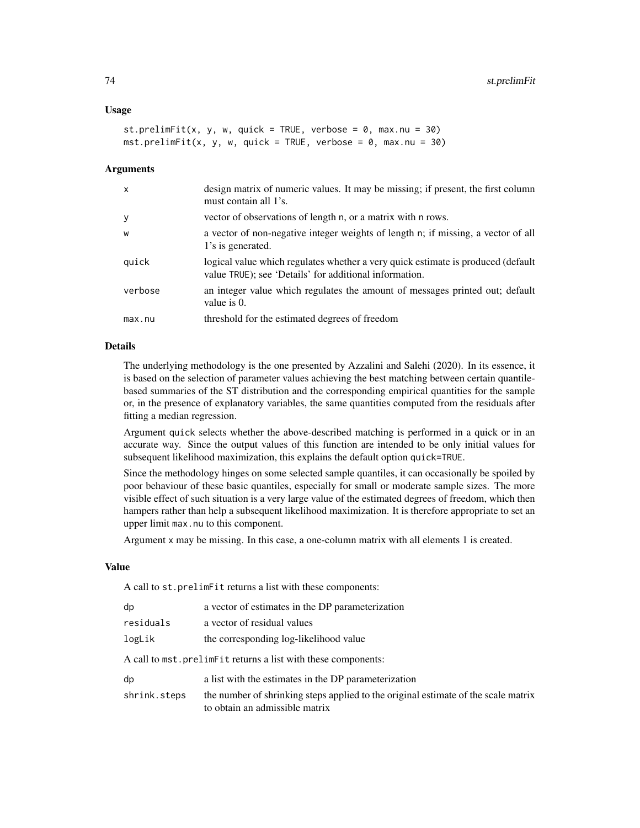#### Usage

```
st.prelimFit(x, y, w, quick = TRUE, verbose = 0, max.nu = 30)
mst.prelimFit(x, y, w, quick = TRUE, verbose = 0, max.nu = 30)
```
#### **Arguments**

| $\mathsf{x}$ | design matrix of numeric values. It may be missing; if present, the first column<br>must contain all 1's.                                  |
|--------------|--------------------------------------------------------------------------------------------------------------------------------------------|
| y            | vector of observations of length n, or a matrix with n rows.                                                                               |
| W            | a vector of non-negative integer weights of length n; if missing, a vector of all<br>1's is generated.                                     |
| quick        | logical value which regulates whether a very quick estimate is produced (default<br>value TRUE); see 'Details' for additional information. |
| verbose      | an integer value which regulates the amount of messages printed out; default<br>value is 0.                                                |
| max.nu       | threshold for the estimated degrees of freedom                                                                                             |
|              |                                                                                                                                            |

# Details

The underlying methodology is the one presented by Azzalini and Salehi (2020). In its essence, it is based on the selection of parameter values achieving the best matching between certain quantilebased summaries of the ST distribution and the corresponding empirical quantities for the sample or, in the presence of explanatory variables, the same quantities computed from the residuals after fitting a median regression.

Argument quick selects whether the above-described matching is performed in a quick or in an accurate way. Since the output values of this function are intended to be only initial values for subsequent likelihood maximization, this explains the default option quick=TRUE.

Since the methodology hinges on some selected sample quantiles, it can occasionally be spoiled by poor behaviour of these basic quantiles, especially for small or moderate sample sizes. The more visible effect of such situation is a very large value of the estimated degrees of freedom, which then hampers rather than help a subsequent likelihood maximization. It is therefore appropriate to set an upper limit max.nu to this component.

Argument x may be missing. In this case, a one-column matrix with all elements 1 is created.

#### Value

A call to st.prelimFit returns a list with these components:

| dp           | a vector of estimates in the DP parameterization                                                                     |
|--------------|----------------------------------------------------------------------------------------------------------------------|
| residuals    | a vector of residual values                                                                                          |
| logLik       | the corresponding log-likelihood value                                                                               |
|              | A call to mst.prelimetit returns a list with these components:                                                       |
| dp           | a list with the estimates in the DP parameterization                                                                 |
| shrink.steps | the number of shrinking steps applied to the original estimate of the scale matrix<br>to obtain an admissible matrix |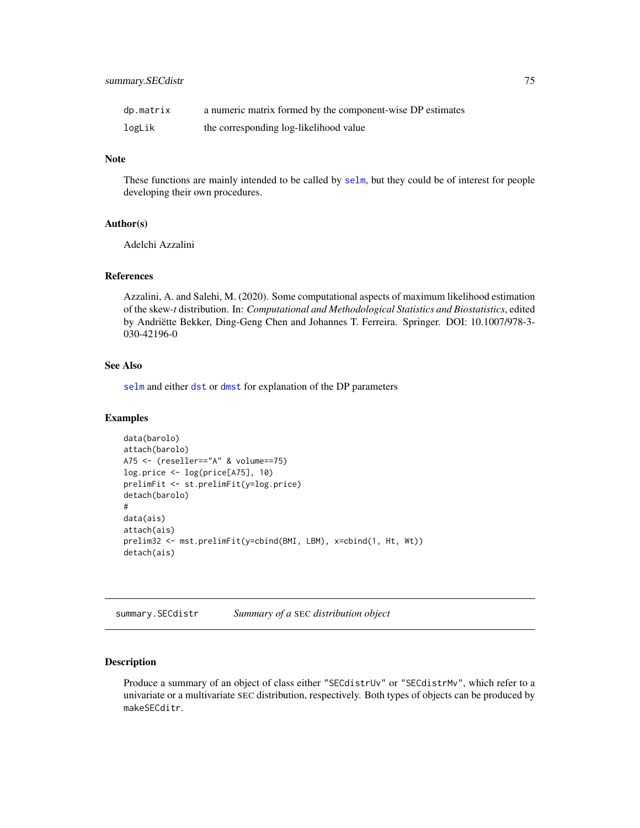<span id="page-74-1"></span>

| dp.matrix | a numeric matrix formed by the component-wise DP estimates |
|-----------|------------------------------------------------------------|
| logLik    | the corresponding log-likelihood value                     |

#### Note

These functions are mainly intended to be called by [selm](#page-57-0), but they could be of interest for people developing their own procedures.

# Author(s)

Adelchi Azzalini

#### References

Azzalini, A. and Salehi, M. (2020). Some computational aspects of maximum likelihood estimation of the skew-*t* distribution. In: *Computational and Methodological Statistics and Biostatistics*, edited by Andriëtte Bekker, Ding-Geng Chen and Johannes T. Ferreira. Springer. DOI: 10.1007/978-3- 030-42196-0

#### See Also

[selm](#page-57-0) and either [dst](#page-24-0) or [dmst](#page-16-0) for explanation of the DP parameters

#### Examples

```
data(barolo)
attach(barolo)
A75 <- (reseller=="A" & volume==75)
log.price <- log(price[A75], 10)
prelimFit <- st.prelimFit(y=log.price)
detach(barolo)
#
data(ais)
attach(ais)
prelim32 <- mst.prelimFit(y=cbind(BMI, LBM), x=cbind(1, Ht, Wt))
detach(ais)
```
summary.SECdistr *Summary of a* SEC *distribution object*

#### <span id="page-74-0"></span>Description

Produce a summary of an object of class either "SECdistrUv" or "SECdistrMv", which refer to a univariate or a multivariate SEC distribution, respectively. Both types of objects can be produced by makeSECditr.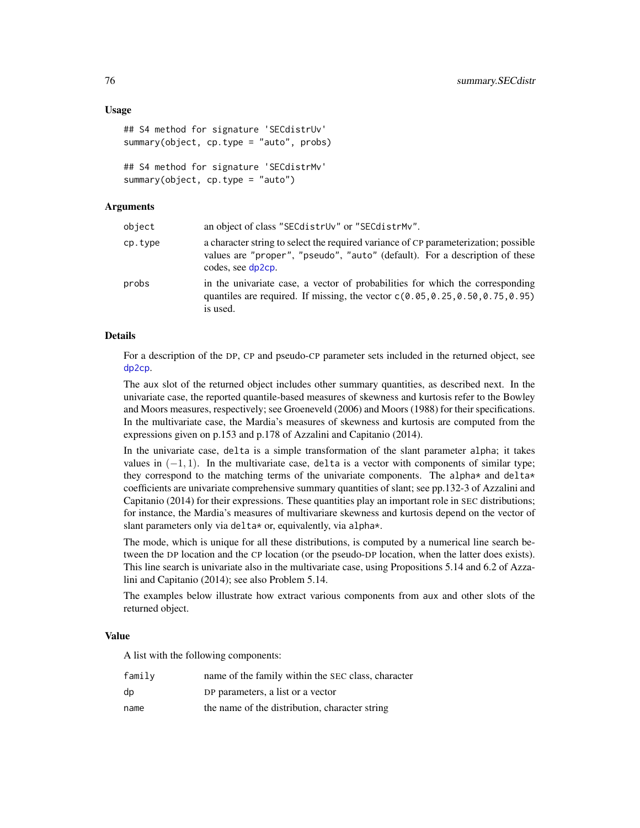#### <span id="page-75-0"></span>Usage

```
## S4 method for signature 'SECdistrUv'
summary(object, cp.type = "auto", probs)
## S4 method for signature 'SECdistrMv'
summary(object, cp.type = "auto")
```
# Arguments

| object  | an object of class "SEC distruv" or "SEC distrMv".                                                                                                                                      |
|---------|-----------------------------------------------------------------------------------------------------------------------------------------------------------------------------------------|
| cp.type | a character string to select the required variance of CP parameterization; possible<br>values are "proper", "pseudo", "auto" (default). For a description of these<br>codes, see dp2cp. |
| probs   | in the univariate case, a vector of probabilities for which the corresponding<br>quantiles are required. If missing, the vector $c(0.05, 0.25, 0.50, 0.75, 0.95)$<br>is used.           |

#### Details

For a description of the DP, CP and pseudo-CP parameter sets included in the returned object, see [dp2cp](#page-18-0).

The aux slot of the returned object includes other summary quantities, as described next. In the univariate case, the reported quantile-based measures of skewness and kurtosis refer to the Bowley and Moors measures, respectively; see Groeneveld (2006) and Moors (1988) for their specifications. In the multivariate case, the Mardia's measures of skewness and kurtosis are computed from the expressions given on p.153 and p.178 of Azzalini and Capitanio (2014).

In the univariate case, delta is a simple transformation of the slant parameter alpha; it takes values in  $(-1, 1)$ . In the multivariate case, delta is a vector with components of similar type; they correspond to the matching terms of the univariate components. The alpha $*$  and delta $*$ coefficients are univariate comprehensive summary quantities of slant; see pp.132-3 of Azzalini and Capitanio (2014) for their expressions. These quantities play an important role in SEC distributions; for instance, the Mardia's measures of multivariare skewness and kurtosis depend on the vector of slant parameters only via delta\* or, equivalently, via alpha\*.

The mode, which is unique for all these distributions, is computed by a numerical line search between the DP location and the CP location (or the pseudo-DP location, when the latter does exists). This line search is univariate also in the multivariate case, using Propositions 5.14 and 6.2 of Azzalini and Capitanio (2014); see also Problem 5.14.

The examples below illustrate how extract various components from aux and other slots of the returned object.

#### Value

A list with the following components:

| family | name of the family within the SEC class, character |
|--------|----------------------------------------------------|
| dp     | DP parameters, a list or a vector                  |
| name   | the name of the distribution, character string     |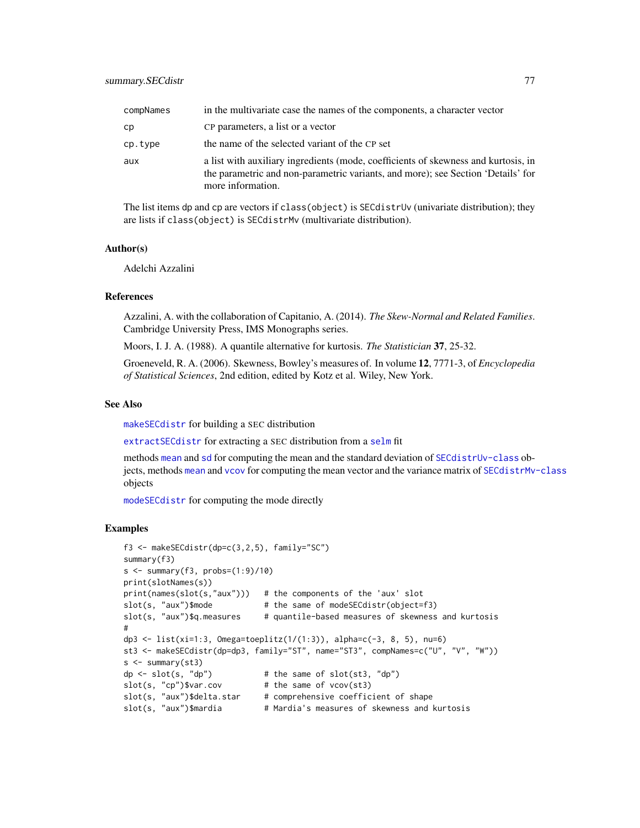<span id="page-76-0"></span>

| compNames | in the multivariate case the names of the components, a character vector                                                                                                                    |
|-----------|---------------------------------------------------------------------------------------------------------------------------------------------------------------------------------------------|
| сp        | CP parameters, a list or a vector                                                                                                                                                           |
| cp.type   | the name of the selected variant of the CP set                                                                                                                                              |
| aux       | a list with auxiliary ingredients (mode, coefficients of skewness and kurtosis, in<br>the parametric and non-parametric variants, and more); see Section 'Details' for<br>more information. |

The list items dp and cp are vectors if class(object) is SECdistrUv (univariate distribution); they are lists if class(object) is SECdistrMv (multivariate distribution).

#### Author(s)

Adelchi Azzalini

#### References

Azzalini, A. with the collaboration of Capitanio, A. (2014). *The Skew-Normal and Related Families*. Cambridge University Press, IMS Monographs series.

Moors, I. J. A. (1988). A quantile alternative for kurtosis. *The Statistician* 37, 25-32.

Groeneveld, R. A. (2006). Skewness, Bowley's measures of. In volume 12, 7771-3, of *Encyclopedia of Statistical Sciences*, 2nd edition, edited by Kotz et al. Wiley, New York.

# See Also

[makeSECdistr](#page-31-0) for building a SEC distribution

[extractSECdistr](#page-26-0) for extracting a SEC distribution from a [selm](#page-57-0) fit

methods [mean](#page-0-0) and [sd](#page-54-0) for computing the mean and the standard deviation of [SECdistrUv-class](#page-56-0) objects, methods [mean](#page-0-0) and [vcov](#page-0-0) for computing the mean vector and the variance matrix of [SECdistrMv-class](#page-55-0) objects

[modeSECdistr](#page-36-0) for computing the mode directly

#### Examples

```
f3 <- makeSECdistr(dp=c(3,2,5), family="SC")
summary(f3)
s \leq -\text{summary}(f3, \text{probs}=(1:9)/10)print(slotNames(s))
print(names(slot(s,"aux"))) # the components of the 'aux' slot
slot(s, "aux")$mode # the same of modeSECdistr(object=f3)
slot(s, "aux")$q.measures # quantile-based measures of skewness and kurtosis
#
dp3 <- list(xi=1:3, Omega=toeplitz(1/(1:3)), alpha=c(-3, 8, 5), nu=6)
st3 <- makeSECdistr(dp=dp3, family="ST", name="ST3", compNames=c("U", "V", "W"))
s < - summary(st3)
dp \le slot(s, "dp") \qquad # the same of slot(st3, "dp")
slot(s, "cp")$var.cov # the same of vcov(st3)
slot(s, "aux")$delta.star # comprehensive coefficient of shape
slot(s, "aux")$mardia # Mardia's measures of skewness and kurtosis
```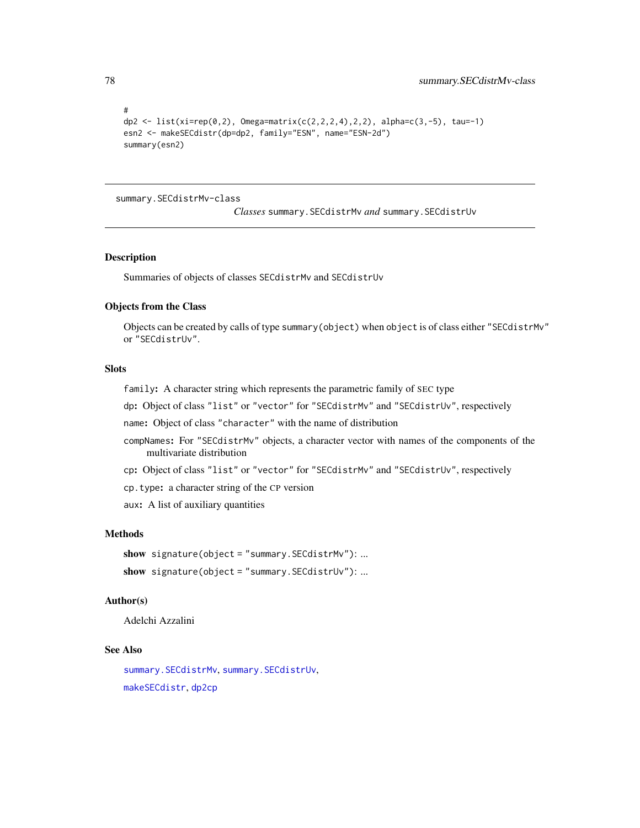```
#
dp2 <- list(xi=rep(0,2), Omega=matrix(c(2,2,2,4),2,2), alpha=c(3,-5), tau=-1)
esn2 <- makeSECdistr(dp=dp2, family="ESN", name="ESN-2d")
summary(esn2)
```
#### summary.SECdistrMv-class

*Classes* summary.SECdistrMv *and* summary.SECdistrUv

# Description

Summaries of objects of classes SECdistrMv and SECdistrUv

#### Objects from the Class

Objects can be created by calls of type summary(object) when object is of class either "SECdistrMv" or "SECdistrUv".

# **Slots**

- family: A character string which represents the parametric family of SEC type
- dp: Object of class "list" or "vector" for "SECdistrMv" and "SECdistrUv", respectively

name: Object of class "character" with the name of distribution

- compNames: For "SECdistrMv" objects, a character vector with names of the components of the multivariate distribution
- cp: Object of class "list" or "vector" for "SECdistrMv" and "SECdistrUv", respectively
- cp.type: a character string of the CP version

aux: A list of auxiliary quantities

# Methods

```
show signature(object = "summary.SECdistrMv"): ...
show signature(object = "summary.SECdistrUv"): ...
```
# Author(s)

Adelchi Azzalini

# See Also

[summary.SECdistrMv](#page-74-0), [summary.SECdistrUv](#page-74-0), [makeSECdistr](#page-31-0), [dp2cp](#page-18-0)

<span id="page-77-0"></span>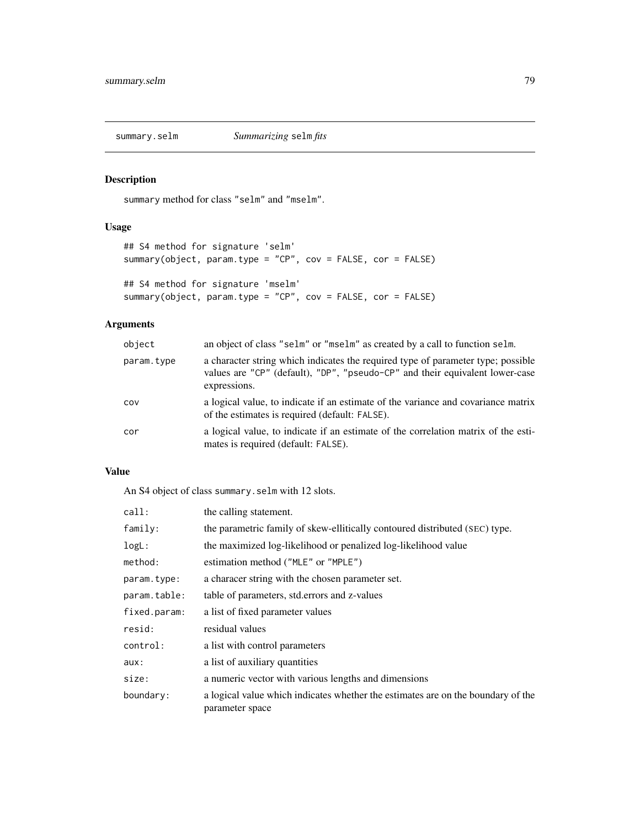<span id="page-78-0"></span>

# Description

summary method for class "selm" and "mselm".

# Usage

```
## S4 method for signature 'selm'
summary(object, param.type = "CP", cov = FALSE, cor = FALSE)
## S4 method for signature 'mselm'
summary(object, param.type = "CP", cov = FALSE, cor = FALSE)
```
# Arguments

| object     | an object of class "selm" or "mselm" as created by a call to function selm.                                                                                                      |
|------------|----------------------------------------------------------------------------------------------------------------------------------------------------------------------------------|
| param.type | a character string which indicates the required type of parameter type; possible<br>values are "CP" (default), "DP", "pseudo-CP" and their equivalent lower-case<br>expressions. |
| COV        | a logical value, to indicate if an estimate of the variance and covariance matrix<br>of the estimates is required (default: FALSE).                                              |
| cor        | a logical value, to indicate if an estimate of the correlation matrix of the esti-<br>mates is required (default: FALSE).                                                        |

# Value

An S4 object of class summary.selm with 12 slots.

| call:        | the calling statement.                                                                              |
|--------------|-----------------------------------------------------------------------------------------------------|
| family:      | the parametric family of skew-ellitically contoured distributed (SEC) type.                         |
| logL:        | the maximized log-likelihood or penalized log-likelihood value                                      |
| method:      | estimation method ("MLE" or "MPLE")                                                                 |
| param.type:  | a characer string with the chosen parameter set.                                                    |
| param.table: | table of parameters, std. errors and z-values                                                       |
| fixed.param: | a list of fixed parameter values                                                                    |
| resid:       | residual values                                                                                     |
| control:     | a list with control parameters                                                                      |
| aux:         | a list of auxiliary quantities                                                                      |
| size:        | a numeric vector with various lengths and dimensions                                                |
| boundary:    | a logical value which indicates whether the estimates are on the boundary of the<br>parameter space |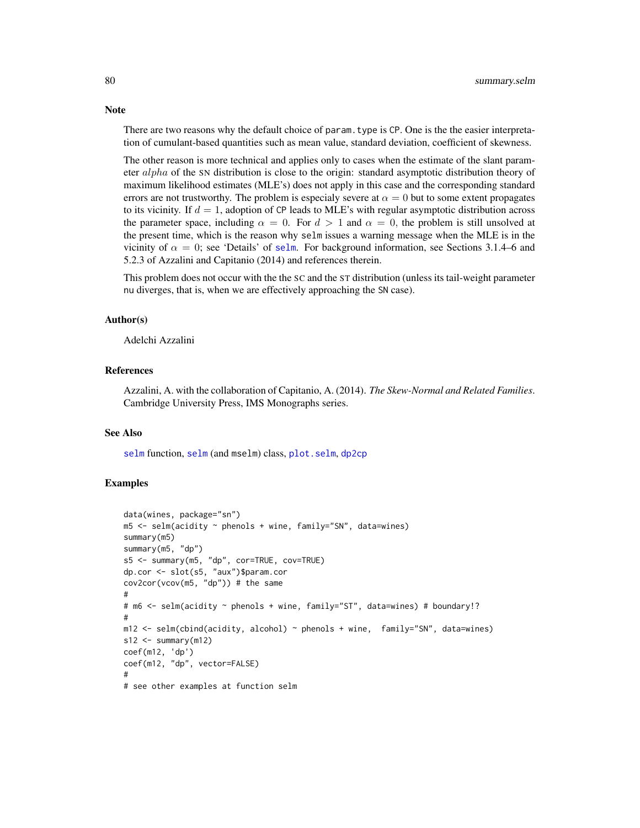There are two reasons why the default choice of param.type is CP. One is the the easier interpretation of cumulant-based quantities such as mean value, standard deviation, coefficient of skewness.

The other reason is more technical and applies only to cases when the estimate of the slant parameter alpha of the SN distribution is close to the origin: standard asymptotic distribution theory of maximum likelihood estimates (MLE's) does not apply in this case and the corresponding standard errors are not trustworthy. The problem is especialy severe at  $\alpha = 0$  but to some extent propagates to its vicinity. If  $d = 1$ , adoption of CP leads to MLE's with regular asymptotic distribution across the parameter space, including  $\alpha = 0$ . For  $d > 1$  and  $\alpha = 0$ , the problem is still unsolved at the present time, which is the reason why selm issues a warning message when the MLE is in the vicinity of  $\alpha = 0$ ; see 'Details' of [selm](#page-57-0). For background information, see Sections 3.1.4–6 and 5.2.3 of Azzalini and Capitanio (2014) and references therein.

This problem does not occur with the the SC and the ST distribution (unless its tail-weight parameter nu diverges, that is, when we are effectively approaching the SN case).

#### Author(s)

Adelchi Azzalini

## References

Azzalini, A. with the collaboration of Capitanio, A. (2014). *The Skew-Normal and Related Families*. Cambridge University Press, IMS Monographs series.

#### See Also

[selm](#page-57-0) function, [selm](#page-63-0) (and mselm) class, [plot.selm](#page-42-0), [dp2cp](#page-18-0)

# Examples

```
data(wines, package="sn")
m5 <- selm(acidity ~ phenols + wine, family="SN", data=wines)
summary(m5)
summary(m5, "dp")
s5 <- summary(m5, "dp", cor=TRUE, cov=TRUE)
dp.cor <- slot(s5, "aux")$param.cor
cov2cor(vcov(m5, "dp")) # the same
#
# m6 <- selm(acidity ~ phenols + wine, family="ST", data=wines) # boundary!?
#
m12 \le selm(cbind(acidity, alcohol) \sim phenols + wine, family="SN", data=wines)
s12 \le -\text{summary(m12)}coef(m12, 'dp')
coef(m12, "dp", vector=FALSE)
#
# see other examples at function selm
```
<span id="page-79-0"></span>

#### **Note**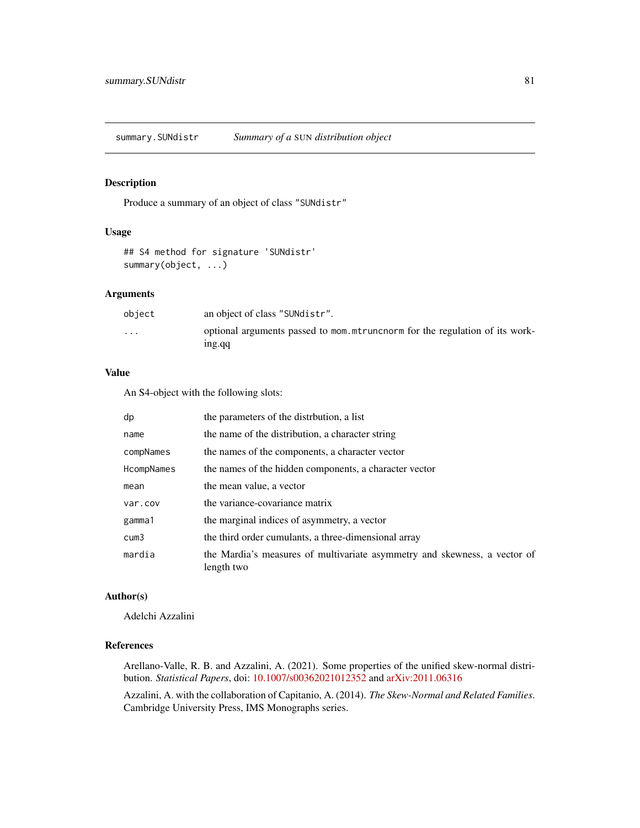<span id="page-80-1"></span><span id="page-80-0"></span>summary.SUNdistr *Summary of a* SUN *distribution object*

# Description

Produce a summary of an object of class "SUNdistr"

# Usage

## S4 method for signature 'SUNdistr' summary(object, ...)

# Arguments

| object                  | an object of class "SUNdistr".                                                         |
|-------------------------|----------------------------------------------------------------------------------------|
| $\cdot$ $\cdot$ $\cdot$ | optional arguments passed to mom. mtruncnorm for the regulation of its work-<br>ing.gq |

# Value

An S4-object with the following slots:

| dp         | the parameters of the distribution, a list                                              |
|------------|-----------------------------------------------------------------------------------------|
| name       | the name of the distribution, a character string                                        |
| compNames  | the names of the components, a character vector                                         |
| HcompNames | the names of the hidden components, a character vector                                  |
| mean       | the mean value, a vector                                                                |
| var.cov    | the variance-covariance matrix                                                          |
| gamma1     | the marginal indices of asymmetry, a vector                                             |
| cum3       | the third order cumulants, a three-dimensional array                                    |
| mardia     | the Mardia's measures of multivariate asymmetry and skewness, a vector of<br>length two |

#### Author(s)

Adelchi Azzalini

# References

Arellano-Valle, R. B. and Azzalini, A. (2021). Some properties of the unified skew-normal distribution. *Statistical Papers*, doi: [10.1007/s00362021012352](https://doi.org/10.1007/s00362-021-01235-2) and [arXiv:2011.06316](https://arxiv.org/abs/2011.06316)

Azzalini, A. with the collaboration of Capitanio, A. (2014). *The Skew-Normal and Related Families*. Cambridge University Press, IMS Monographs series.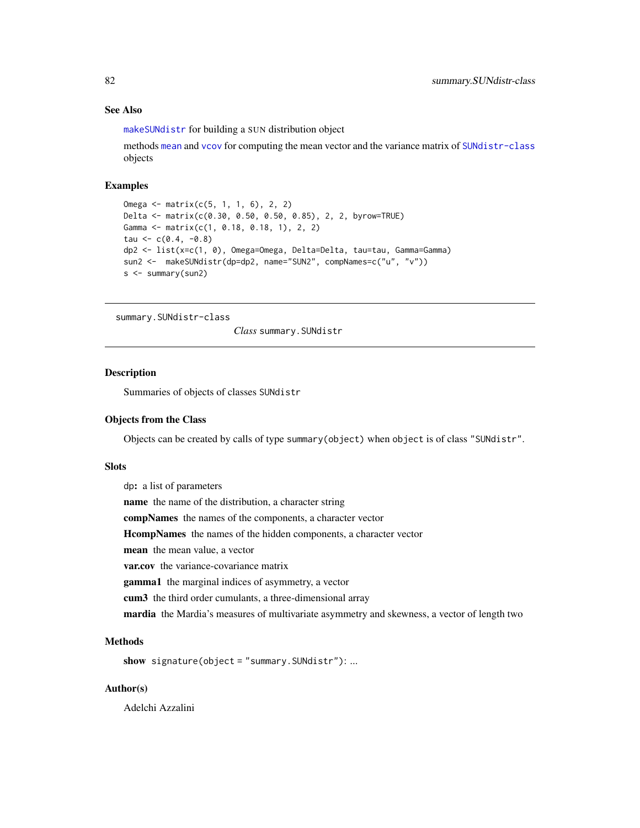# <span id="page-81-0"></span>See Also

[makeSUNdistr](#page-33-0) for building a SUN distribution object

methods [mean](#page-0-0) and [vcov](#page-0-0) for computing the mean vector and the variance matrix of [SUNdistr-class](#page-85-0) objects

# Examples

```
Omega <- matrix(c(5, 1, 1, 6), 2, 2)
Delta <- matrix(c(0.30, 0.50, 0.50, 0.85), 2, 2, byrow=TRUE)
Gamma <- matrix(c(1, 0.18, 0.18, 1), 2, 2)
tau <-c(0.4, -0.8)dp2 <- list(x=c(1, 0), Omega=Omega, Delta=Delta, tau=tau, Gamma=Gamma)
sun2 <- makeSUNdistr(dp=dp2, name="SUN2", compNames=c("u", "v"))
s <- summary(sun2)
```
summary.SUNdistr-class

*Class* summary.SUNdistr

#### **Description**

Summaries of objects of classes SUNdistr

#### Objects from the Class

Objects can be created by calls of type summary(object) when object is of class "SUNdistr".

#### Slots

dp: a list of parameters name the name of the distribution, a character string compNames the names of the components, a character vector HcompNames the names of the hidden components, a character vector mean the mean value, a vector var.cov the variance-covariance matrix gamma1 the marginal indices of asymmetry, a vector cum3 the third order cumulants, a three-dimensional array mardia the Mardia's measures of multivariate asymmetry and skewness, a vector of length two

# **Methods**

```
show signature(object = "summary.SUNdistr"): ...
```
#### Author(s)

Adelchi Azzalini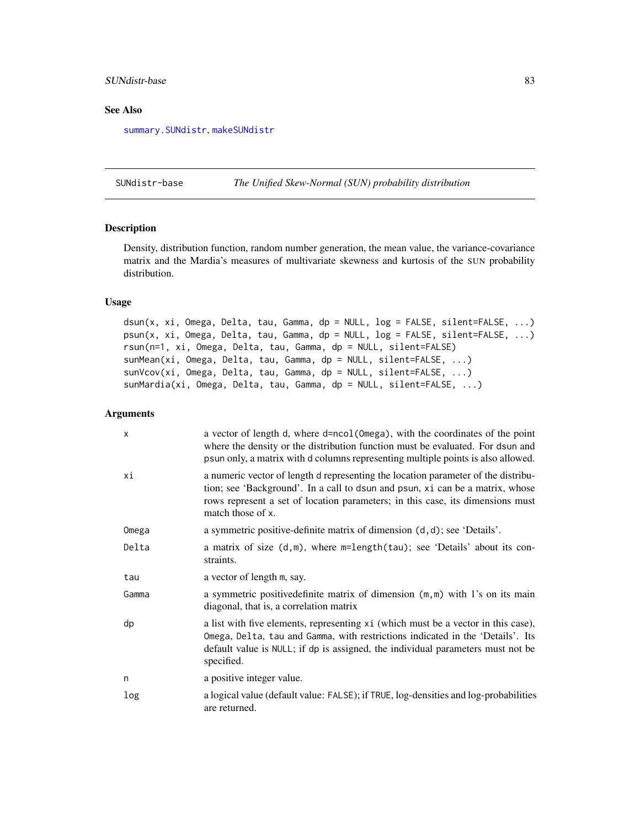# <span id="page-82-1"></span>SUNdistr-base 83

#### See Also

[summary.SUNdistr](#page-80-0), [makeSUNdistr](#page-33-0)

<span id="page-82-0"></span>SUNdistr-base *The Unified Skew-Normal (SUN) probability distribution*

## Description

Density, distribution function, random number generation, the mean value, the variance-covariance matrix and the Mardia's measures of multivariate skewness and kurtosis of the SUN probability distribution.

# Usage

dsun(x, xi, Omega, Delta, tau, Gamma, dp = NULL, log = FALSE, silent=FALSE, ...) psun(x, xi, Omega, Delta, tau, Gamma, dp = NULL, log = FALSE, silent=FALSE, ...) rsun(n=1, xi, Omega, Delta, tau, Gamma, dp = NULL, silent=FALSE) sunMean(xi, Omega, Delta, tau, Gamma, dp = NULL, silent=FALSE, ...) sunVcov(xi, Omega, Delta, tau, Gamma, dp = NULL, silent=FALSE, ...) sunMardia(xi, Omega, Delta, tau, Gamma, dp = NULL, silent=FALSE, ...)

#### Arguments

| $\mathsf{x}$ | a vector of length d, where d=ncol(0mega), with the coordinates of the point<br>where the density or the distribution function must be evaluated. For dsun and<br>psun only, a matrix with d columns representing multiple points is also allowed.                        |
|--------------|---------------------------------------------------------------------------------------------------------------------------------------------------------------------------------------------------------------------------------------------------------------------------|
| хi           | a numeric vector of length d representing the location parameter of the distribu-<br>tion; see 'Background'. In a call to dsun and psun, xi can be a matrix, whose<br>rows represent a set of location parameters; in this case, its dimensions must<br>match those of x. |
| Omega        | a symmetric positive-definite matrix of dimension (d, d); see 'Details'.                                                                                                                                                                                                  |
| Delta        | a matrix of size $(d,m)$ , where $m = length(tau)$ ; see 'Details' about its con-<br>straints.                                                                                                                                                                            |
| tau          | a vector of length m, say.                                                                                                                                                                                                                                                |
| Gamma        | a symmetric positive definite matrix of dimension $(m, m)$ with 1's on its main<br>diagonal, that is, a correlation matrix                                                                                                                                                |
| dp           | a list with five elements, representing xi (which must be a vector in this case),<br>Omega, Delta, tau and Gamma, with restrictions indicated in the 'Details'. Its<br>default value is NULL; if dp is assigned, the individual parameters must not be<br>specified.      |
| n            | a positive integer value.                                                                                                                                                                                                                                                 |
| log          | a logical value (default value: FALSE); if TRUE, log-densities and log-probabilities<br>are returned.                                                                                                                                                                     |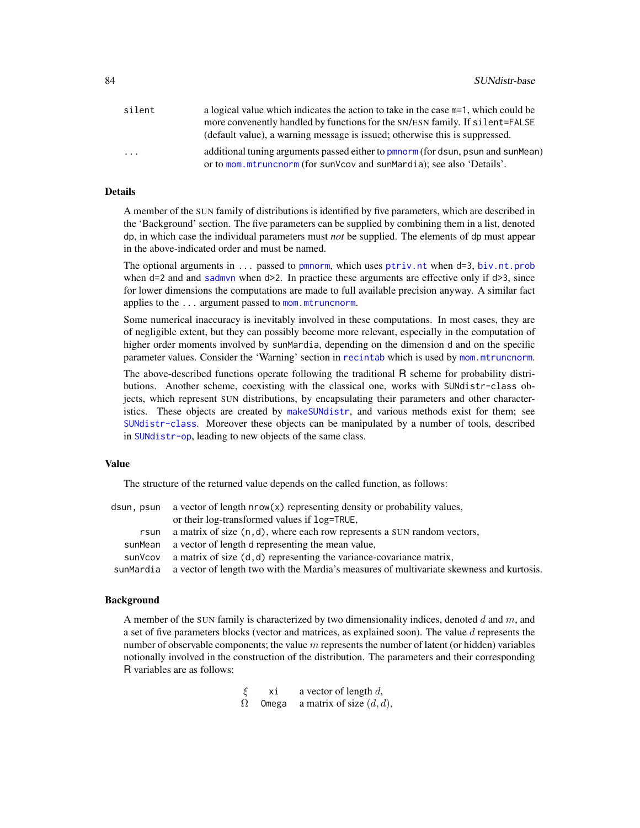<span id="page-83-0"></span>

| silent                  | a logical value which indicates the action to take in the case $m=1$ , which could be |
|-------------------------|---------------------------------------------------------------------------------------|
|                         | more convenently handled by functions for the SN/ESN family. If silent=FALSE          |
|                         | (default value), a warning message is issued; otherwise this is suppressed.           |
| $\cdot$ $\cdot$ $\cdot$ | additional tuning arguments passed either to pmnorm (for dsun, psun and sunMean)      |
|                         | or to mom. mtruncnorm (for sunVcov and sunMardia); see also 'Details'.                |

#### Details

A member of the SUN family of distributions is identified by five parameters, which are described in the 'Background' section. The five parameters can be supplied by combining them in a list, denoted dp, in which case the individual parameters must *not* be supplied. The elements of dp must appear in the above-indicated order and must be named.

The optional arguments in  $\ldots$  passed to [pmnorm](#page-0-0), which uses [ptriv.nt](#page-0-0) when d=3, [biv.nt.prob](#page-0-0) when d=2 and and [sadmvn](#page-0-0) when  $d>2$ . In practice these arguments are effective only if  $d>3$ , since for lower dimensions the computations are made to full available precision anyway. A similar fact applies to the ... argument passed to [mom.mtruncnorm](#page-0-0).

Some numerical inaccuracy is inevitably involved in these computations. In most cases, they are of negligible extent, but they can possibly become more relevant, especially in the computation of higher order moments involved by sunMardia, depending on the dimension d and on the specific parameter values. Consider the 'Warning' section in [recintab](#page-0-0) which is used by [mom.mtruncnorm](#page-0-0).

The above-described functions operate following the traditional R scheme for probability distributions. Another scheme, coexisting with the classical one, works with SUNdistr-class objects, which represent SUN distributions, by encapsulating their parameters and other characteristics. These objects are created by [makeSUNdistr](#page-33-0), and various methods exist for them; see [SUNdistr-class](#page-85-0). Moreover these objects can be manipulated by a number of tools, described in [SUNdistr-op](#page-87-0), leading to new objects of the same class.

#### Value

The structure of the returned value depends on the called function, as follows:

| dsun, psun | a vector of length $nrow(x)$ representing density or probability values,                           |
|------------|----------------------------------------------------------------------------------------------------|
|            | or their log-transformed values if log=TRUE,                                                       |
| rsun       | a matrix of size $(n, d)$ , where each row represents a SUN random vectors,                        |
| sunMean    | a vector of length d representing the mean value,                                                  |
| sunVcov    | a matrix of size $(d,d)$ representing the variance-covariance matrix,                              |
|            | sunMardia a vector of length two with the Mardia's measures of multivariate skewness and kurtosis. |

#### Background

A member of the SUN family is characterized by two dimensionality indices, denoted  $d$  and  $m$ , and a set of five parameters blocks (vector and matrices, as explained soon). The value d represents the number of observable components; the value  $m$  represents the number of latent (or hidden) variables notionally involved in the construction of the distribution. The parameters and their corresponding R variables are as follows:

> $\xi$  xi a vector of length d,  $\Omega$  Omega a matrix of size  $(d, d)$ ,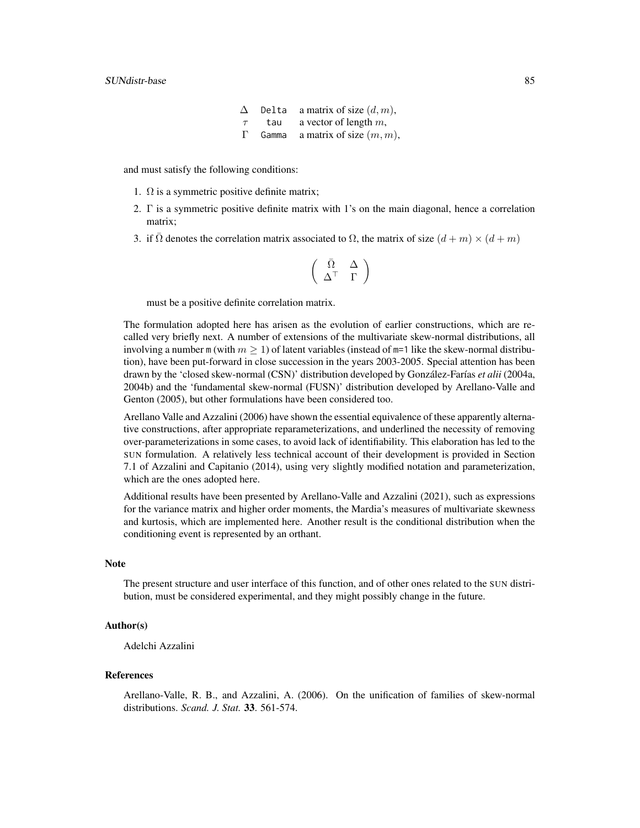$\Delta$  Delta a matrix of size  $(d, m)$ ,  $\tau$  tau a vector of length m, Γ Gamma a matrix of size  $(m, m)$ ,

and must satisfy the following conditions:

- 1.  $\Omega$  is a symmetric positive definite matrix;
- 2. Γ is a symmetric positive definite matrix with 1's on the main diagonal, hence a correlation matrix;
- 3. if  $\Omega$  denotes the correlation matrix associated to  $\Omega$ , the matrix of size  $(d + m) \times (d + m)$

$$
\left(\begin{array}{cc} \bar{\Omega} & \Delta \\ \Delta^\top & \Gamma \end{array}\right)
$$

must be a positive definite correlation matrix.

The formulation adopted here has arisen as the evolution of earlier constructions, which are recalled very briefly next. A number of extensions of the multivariate skew-normal distributions, all involving a number m (with  $m \geq 1$ ) of latent variables (instead of m=1 like the skew-normal distribution), have been put-forward in close succession in the years 2003-2005. Special attention has been drawn by the 'closed skew-normal (CSN)' distribution developed by González-Farías *et alii* (2004a, 2004b) and the 'fundamental skew-normal (FUSN)' distribution developed by Arellano-Valle and Genton (2005), but other formulations have been considered too.

Arellano Valle and Azzalini (2006) have shown the essential equivalence of these apparently alternative constructions, after appropriate reparameterizations, and underlined the necessity of removing over-parameterizations in some cases, to avoid lack of identifiability. This elaboration has led to the SUN formulation. A relatively less technical account of their development is provided in Section 7.1 of Azzalini and Capitanio (2014), using very slightly modified notation and parameterization, which are the ones adopted here.

Additional results have been presented by Arellano-Valle and Azzalini (2021), such as expressions for the variance matrix and higher order moments, the Mardia's measures of multivariate skewness and kurtosis, which are implemented here. Another result is the conditional distribution when the conditioning event is represented by an orthant.

#### **Note**

The present structure and user interface of this function, and of other ones related to the SUN distribution, must be considered experimental, and they might possibly change in the future.

#### Author(s)

Adelchi Azzalini

#### References

Arellano-Valle, R. B., and Azzalini, A. (2006). On the unification of families of skew-normal distributions. *Scand. J. Stat.* 33. 561-574.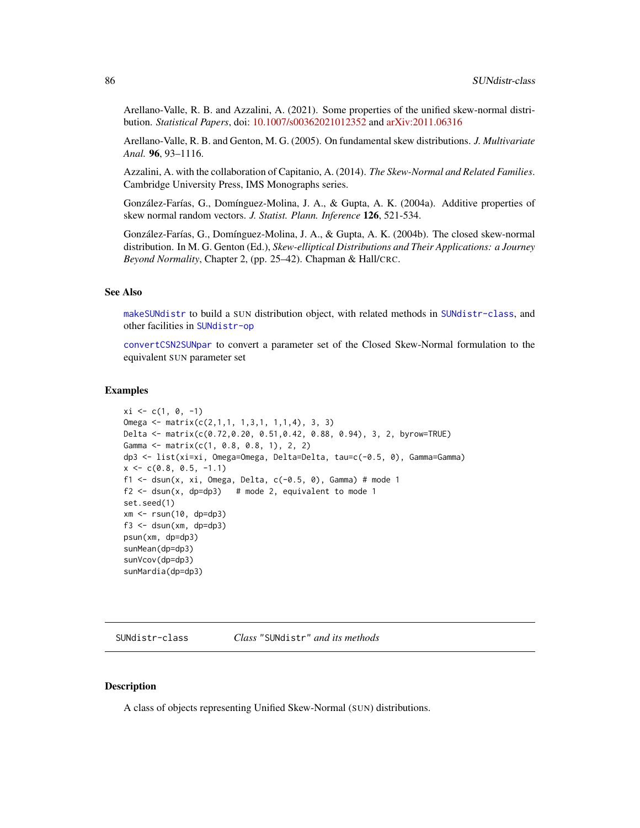<span id="page-85-1"></span>Arellano-Valle, R. B. and Azzalini, A. (2021). Some properties of the unified skew-normal distribution. *Statistical Papers*, doi: [10.1007/s00362021012352](https://doi.org/10.1007/s00362-021-01235-2) and [arXiv:2011.06316](https://arxiv.org/abs/2011.06316)

Arellano-Valle, R. B. and Genton, M. G. (2005). On fundamental skew distributions. *J. Multivariate Anal.* 96, 93–1116.

Azzalini, A. with the collaboration of Capitanio, A. (2014). *The Skew-Normal and Related Families*. Cambridge University Press, IMS Monographs series.

González-Farías, G., Domínguez-Molina, J. A., & Gupta, A. K. (2004a). Additive properties of skew normal random vectors. *J. Statist. Plann. Inference* 126, 521-534.

González-Farías, G., Domínguez-Molina, J. A., & Gupta, A. K. (2004b). The closed skew-normal distribution. In M. G. Genton (Ed.), *Skew-elliptical Distributions and Their Applications: a Journey Beyond Normality*, Chapter 2, (pp. 25–42). Chapman & Hall/CRC.

#### See Also

[makeSUNdistr](#page-33-0) to build a SUN distribution object, with related methods in [SUNdistr-class](#page-85-0), and other facilities in [SUNdistr-op](#page-87-0)

[convertCSN2SUNpar](#page-11-0) to convert a parameter set of the Closed Skew-Normal formulation to the equivalent SUN parameter set

## Examples

```
xi \leftarrow c(1, 0, -1)Omega <- matrix(c(2,1,1, 1,3,1, 1,1,4), 3, 3)
Delta <- matrix(c(0.72,0.20, 0.51,0.42, 0.88, 0.94), 3, 2, byrow=TRUE)
Gamma <- matrix(c(1, 0.8, 0.8, 1), 2, 2)
dp3 <- list(xi=xi, Omega=Omega, Delta=Delta, tau=c(-0.5, 0), Gamma=Gamma)
x \leq -c(0.8, 0.5, -1.1)f1 \le dsun(x, xi, Omega, Delta, c(-0.5, 0), Gamma) # mode 1
f2 \leq - dsun(x, dp=dp3) # mode 2, equivalent to mode 1
set.seed(1)
xm <- rsun(10, dp=dp3)
f3 \leq dsun(xm, dp=dp3)
psun(xm, dp=dp3)
sunMean(dp=dp3)
sunVcov(dp=dp3)
sunMardia(dp=dp3)
```
<span id="page-85-0"></span>SUNdistr-class *Class* "SUNdistr" *and its methods*

#### **Description**

A class of objects representing Unified Skew-Normal (SUN) distributions.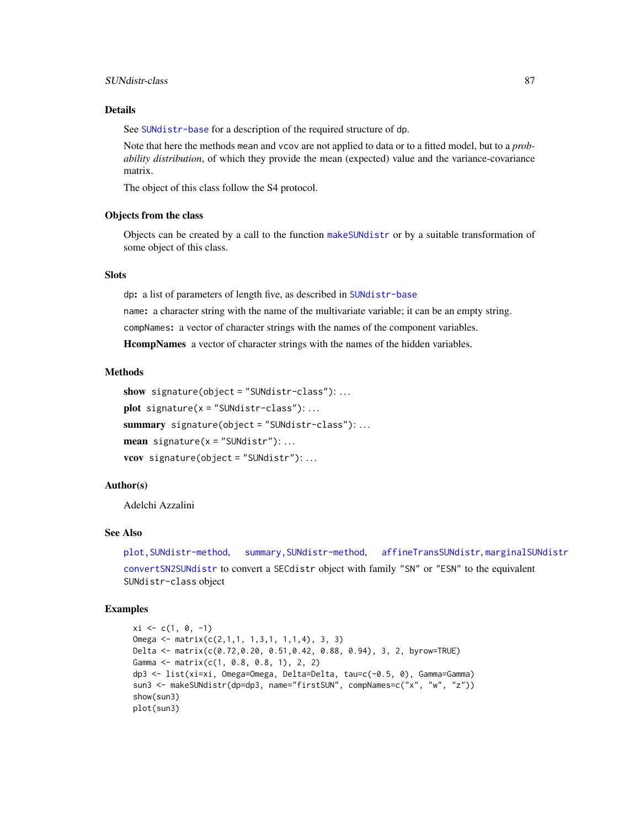# <span id="page-86-0"></span>SUNdistr-class 87

# Details

See [SUNdistr-base](#page-82-0) for a description of the required structure of dp.

Note that here the methods mean and vcov are not applied to data or to a fitted model, but to a *probability distribution*, of which they provide the mean (expected) value and the variance-covariance matrix.

The object of this class follow the S4 protocol.

#### Objects from the class

Objects can be created by a call to the function [makeSUNdistr](#page-33-0) or by a suitable transformation of some object of this class.

# **Slots**

dp: a list of parameters of length five, as described in [SUNdistr-base](#page-82-0)

name: a character string with the name of the multivariate variable; it can be an empty string.

compNames: a vector of character strings with the names of the component variables.

HcompNames a vector of character strings with the names of the hidden variables.

#### Methods

```
show signature(object = "SUNdistr-class"): ...
plot signature(x ="SUNdistr-class"):...
summary signature(object = "SUNdistr-class"):...
mean signature(x = "SUNdistr"): ...
vcov signature(object = "SUNdistr"): ...
```
### Author(s)

Adelchi Azzalini

# See Also

[plot,SUNdistr-method](#page-0-0), [summary,SUNdistr-method](#page-0-0), [affineTransSUNdistr](#page-87-1), [marginalSUNdistr](#page-87-1)

[convertSN2SUNdistr](#page-13-0) to convert a SECdistr object with family "SN" or "ESN" to the equivalent SUNdistr-class object

#### Examples

```
xi \leftarrow c(1, 0, -1)Omega <- matrix(c(2,1,1, 1,3,1, 1,1,4), 3, 3)
Delta <- matrix(c(0.72,0.20, 0.51,0.42, 0.88, 0.94), 3, 2, byrow=TRUE)
Gamma <- matrix(c(1, 0.8, 0.8, 1), 2, 2)
dp3 <- list(xi=xi, Omega=Omega, Delta=Delta, tau=c(-0.5, 0), Gamma=Gamma)
sun3 <- makeSUNdistr(dp=dp3, name="firstSUN", compNames=c("x", "w", "z"))
show(sun3)
plot(sun3)
```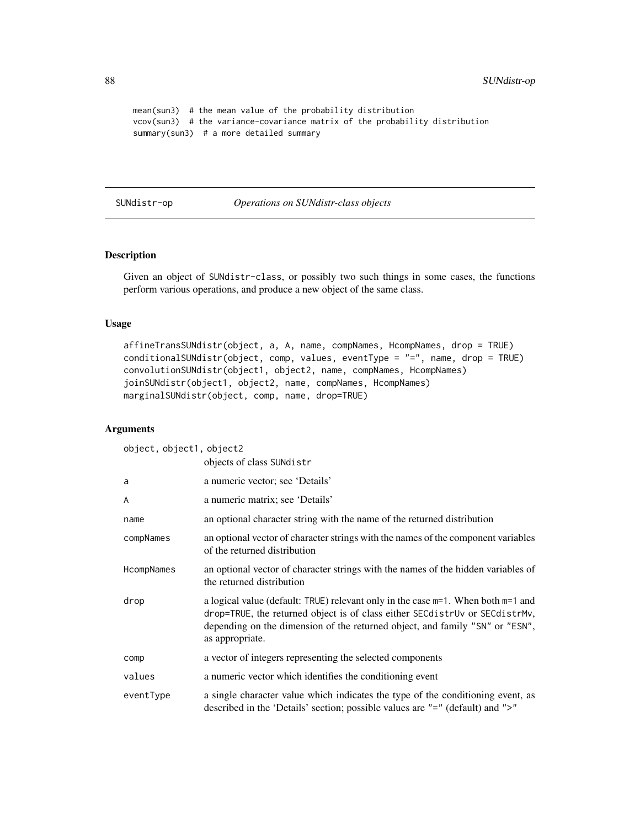```
mean(sun3) # the mean value of the probability distribution
vcov(sun3) # the variance-covariance matrix of the probability distribution
summary(sun3) # a more detailed summary
```
<span id="page-87-0"></span>SUNdistr-op *Operations on SUNdistr-class objects*

# <span id="page-87-1"></span>Description

Given an object of SUNdistr-class, or possibly two such things in some cases, the functions perform various operations, and produce a new object of the same class.

# Usage

```
affineTransSUNdistr(object, a, A, name, compNames, HcompNames, drop = TRUE)
conditionalSUNdistr(object, comp, values, eventType = "=", name, drop = TRUE)
convolutionSUNdistr(object1, object2, name, compNames, HcompNames)
joinSUNdistr(object1, object2, name, compNames, HcompNames)
marginalSUNdistr(object, comp, name, drop=TRUE)
```
# Arguments

object, object1, object2

|            | objects of class SUNdistr                                                                                                                                                                                                                                               |
|------------|-------------------------------------------------------------------------------------------------------------------------------------------------------------------------------------------------------------------------------------------------------------------------|
| a          | a numeric vector; see 'Details'                                                                                                                                                                                                                                         |
| A          | a numeric matrix; see 'Details'                                                                                                                                                                                                                                         |
| name       | an optional character string with the name of the returned distribution                                                                                                                                                                                                 |
| compNames  | an optional vector of character strings with the names of the component variables<br>of the returned distribution                                                                                                                                                       |
| HcompNames | an optional vector of character strings with the names of the hidden variables of<br>the returned distribution                                                                                                                                                          |
| drop       | a logical value (default: TRUE) relevant only in the case $m=1$ . When both $m=1$ and<br>drop=TRUE, the returned object is of class either SECdistrUv or SECdistrMv,<br>depending on the dimension of the returned object, and family "SN" or "ESN",<br>as appropriate. |
| comp       | a vector of integers representing the selected components                                                                                                                                                                                                               |
| values     | a numeric vector which identifies the conditioning event                                                                                                                                                                                                                |
| eventType  | a single character value which indicates the type of the conditioning event, as<br>described in the 'Details' section; possible values are "=" (default) and ">"                                                                                                        |

<span id="page-87-2"></span>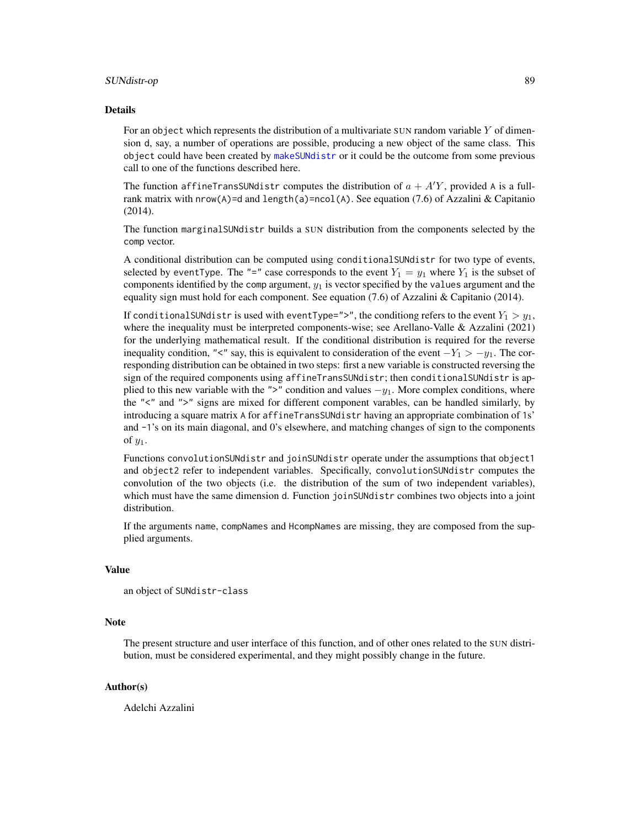#### <span id="page-88-0"></span>SUNdistr-op 89

#### Details

For an object which represents the distribution of a multivariate SUN random variable  $Y$  of dimension d, say, a number of operations are possible, producing a new object of the same class. This object could have been created by [makeSUNdistr](#page-33-0) or it could be the outcome from some previous call to one of the functions described here.

The function affineTransSUNdistr computes the distribution of  $a + A'Y$ , provided A is a fullrank matrix with  $nrow(A)=d$  and  $length(a)=ncol(A)$ . See equation (7.6) of Azzalini & Capitanio (2014).

The function marginalSUNdistr builds a SUN distribution from the components selected by the comp vector.

A conditional distribution can be computed using conditionalSUNdistr for two type of events, selected by eventType. The "=" case corresponds to the event  $Y_1 = y_1$  where  $Y_1$  is the subset of components identified by the comp argument,  $y_1$  is vector specified by the values argument and the equality sign must hold for each component. See equation (7.6) of Azzalini & Capitanio (2014).

If conditionalSUNdistr is used with eventType=">", the conditiong refers to the event  $Y_1 > y_1$ , where the inequality must be interpreted components-wise; see Arellano-Valle & Azzalini (2021) for the underlying mathematical result. If the conditional distribution is required for the reverse inequality condition, "<" say, this is equivalent to consideration of the event  $-Y_1 > -y_1$ . The corresponding distribution can be obtained in two steps: first a new variable is constructed reversing the sign of the required components using affineTransSUNdistr; then conditionalSUNdistr is applied to this new variable with the ">" condition and values  $-y_1$ . More complex conditions, where the "<" and ">" signs are mixed for different component varables, can be handled similarly, by introducing a square matrix A for affineTransSUNdistr having an appropriate combination of 1s' and -1's on its main diagonal, and 0's elsewhere, and matching changes of sign to the components of  $y_1$ .

Functions convolutionSUNdistr and joinSUNdistr operate under the assumptions that object1 and object2 refer to independent variables. Specifically, convolutionSUNdistr computes the convolution of the two objects (i.e. the distribution of the sum of two independent variables), which must have the same dimension d. Function joinSUNdistr combines two objects into a joint distribution.

If the arguments name, compNames and HcompNames are missing, they are composed from the supplied arguments.

#### Value

```
an object of SUNdistr-class
```
#### **Note**

The present structure and user interface of this function, and of other ones related to the SUN distribution, must be considered experimental, and they might possibly change in the future.

# Author(s)

Adelchi Azzalini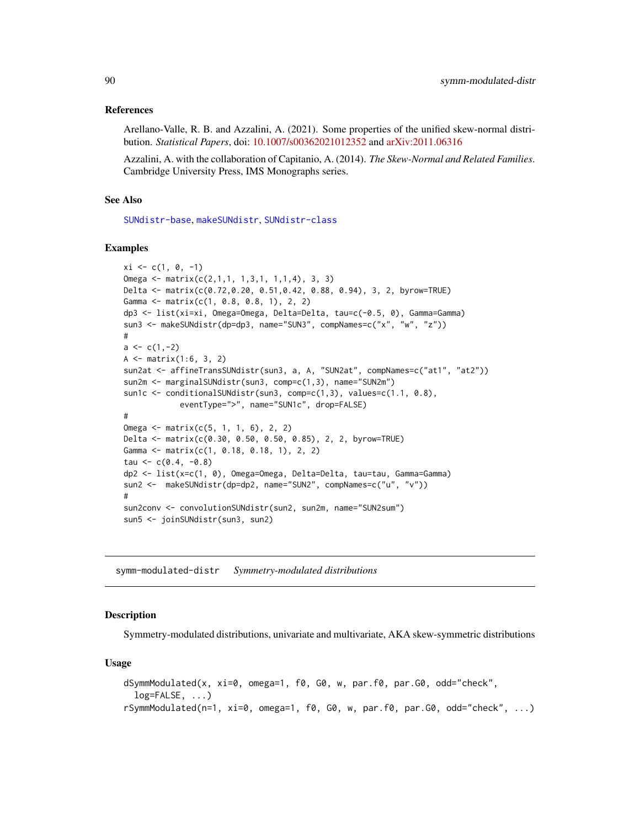### <span id="page-89-0"></span>References

Arellano-Valle, R. B. and Azzalini, A. (2021). Some properties of the unified skew-normal distribution. *Statistical Papers*, doi: [10.1007/s00362021012352](https://doi.org/10.1007/s00362-021-01235-2) and [arXiv:2011.06316](https://arxiv.org/abs/2011.06316)

Azzalini, A. with the collaboration of Capitanio, A. (2014). *The Skew-Normal and Related Families*. Cambridge University Press, IMS Monographs series.

# See Also

[SUNdistr-base](#page-82-0), [makeSUNdistr](#page-33-0), [SUNdistr-class](#page-85-0)

#### Examples

```
xi \leftarrow c(1, 0, -1)Omega <- matrix(c(2,1,1, 1,3,1, 1,1,4), 3, 3)
Delta <- matrix(c(0.72,0.20, 0.51,0.42, 0.88, 0.94), 3, 2, byrow=TRUE)
Gamma <- matrix(c(1, 0.8, 0.8, 1), 2, 2)
dp3 <- list(xi=xi, Omega=Omega, Delta=Delta, tau=c(-0.5, 0), Gamma=Gamma)
sun3 <- makeSUNdistr(dp=dp3, name="SUN3", compNames=c("x", "w", "z"))
#
a \leftarrow c(1, -2)A <- matrix(1:6, 3, 2)
sun2at <- affineTransSUNdistr(sun3, a, A, "SUN2at", compNames=c("at1", "at2"))
sun2m <- marginalSUNdistr(sun3, comp=c(1,3), name="SUN2m")
sun1c <- conditionalSUNdistr(sun3, comp=c(1,3), values=c(1.1, 0.8),
            eventType=">", name="SUN1c", drop=FALSE)
#
Omega <- matrix(c(5, 1, 1, 6), 2, 2)
Delta <- matrix(c(0.30, 0.50, 0.50, 0.85), 2, 2, byrow=TRUE)
Gamma <- matrix(c(1, 0.18, 0.18, 1), 2, 2)
tau <-c(0.4, -0.8)dp2 <- list(x=c(1, 0), Omega=Omega, Delta=Delta, tau=tau, Gamma=Gamma)
sun2 <- makeSUNdistr(dp=dp2, name="SUN2", compNames=c("u", "v"))
#
sun2conv <- convolutionSUNdistr(sun2, sun2m, name="SUN2sum")
sun5 <- joinSUNdistr(sun3, sun2)
```
symm-modulated-distr *Symmetry-modulated distributions*

#### Description

Symmetry-modulated distributions, univariate and multivariate, AKA skew-symmetric distributions

#### Usage

```
dSymmModulated(x, xi=0, omega=1, f0, G0, w, par.f0, par.G0, odd="check",
  log=FALSE, ...)
rSymmModulated(n=1, xi=0, omega=1, f0, G0, w, par.f0, par.G0, odd="check", ...)
```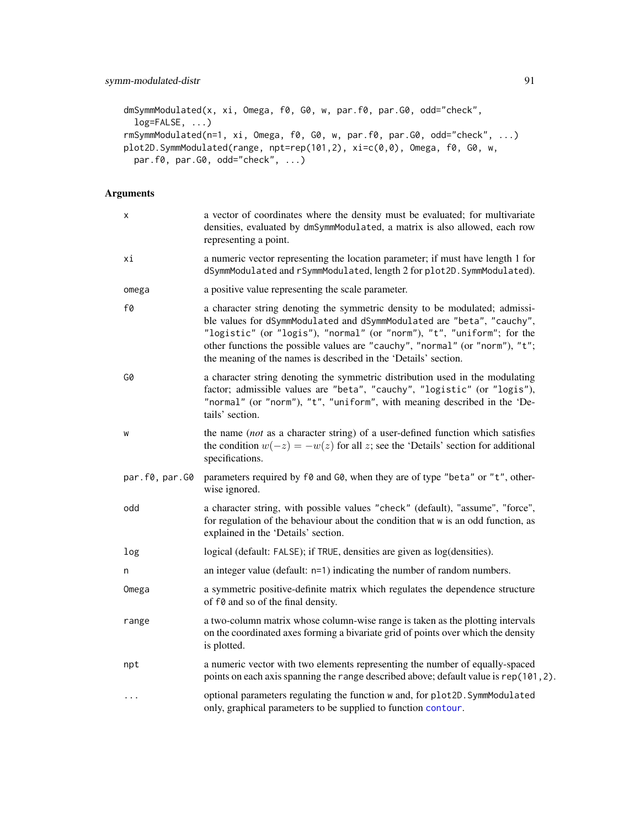```
dmSymmModulated(x, xi, Omega, f0, G0, w, par.f0, par.G0, odd="check",
 log=FALSE, ...)
rmSymmModulated(n=1, xi, Omega, f0, G0, w, par.f0, par.G0, odd="check", ...)
plot2D.SymmModulated(range, npt=rep(101,2), xi=c(0,0), Omega, f0, G0, w,
 par.f0, par.G0, odd="check", ...)
```
# Arguments

| x              | a vector of coordinates where the density must be evaluated; for multivariate<br>densities, evaluated by dmSymmModulated, a matrix is also allowed, each row<br>representing a point.                                                                                                                                                                                              |
|----------------|------------------------------------------------------------------------------------------------------------------------------------------------------------------------------------------------------------------------------------------------------------------------------------------------------------------------------------------------------------------------------------|
| хi             | a numeric vector representing the location parameter; if must have length 1 for<br>dSymmModulated and rSymmModulated, length 2 for plot2D. SymmModulated).                                                                                                                                                                                                                         |
| omega          | a positive value representing the scale parameter.                                                                                                                                                                                                                                                                                                                                 |
| f0             | a character string denoting the symmetric density to be modulated; admissi-<br>ble values for dSymmModulated and dSymmModulated are "beta", "cauchy",<br>"logistic" (or "logis"), "normal" (or "norm"), "t", "uniform"; for the<br>other functions the possible values are "cauchy", "normal" (or "norm"), "t";<br>the meaning of the names is described in the 'Details' section. |
| G0             | a character string denoting the symmetric distribution used in the modulating<br>factor; admissible values are "beta", "cauchy", "logistic" (or "logis"),<br>"normal" (or "norm"), "t", "uniform", with meaning described in the 'De-<br>tails' section.                                                                                                                           |
| W              | the name (not as a character string) of a user-defined function which satisfies<br>the condition $w(-z) = -w(z)$ for all z; see the 'Details' section for additional<br>specifications.                                                                                                                                                                                            |
| par.f0, par.G0 | parameters required by f0 and G0, when they are of type "beta" or "t", other-<br>wise ignored.                                                                                                                                                                                                                                                                                     |
| odd            | a character string, with possible values "check" (default), "assume", "force",<br>for regulation of the behaviour about the condition that w is an odd function, as<br>explained in the 'Details' section.                                                                                                                                                                         |
| log            | logical (default: FALSE); if TRUE, densities are given as log(densities).                                                                                                                                                                                                                                                                                                          |
| n              | an integer value (default: $n=1$ ) indicating the number of random numbers.                                                                                                                                                                                                                                                                                                        |
| Omega          | a symmetric positive-definite matrix which regulates the dependence structure<br>of f0 and so of the final density.                                                                                                                                                                                                                                                                |
| range          | a two-column matrix whose column-wise range is taken as the plotting intervals<br>on the coordinated axes forming a bivariate grid of points over which the density<br>is plotted.                                                                                                                                                                                                 |
| npt            | a numeric vector with two elements representing the number of equally-spaced<br>points on each axis spanning the range described above; default value is rep(101, 2).                                                                                                                                                                                                              |
| $\ddots$       | optional parameters regulating the function w and, for plot2D. SymmModulated<br>only, graphical parameters to be supplied to function contour.                                                                                                                                                                                                                                     |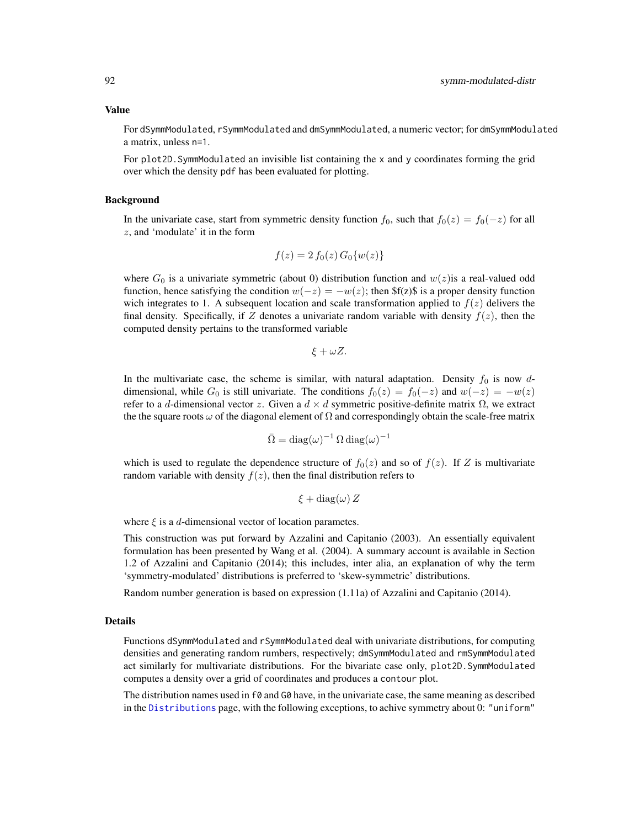#### <span id="page-91-0"></span>Value

For dSymmModulated, rSymmModulated and dmSymmModulated, a numeric vector; for dmSymmModulated a matrix, unless n=1.

For plot2D.SymmModulated an invisible list containing the x and y coordinates forming the grid over which the density pdf has been evaluated for plotting.

# Background

In the univariate case, start from symmetric density function  $f_0$ , such that  $f_0(z) = f_0(-z)$  for all z, and 'modulate' it in the form

$$
f(z) = 2 f_0(z) G_0 \{ w(z) \}
$$

where  $G_0$  is a univariate symmetric (about 0) distribution function and  $w(z)$  is a real-valued odd function, hence satisfying the condition  $w(-z) = -w(z)$ ; then \$f(z)\$ is a proper density function wich integrates to 1. A subsequent location and scale transformation applied to  $f(z)$  delivers the final density. Specifically, if Z denotes a univariate random variable with density  $f(z)$ , then the computed density pertains to the transformed variable

 $\xi + \omega Z$ .

In the multivariate case, the scheme is similar, with natural adaptation. Density  $f_0$  is now ddimensional, while  $G_0$  is still univariate. The conditions  $f_0(z) = f_0(-z)$  and  $w(-z) = -w(z)$ refer to a d-dimensional vector z. Given a  $d \times d$  symmetric positive-definite matrix  $\Omega$ , we extract the the square roots  $\omega$  of the diagonal element of  $\Omega$  and correspondingly obtain the scale-free matrix

$$
\bar{\Omega} = \text{diag}(\omega)^{-1} \, \Omega \, \text{diag}(\omega)^{-1}
$$

which is used to regulate the dependence structure of  $f_0(z)$  and so of  $f(z)$ . If Z is multivariate random variable with density  $f(z)$ , then the final distribution refers to

$$
\xi + \text{diag}(\omega) Z
$$

where  $\xi$  is a d-dimensional vector of location parametes.

This construction was put forward by Azzalini and Capitanio (2003). An essentially equivalent formulation has been presented by Wang et al. (2004). A summary account is available in Section 1.2 of Azzalini and Capitanio (2014); this includes, inter alia, an explanation of why the term 'symmetry-modulated' distributions is preferred to 'skew-symmetric' distributions.

Random number generation is based on expression (1.11a) of Azzalini and Capitanio (2014).

#### Details

Functions dSymmModulated and rSymmModulated deal with univariate distributions, for computing densities and generating random rumbers, respectively; dmSymmModulated and rmSymmModulated act similarly for multivariate distributions. For the bivariate case only, plot2D.SymmModulated computes a density over a grid of coordinates and produces a contour plot.

The distribution names used in  $f\theta$  and  $G\theta$  have, in the univariate case, the same meaning as described in the [Distributions](#page-0-0) page, with the following exceptions, to achive symmetry about 0: "uniform"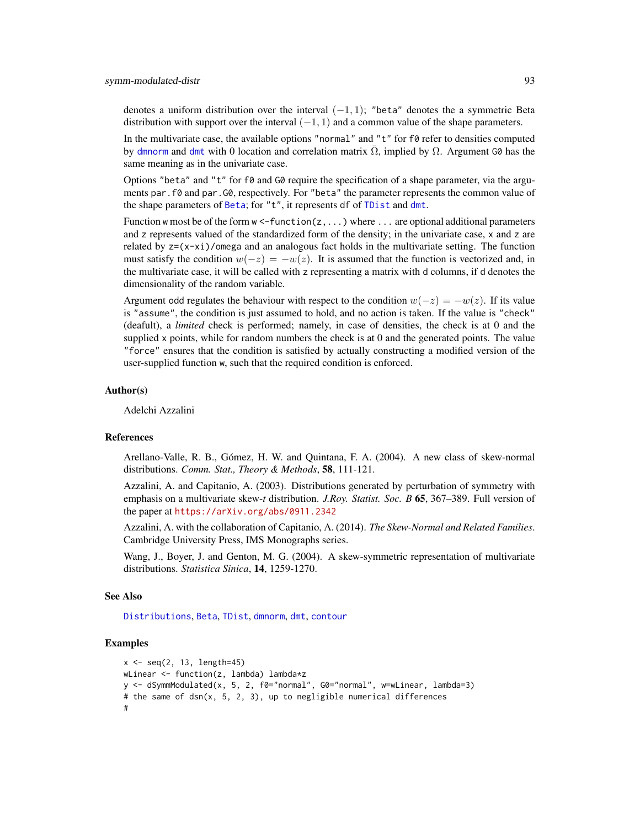<span id="page-92-0"></span>denotes a uniform distribution over the interval  $(-1, 1)$ ; "beta" denotes the a symmetric Beta distribution with support over the interval  $(-1, 1)$  and a common value of the shape parameters.

In the multivariate case, the available options "normal" and " $t$ " for  $f\varnothing$  refer to densities computed by [dmnorm](#page-0-0) and [dmt](#page-0-0) with 0 location and correlation matrix  $\overline{\Omega}$ , implied by  $\Omega$ . Argument G0 has the same meaning as in the univariate case.

Options "beta" and "t" for  $f\theta$  and  $G\theta$  require the specification of a shape parameter, via the arguments par.f0 and par.G0, respectively. For "beta" the parameter represents the common value of the shape parameters of [Beta](#page-0-0); for "t", it represents df of [TDist](#page-0-0) and [dmt](#page-0-0).

Function w most be of the form  $w \leq$ -function( $z, \ldots$ ) where  $\ldots$  are optional additional parameters and z represents valued of the standardized form of the density; in the univariate case, x and z are related by  $z=(x-xi)/\omega$  and an analogous fact holds in the multivariate setting. The function must satisfy the condition  $w(-z) = -w(z)$ . It is assumed that the function is vectorized and, in the multivariate case, it will be called with z representing a matrix with d columns, if d denotes the dimensionality of the random variable.

Argument odd regulates the behaviour with respect to the condition  $w(-z) = -w(z)$ . If its value is "assume", the condition is just assumed to hold, and no action is taken. If the value is "check" (deafult), a *limited* check is performed; namely, in case of densities, the check is at 0 and the supplied x points, while for random numbers the check is at 0 and the generated points. The value "force" ensures that the condition is satisfied by actually constructing a modified version of the user-supplied function w, such that the required condition is enforced.

## Author(s)

Adelchi Azzalini

# References

Arellano-Valle, R. B., Gómez, H. W. and Quintana, F. A. (2004). A new class of skew-normal distributions. *Comm. Stat., Theory & Methods*, 58, 111-121.

Azzalini, A. and Capitanio, A. (2003). Distributions generated by perturbation of symmetry with emphasis on a multivariate skew-*t* distribution. *J.Roy. Statist. Soc. B* 65, 367–389. Full version of the paper at <https://arXiv.org/abs/0911.2342>

Azzalini, A. with the collaboration of Capitanio, A. (2014). *The Skew-Normal and Related Families*. Cambridge University Press, IMS Monographs series.

Wang, J., Boyer, J. and Genton, M. G. (2004). A skew-symmetric representation of multivariate distributions. *Statistica Sinica*, 14, 1259-1270.

#### See Also

[Distributions](#page-0-0), [Beta](#page-0-0), [TDist](#page-0-0), [dmnorm](#page-0-0), [dmt](#page-0-0), [contour](#page-0-0)

# Examples

```
x \le - seq(2, 13, length=45)
wLinear <- function(z, lambda) lambda*z
y <- dSymmModulated(x, 5, 2, f0="normal", G0="normal", w=wLinear, lambda=3)
# the same of dsn(x, 5, 2, 3), up to negligible numerical differences
#
```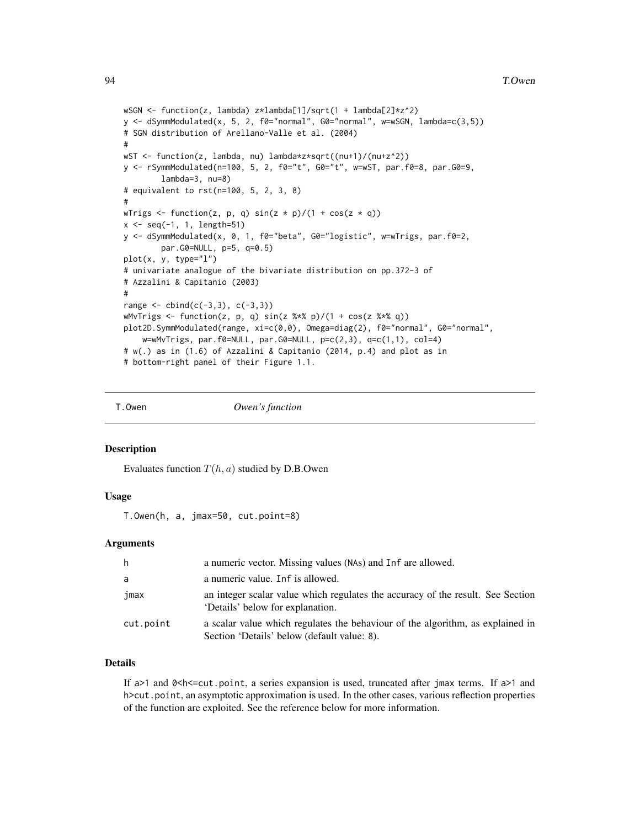```
wSGN <- function(z, lambda) z*lambda[1]/sqrt(1 + lambda[2]*z^2)
y <- dSymmModulated(x, 5, 2, f0="normal", G0="normal", w=wSGN, lambda=c(3,5))
# SGN distribution of Arellano-Valle et al. (2004)
#
wST <- function(z, lambda, nu) lambda*z*sqrt((nu+1)/(nu+z^2))
y <- rSymmModulated(n=100, 5, 2, f0="t", G0="t", w=wST, par.f0=8, par.G0=9,
        lambda=3, nu=8)
# equivalent to rst(n=100, 5, 2, 3, 8)
#
wTrigs <- function(z, p, q) sin(z * p)/(1 + cos(z * q))x <- seq(-1, 1, length=51)
y <- dSymmModulated(x, 0, 1, f0="beta", G0="logistic", w=wTrigs, par.f0=2,
        par.G0=NULL, p=5, q=0.5)
plot(x, y, type="1")# univariate analogue of the bivariate distribution on pp.372-3 of
# Azzalini & Capitanio (2003)
#
range < - \text{cbind}(c(-3,3), c(-3,3))wMvTrigs \le function(z, p, q) sin(z %*% p)/(1 + cos(z %*% q))
plot2D.SymmModulated(range, xi=c(0,0), Omega=diag(2), f0="normal", G0="normal",
    w=wMvTrigs, par.f0=NULL, par.G0=NULL, p=c(2,3), q=c(1,1), col=4)
# w(.) as in (1.6) of Azzalini & Capitanio (2014, p.4) and plot as in
# bottom-right panel of their Figure 1.1.
```
T.Owen *Owen's function*

#### Description

Evaluates function  $T(h, a)$  studied by D.B.Owen

#### Usage

T.Owen(h, a, jmax=50, cut.point=8)

#### Arguments

| h         | a numeric vector. Missing values (NAs) and Inf are allowed.                                                                   |
|-----------|-------------------------------------------------------------------------------------------------------------------------------|
| a         | a numeric value. Inf is allowed.                                                                                              |
| jmax      | an integer scalar value which regulates the accuracy of the result. See Section<br>'Details' below for explanation.           |
| cut.point | a scalar value which regulates the behaviour of the algorithm, as explained in<br>Section 'Details' below (default value: 8). |

# Details

If  $a>1$  and  $0, a series expansion is used, truncated after jmax terms. If  $a>1$  and$ h>cut.point, an asymptotic approximation is used. In the other cases, various reflection properties of the function are exploited. See the reference below for more information.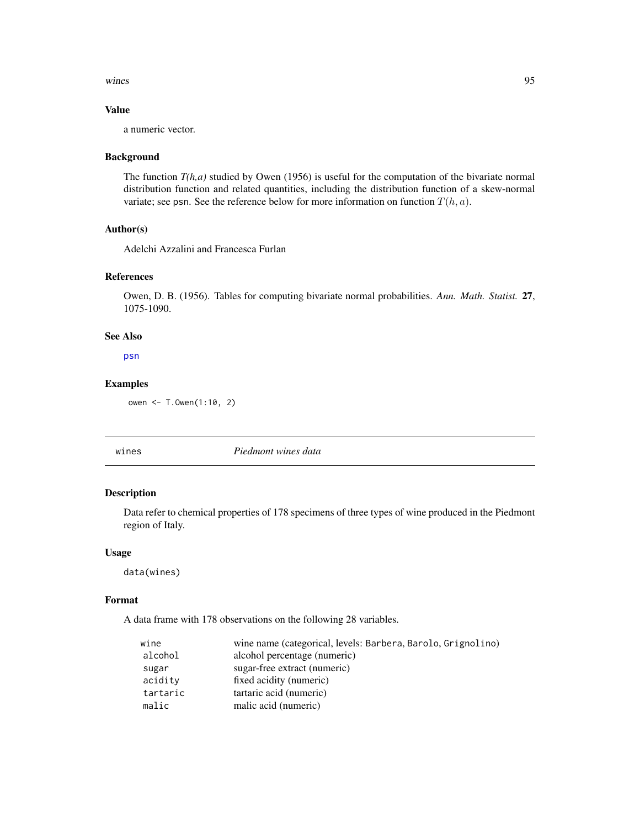<span id="page-94-0"></span>wines 95

# Value

a numeric vector.

#### Background

The function *T(h,a)* studied by Owen (1956) is useful for the computation of the bivariate normal distribution function and related quantities, including the distribution function of a skew-normal variate; see psn. See the reference below for more information on function  $T(h, a)$ .

# Author(s)

Adelchi Azzalini and Francesca Furlan

# References

Owen, D. B. (1956). Tables for computing bivariate normal probabilities. *Ann. Math. Statist.* 27, 1075-1090.

# See Also

[psn](#page-22-1)

#### Examples

owen <- T.Owen(1:10, 2)

wines *Piedmont wines data*

# Description

Data refer to chemical properties of 178 specimens of three types of wine produced in the Piedmont region of Italy.

# Usage

data(wines)

#### Format

A data frame with 178 observations on the following 28 variables.

| wine     | wine name (categorical, levels: Barbera, Barolo, Grignolino) |
|----------|--------------------------------------------------------------|
| alcohol  | alcohol percentage (numeric)                                 |
| sugar    | sugar-free extract (numeric)                                 |
| acidity  | fixed acidity (numeric)                                      |
| tartaric | tartaric acid (numeric)                                      |
| malic    | malic acid (numeric)                                         |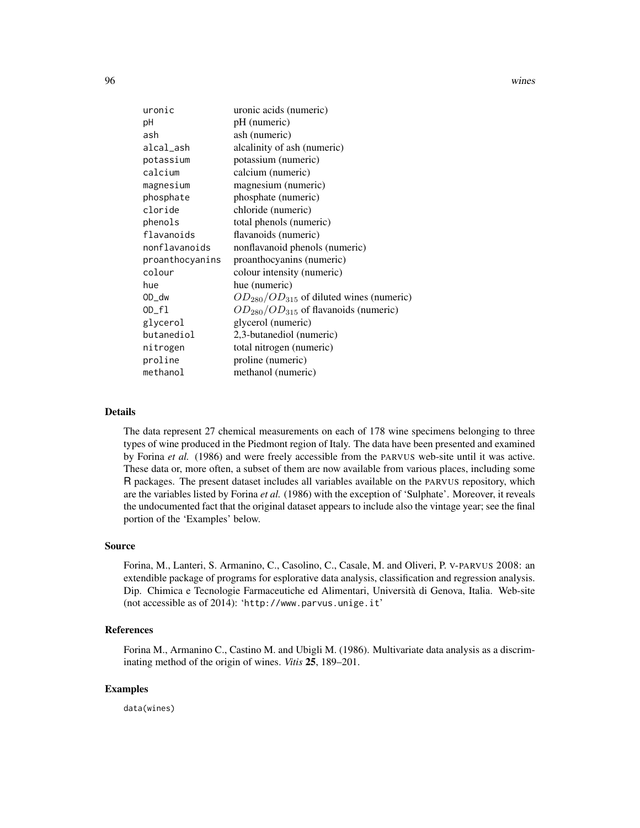96 wines

| uronic          | uronic acids (numeric)                         |
|-----------------|------------------------------------------------|
| рH              | pH (numeric)                                   |
| ash             | ash (numeric)                                  |
| alcal_ash       | alcalinity of ash (numeric)                    |
| potassium       | potassium (numeric)                            |
| calcium         | calcium (numeric)                              |
| magnesium       | magnesium (numeric)                            |
| phosphate       | phosphate (numeric)                            |
| cloride         | chloride (numeric)                             |
| phenols         | total phenols (numeric)                        |
| flavanoids      | flavanoids (numeric)                           |
| nonflavanoids   | nonflavanoid phenols (numeric)                 |
| proanthocyanins | proanthocyanins (numeric)                      |
| colour          | colour intensity (numeric)                     |
| hue             | hue (numeric)                                  |
| OD_dw           | $OD_{280}/OD_{315}$ of diluted wines (numeric) |
| $OD_f1$         | $OD_{280}/OD_{315}$ of flavanoids (numeric)    |
| glycerol        | glycerol (numeric)                             |
| butanediol      | 2,3-butanediol (numeric)                       |
| nitrogen        | total nitrogen (numeric)                       |
| proline         | proline (numeric)                              |
| methanol        | methanol (numeric)                             |

#### Details

The data represent 27 chemical measurements on each of 178 wine specimens belonging to three types of wine produced in the Piedmont region of Italy. The data have been presented and examined by Forina *et al.* (1986) and were freely accessible from the PARVUS web-site until it was active. These data or, more often, a subset of them are now available from various places, including some R packages. The present dataset includes all variables available on the PARVUS repository, which are the variables listed by Forina *et al.* (1986) with the exception of 'Sulphate'. Moreover, it reveals the undocumented fact that the original dataset appears to include also the vintage year; see the final portion of the 'Examples' below.

#### Source

Forina, M., Lanteri, S. Armanino, C., Casolino, C., Casale, M. and Oliveri, P. V-PARVUS 2008: an extendible package of programs for esplorative data analysis, classification and regression analysis. Dip. Chimica e Tecnologie Farmaceutiche ed Alimentari, Università di Genova, Italia. Web-site (not accessible as of 2014): 'http://www.parvus.unige.it'

# References

Forina M., Armanino C., Castino M. and Ubigli M. (1986). Multivariate data analysis as a discriminating method of the origin of wines. *Vitis* 25, 189–201.

# Examples

data(wines)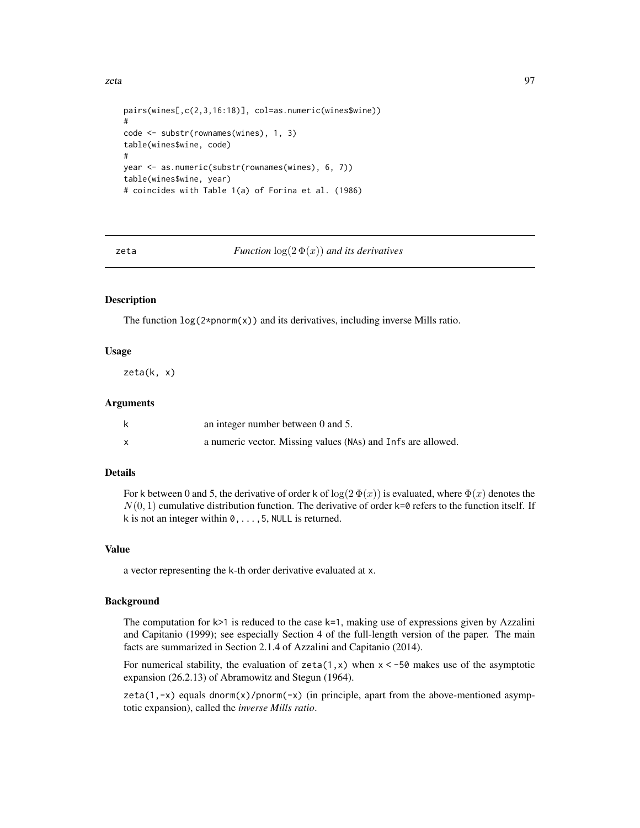```
pairs(wines[,c(2,3,16:18)], col=as.numeric(wines$wine))
#
code <- substr(rownames(wines), 1, 3)
table(wines$wine, code)
#
year <- as.numeric(substr(rownames(wines), 6, 7))
table(wines$wine, year)
# coincides with Table 1(a) of Forina et al. (1986)
```
zeta *Function* log(2 Φ(x)) *and its derivatives*

# Description

The function  $log(2 * pnorm(x))$  and its derivatives, including inverse Mills ratio.

## Usage

zeta(k, x)

#### Arguments

| an integer number between 0 and 5.                           |
|--------------------------------------------------------------|
| a numeric vector. Missing values (NAs) and Infs are allowed. |

# Details

For k between 0 and 5, the derivative of order k of  $\log(2 \Phi(x))$  is evaluated, where  $\Phi(x)$  denotes the  $N(0, 1)$  cumulative distribution function. The derivative of order k=0 refers to the function itself. If k is not an integer within  $0, \ldots, 5$ , NULL is returned.

### Value

a vector representing the k-th order derivative evaluated at x.

# **Background**

The computation for  $k>1$  is reduced to the case  $k=1$ , making use of expressions given by Azzalini and Capitanio (1999); see especially Section 4 of the full-length version of the paper. The main facts are summarized in Section 2.1.4 of Azzalini and Capitanio (2014).

For numerical stability, the evaluation of  $zeta(1,x)$  when  $x < -50$  makes use of the asymptotic expansion (26.2.13) of Abramowitz and Stegun (1964).

zeta(1,-x) equals dnorm(x)/pnorm(-x) (in principle, apart from the above-mentioned asymptotic expansion), called the *inverse Mills ratio*.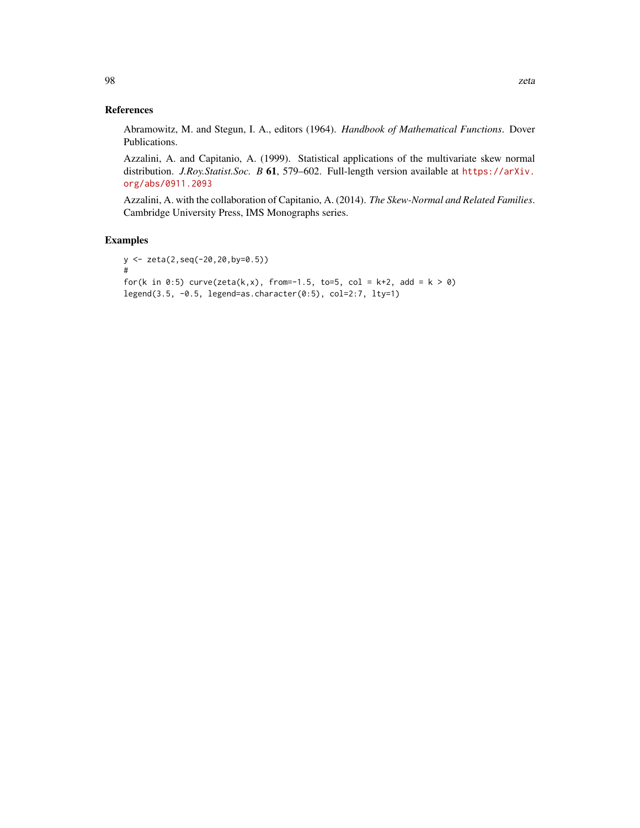# References

Abramowitz, M. and Stegun, I. A., editors (1964). *Handbook of Mathematical Functions*. Dover Publications.

Azzalini, A. and Capitanio, A. (1999). Statistical applications of the multivariate skew normal distribution. *J.Roy.Statist.Soc. B* 61, 579-602. Full-length version available at [https://arXiv.](https://arXiv.org/abs/0911.2093) [org/abs/0911.2093](https://arXiv.org/abs/0911.2093)

Azzalini, A. with the collaboration of Capitanio, A. (2014). *The Skew-Normal and Related Families*. Cambridge University Press, IMS Monographs series.

# Examples

```
y <- zeta(2,seq(-20,20,by=0.5))
#
for(k in 0:5) curve(zeta(k,x), from=-1.5, to=5, col = k+2, add = k > 0)
legend(3.5, -0.5, legend=as.character(0:5), col=2:7, lty=1)
```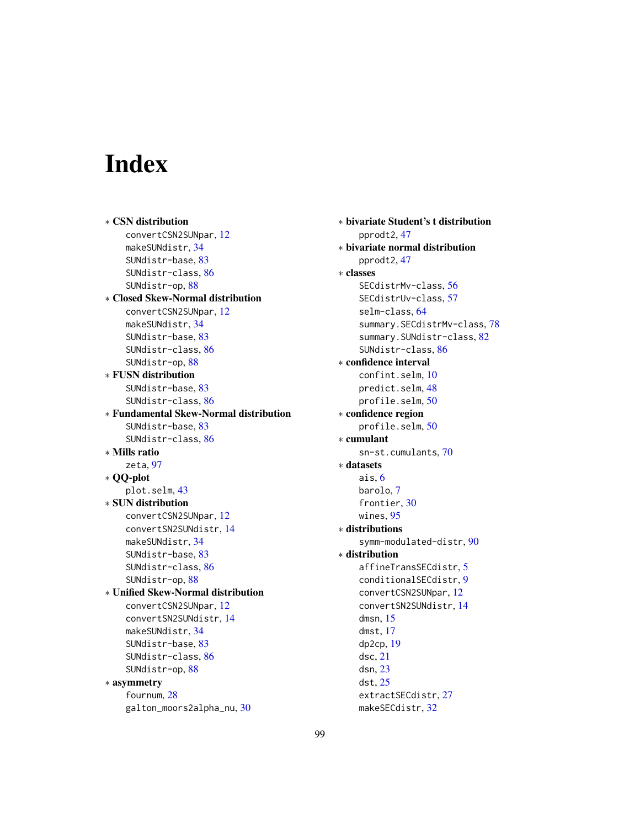# Index

∗ CSN distribution convertCSN2SUNpar, [12](#page-11-1) makeSUNdistr, [34](#page-33-1) SUNdistr-base, [83](#page-82-1) SUNdistr-class, [86](#page-85-1) SUNdistr-op, [88](#page-87-2) ∗ Closed Skew-Normal distribution convertCSN2SUNpar, [12](#page-11-1) makeSUNdistr, [34](#page-33-1) SUNdistr-base, [83](#page-82-1) SUNdistr-class, [86](#page-85-1) SUNdistr-op, [88](#page-87-2) ∗ FUSN distribution SUNdistr-base, [83](#page-82-1) SUNdistr-class, [86](#page-85-1) ∗ Fundamental Skew-Normal distribution SUNdistr-base, [83](#page-82-1) SUNdistr-class, [86](#page-85-1) ∗ Mills ratio zeta, [97](#page-96-0) ∗ QQ-plot plot.selm, [43](#page-42-1) ∗ SUN distribution convertCSN2SUNpar, [12](#page-11-1) convertSN2SUNdistr, [14](#page-13-1) makeSUNdistr, [34](#page-33-1) SUNdistr-base, [83](#page-82-1) SUNdistr-class, [86](#page-85-1) SUNdistr-op, [88](#page-87-2) ∗ Unified Skew-Normal distribution convertCSN2SUNpar, [12](#page-11-1) convertSN2SUNdistr, [14](#page-13-1) makeSUNdistr, [34](#page-33-1) SUNdistr-base, [83](#page-82-1) SUNdistr-class, [86](#page-85-1) SUNdistr-op, [88](#page-87-2) ∗ asymmetry fournum, [28](#page-27-0) galton\_moors2alpha\_nu, [30](#page-29-0)

∗ bivariate Student's t distribution pprodt2, [47](#page-46-0) ∗ bivariate normal distribution pprodt2, [47](#page-46-0) ∗ classes SECdistrMv-class, [56](#page-55-1) SECdistrUv-class, [57](#page-56-1) selm-class, [64](#page-63-1) summary.SECdistrMv-class, [78](#page-77-0) summary.SUNdistr-class, [82](#page-81-0) SUNdistr-class, [86](#page-85-1) ∗ confidence interval confint.selm, [10](#page-9-0) predict.selm, [48](#page-47-0) profile.selm, [50](#page-49-0) ∗ confidence region profile.selm, [50](#page-49-0) ∗ cumulant sn-st.cumulants, [70](#page-69-0) ∗ datasets ais, [6](#page-5-0) barolo, [7](#page-6-0) frontier, [30](#page-29-0) wines, [95](#page-94-0) ∗ distributions symm-modulated-distr, [90](#page-89-0) ∗ distribution affineTransSECdistr, [5](#page-4-0) conditionalSECdistr, [9](#page-8-0) convertCSN2SUNpar, [12](#page-11-1) convertSN2SUNdistr, [14](#page-13-1) dmsn, [15](#page-14-1) dmst, [17](#page-16-1) dp2cp, [19](#page-18-1) dsc, [21](#page-20-0) dsn, [23](#page-22-2) dst, [25](#page-24-1) extractSECdistr, [27](#page-26-1) makeSECdistr, [32](#page-31-1)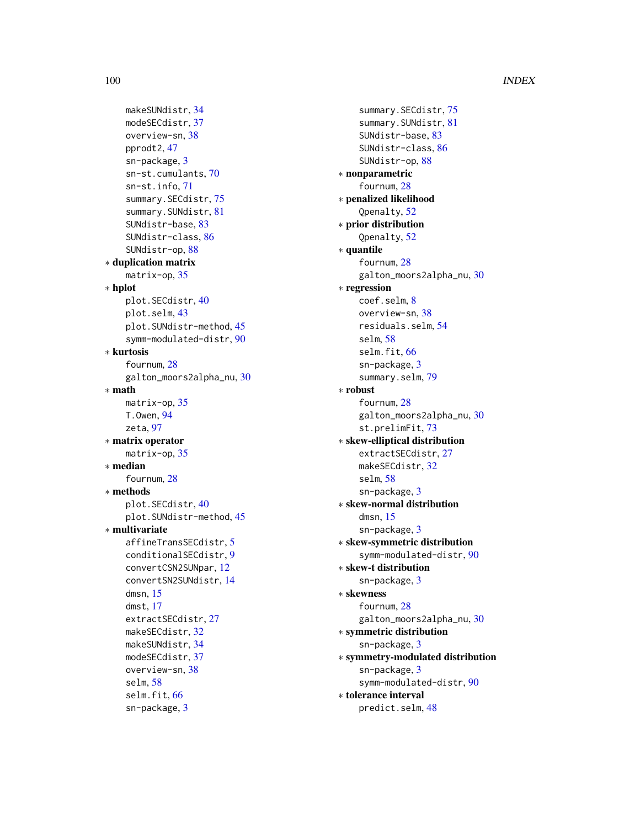# 100 INDEX

```
makeSUNdistr, 34
    modeSECdistr, 37
    overview-sn, 38
    pprodt2, 47
    sn-package, 3
    sn-st.cumulants, 70
    sn-st.info, 71
    summary.SECdistr, 75
    summary.SUNdistr, 81
    SUNdistr-base, 83
    SUNdistr-class, 86
    SUNdistr-op, 88
∗ duplication matrix
    matrix-op, 35
∗ hplot
    plot.SECdistr, 40
    plot.selm, 43
    plot.SUNdistr-method, 45
    symm-modulated-distr, 90
∗ kurtosis
    fournum, 28
    galton_moors2alpha_nu, 30
∗ math
    matrix-op, 35
    T.Owen, 94
    zeta, 97
∗ matrix operator
    matrix-op, 35
∗ median
    fournum, 28
∗ methods
    plot.SECdistr, 40
    plot.SUNdistr-method, 45
∗ multivariate
    affineTransSECdistr, 5
    conditionalSECdistr, 9
    convertCSN2SUNpar, 12
    convertSN2SUNdistr, 14
    dmsn, 15
    dmst, 17
    extractSECdistr, 27
    makeSECdistr, 32
    makeSUNdistr, 34
    modeSECdistr, 37
    overview-sn, 38
    selm, 58
    66
    sn-package, 3
```
summary. SECdistr, [75](#page-74-1) summary.SUNdistr, [81](#page-80-1) SUNdistr-base, [83](#page-82-1) SUNdistr-class, [86](#page-85-1) SUNdistr-op, [88](#page-87-2) ∗ nonparametric fournum, [28](#page-27-0) ∗ penalized likelihood Qpenalty, [52](#page-51-0) ∗ prior distribution Qpenalty, [52](#page-51-0) ∗ quantile fournum, [28](#page-27-0) galton\_moors2alpha\_nu, [30](#page-29-0) ∗ regression coef.selm, [8](#page-7-0) overview-sn, [38](#page-37-0) residuals.selm, [54](#page-53-0) selm, [58](#page-57-1) selm.fit, [66](#page-65-0) sn-package, [3](#page-2-0) summary.selm, [79](#page-78-0) ∗ robust fournum, [28](#page-27-0) galton\_moors2alpha\_nu, [30](#page-29-0) st.prelimFit, [73](#page-72-0) ∗ skew-elliptical distribution extractSECdistr, [27](#page-26-1) makeSECdistr, [32](#page-31-1) selm, [58](#page-57-1) sn-package, [3](#page-2-0) ∗ skew-normal distribution dmsn, [15](#page-14-1) sn-package, [3](#page-2-0) ∗ skew-symmetric distribution symm-modulated-distr, [90](#page-89-0) ∗ skew-t distribution sn-package, [3](#page-2-0) ∗ skewness fournum, [28](#page-27-0) galton\_moors2alpha\_nu, [30](#page-29-0) ∗ symmetric distribution sn-package, [3](#page-2-0) ∗ symmetry-modulated distribution sn-package, [3](#page-2-0) symm-modulated-distr, [90](#page-89-0) ∗ tolerance interval predict.selm, [48](#page-47-0)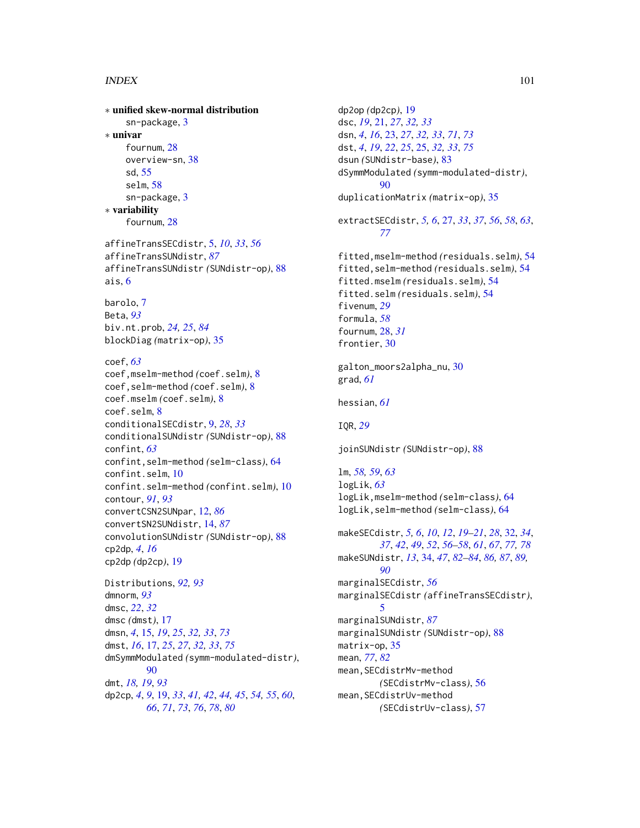# $I$ NDEX  $101$

∗ unified skew-normal distribution sn-package, [3](#page-2-0) ∗ univar fournum, [28](#page-27-0) overview-sn, [38](#page-37-0) sd, [55](#page-54-1) selm, [58](#page-57-1) sn-package, [3](#page-2-0) ∗ variability fournum, [28](#page-27-0) affineTransSECdistr, [5,](#page-4-0) *[10](#page-9-0)*, *[33](#page-32-0)*, *[56](#page-55-1)* affineTransSUNdistr, *[87](#page-86-0)* affineTransSUNdistr *(*SUNdistr-op*)*, [88](#page-87-2) ais, [6](#page-5-0) barolo, [7](#page-6-0) Beta, *[93](#page-92-0)* biv.nt.prob, *[24,](#page-23-0) [25](#page-24-1)*, *[84](#page-83-0)* blockDiag *(*matrix-op*)*, [35](#page-34-0) coef, *[63](#page-62-0)* coef,mselm-method *(*coef.selm*)*, [8](#page-7-0) coef,selm-method *(*coef.selm*)*, [8](#page-7-0) coef.mselm *(*coef.selm*)*, [8](#page-7-0) coef.selm, [8](#page-7-0) conditionalSECdistr, [9,](#page-8-0) *[28](#page-27-0)*, *[33](#page-32-0)* conditionalSUNdistr *(*SUNdistr-op*)*, [88](#page-87-2) confint, *[63](#page-62-0)* confint,selm-method *(*selm-class*)*, [64](#page-63-1) confint.selm, [10](#page-9-0) confint.selm-method *(*confint.selm*)*, [10](#page-9-0) contour, *[91](#page-90-0)*, *[93](#page-92-0)* convertCSN2SUNpar, [12,](#page-11-1) *[86](#page-85-1)* convertSN2SUNdistr, [14,](#page-13-1) *[87](#page-86-0)* convolutionSUNdistr *(*SUNdistr-op*)*, [88](#page-87-2) cp2dp, *[4](#page-3-0)*, *[16](#page-15-0)* cp2dp *(*dp2cp*)*, [19](#page-18-1) Distributions, *[92,](#page-91-0) [93](#page-92-0)* dmnorm, *[93](#page-92-0)* dmsc, *[22](#page-21-0)*, *[32](#page-31-1)* dmsc *(*dmst*)*, [17](#page-16-1) dmsn, *[4](#page-3-0)*, [15,](#page-14-1) *[19](#page-18-1)*, *[25](#page-24-1)*, *[32,](#page-31-1) [33](#page-32-0)*, *[73](#page-72-0)* dmst, *[16](#page-15-0)*, [17,](#page-16-1) *[25](#page-24-1)*, *[27](#page-26-1)*, *[32,](#page-31-1) [33](#page-32-0)*, *[75](#page-74-1)* dmSymmModulated *(*symm-modulated-distr*)*, [90](#page-89-0) dmt, *[18,](#page-17-0) [19](#page-18-1)*, *[93](#page-92-0)* dp2cp, *[4](#page-3-0)*, *[9](#page-8-0)*, [19,](#page-18-1) *[33](#page-32-0)*, *[41,](#page-40-0) [42](#page-41-0)*, *[44,](#page-43-0) [45](#page-44-0)*, *[54,](#page-53-0) [55](#page-54-1)*, *[60](#page-59-0)*, *[66](#page-65-0)*, *[71](#page-70-0)*, *[73](#page-72-0)*, *[76](#page-75-0)*, *[78](#page-77-0)*, *[80](#page-79-0)*

dp2op *(*dp2cp*)*, [19](#page-18-1) dsc, *[19](#page-18-1)*, [21,](#page-20-0) *[27](#page-26-1)*, *[32,](#page-31-1) [33](#page-32-0)* dsn, *[4](#page-3-0)*, *[16](#page-15-0)*, [23,](#page-22-2) *[27](#page-26-1)*, *[32,](#page-31-1) [33](#page-32-0)*, *[71](#page-70-0)*, *[73](#page-72-0)* dst, *[4](#page-3-0)*, *[19](#page-18-1)*, *[22](#page-21-0)*, *[25](#page-24-1)*, [25,](#page-24-1) *[32,](#page-31-1) [33](#page-32-0)*, *[75](#page-74-1)* dsun *(*SUNdistr-base*)*, [83](#page-82-1) dSymmModulated *(*symm-modulated-distr*)*, [90](#page-89-0) duplicationMatrix *(*matrix-op*)*, [35](#page-34-0) extractSECdistr, *[5,](#page-4-0) [6](#page-5-0)*, [27,](#page-26-1) *[33](#page-32-0)*, *[37](#page-36-1)*, *[56](#page-55-1)*, *[58](#page-57-1)*, *[63](#page-62-0)*, *[77](#page-76-0)* fitted,mselm-method *(*residuals.selm*)*, [54](#page-53-0) fitted,selm-method *(*residuals.selm*)*, [54](#page-53-0) fitted.mselm *(*residuals.selm*)*, [54](#page-53-0) fitted.selm *(*residuals.selm*)*, [54](#page-53-0) fivenum, *[29](#page-28-0)* formula, *[58](#page-57-1)* fournum, [28,](#page-27-0) *[31](#page-30-0)* frontier, [30](#page-29-0) galton\_moors2alpha\_nu, [30](#page-29-0) grad, *[61](#page-60-0)* hessian, *[61](#page-60-0)* IQR, *[29](#page-28-0)* joinSUNdistr *(*SUNdistr-op*)*, [88](#page-87-2) lm, *[58,](#page-57-1) [59](#page-58-0)*, *[63](#page-62-0)* logLik, *[63](#page-62-0)* logLik,mselm-method *(*selm-class*)*, [64](#page-63-1) logLik,selm-method *(*selm-class*)*, [64](#page-63-1) makeSECdistr, *[5,](#page-4-0) [6](#page-5-0)*, *[10](#page-9-0)*, *[12](#page-11-1)*, *[19](#page-18-1)[–21](#page-20-0)*, *[28](#page-27-0)*, [32,](#page-31-1) *[34](#page-33-1)*, *[37](#page-36-1)*, *[42](#page-41-0)*, *[49](#page-48-0)*, *[52](#page-51-0)*, *[56](#page-55-1)[–58](#page-57-1)*, *[61](#page-60-0)*, *[67](#page-66-0)*, *[77,](#page-76-0) [78](#page-77-0)* makeSUNdistr, *[13](#page-12-0)*, [34,](#page-33-1) *[47](#page-46-0)*, *[82](#page-81-0)[–84](#page-83-0)*, *[86,](#page-85-1) [87](#page-86-0)*, *[89,](#page-88-0) [90](#page-89-0)* marginalSECdistr, *[56](#page-55-1)* marginalSECdistr *(*affineTransSECdistr*)*, [5](#page-4-0) marginalSUNdistr, *[87](#page-86-0)* marginalSUNdistr *(*SUNdistr-op*)*, [88](#page-87-2) matrix-op, [35](#page-34-0) mean, *[77](#page-76-0)*, *[82](#page-81-0)* mean,SECdistrMv-method *(*SECdistrMv-class*)*, [56](#page-55-1) mean,SECdistrUv-method *(*SECdistrUv-class*)*, [57](#page-56-1)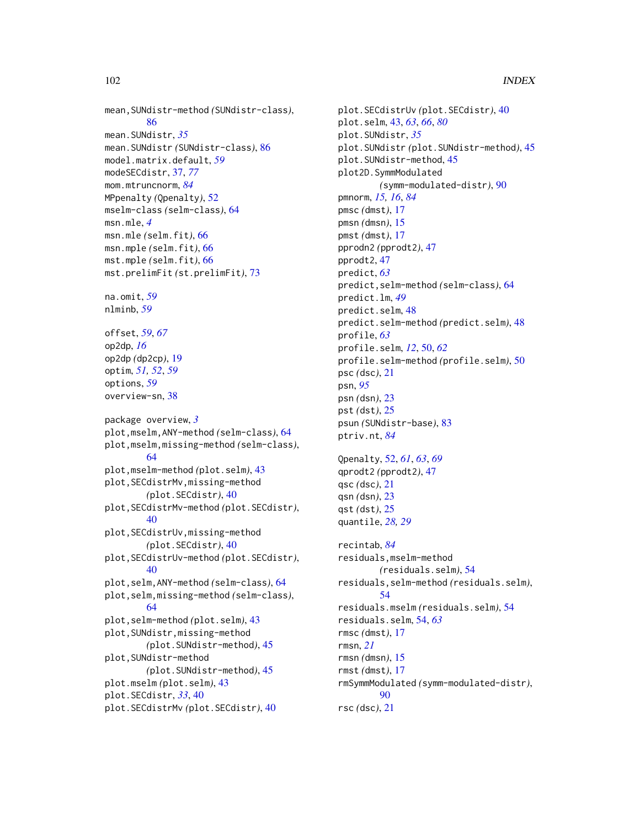```
mean,SUNdistr-method (SUNdistr-class),
        86
mean.SUNdistr, 35
mean.SUNdistr (SUNdistr-class), 86
model.matrix.default, 59
modeSECdistr, 37, 77
mom.mtruncnorm, 84
MPpenalty (Qpenalty), 52
mselm-class (selm-class), 64
msn.mle, 4
msn.mle (selm.fit), 66
msn.mple (selm.fit), 66
mst.mple (selm.fit), 66
mst.prelimFit (st.prelimFit), 73
na.omit, 59
nlminb, 59
offset, 59, 67
op2dp, 16
op2dp (dp2cp), 19
optim, 51, 52, 59
options, 59
overview-sn, 38
package overview, 3
plot,mselm,ANY-method (selm-class), 64
plot,mselm,missing-method (selm-class),
        64
plot,mselm-method (plot.selm), 43
plot,SECdistrMv,missing-method
        (plot.SECdistr), 40
plot,SECdistrMv-method (plot.SECdistr),
        40
plot,SECdistrUv,missing-method
        (plot.SECdistr), 40
plot,SECdistrUv-method (plot.SECdistr),
        40
plot,selm,ANY-method (selm-class), 64
plot,selm,missing-method (selm-class),
        64
plot,selm-method (plot.selm), 43
plot,SUNdistr,missing-method
        (plot.SUNdistr-method), 45
plot,SUNdistr-method
        (plot.SUNdistr-method), 45
plot.mselm (plot.selm), 43
plot.SECdistr, 33, 40
plot.SECdistrMv (plot.SECdistr), 40
```
plot.SECdistrUv *(*plot.SECdistr*)*, [40](#page-39-0) plot.selm, [43,](#page-42-1) *[63](#page-62-0)*, *[66](#page-65-0)*, *[80](#page-79-0)* plot.SUNdistr, *[35](#page-34-0)* plot.SUNdistr *(*plot.SUNdistr-method*)*, [45](#page-44-0) plot.SUNdistr-method, [45](#page-44-0) plot2D.SymmModulated *(*symm-modulated-distr*)*, [90](#page-89-0) pmnorm, *[15,](#page-14-1) [16](#page-15-0)*, *[84](#page-83-0)* pmsc *(*dmst*)*, [17](#page-16-1) pmsn *(*dmsn*)*, [15](#page-14-1) pmst *(*dmst*)*, [17](#page-16-1) pprodn2 *(*pprodt2*)*, [47](#page-46-0) pprodt2, [47](#page-46-0) predict, *[63](#page-62-0)* predict,selm-method *(*selm-class*)*, [64](#page-63-1) predict.lm, *[49](#page-48-0)* predict.selm, [48](#page-47-0) predict.selm-method *(*predict.selm*)*, [48](#page-47-0) profile, *[63](#page-62-0)* profile.selm, *[12](#page-11-1)*, [50,](#page-49-0) *[62](#page-61-0)* profile.selm-method *(*profile.selm*)*, [50](#page-49-0) psc *(*dsc*)*, [21](#page-20-0) psn, *[95](#page-94-0)* psn *(*dsn*)*, [23](#page-22-2) pst *(*dst*)*, [25](#page-24-1) psun *(*SUNdistr-base*)*, [83](#page-82-1) ptriv.nt, *[84](#page-83-0)* Qpenalty, [52,](#page-51-0) *[61](#page-60-0)*, *[63](#page-62-0)*, *[69](#page-68-0)* qprodt2 *(*pprodt2*)*, [47](#page-46-0) qsc *(*dsc*)*, [21](#page-20-0) qsn *(*dsn*)*, [23](#page-22-2) qst *(*dst*)*, [25](#page-24-1) quantile, *[28,](#page-27-0) [29](#page-28-0)* recintab, *[84](#page-83-0)* residuals,mselm-method *(*residuals.selm*)*, [54](#page-53-0) residuals,selm-method *(*residuals.selm*)*, [54](#page-53-0) residuals.mselm *(*residuals.selm*)*, [54](#page-53-0) residuals.selm, [54,](#page-53-0) *[63](#page-62-0)* rmsc *(*dmst*)*, [17](#page-16-1) rmsn, *[21](#page-20-0)* rmsn *(*dmsn*)*, [15](#page-14-1) rmst *(*dmst*)*, [17](#page-16-1)

rmSymmModulated *(*symm-modulated-distr*)*,

rsc *(*dsc*)*, [21](#page-20-0)

[90](#page-89-0)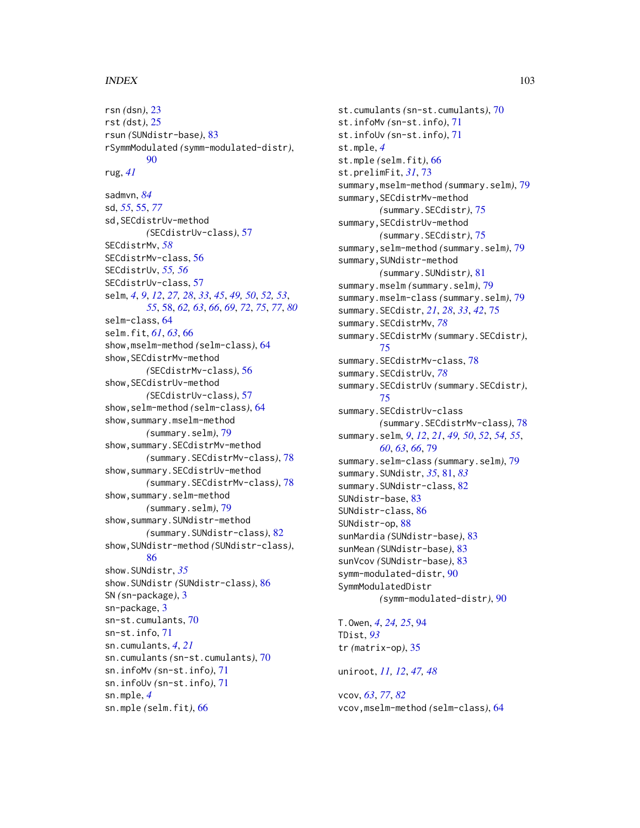## INDEX  $103$

rsn *(*dsn*)*, [23](#page-22-2) rst *(*dst*)*, [25](#page-24-1) rsun *(*SUNdistr-base*)*, [83](#page-82-1) rSymmModulated *(*symm-modulated-distr*)*, [90](#page-89-0) rug, *[41](#page-40-0)* sadmvn, *[84](#page-83-0)* sd, *[55](#page-54-1)*, [55,](#page-54-1) *[77](#page-76-0)* sd,SECdistrUv-method *(*SECdistrUv-class*)*, [57](#page-56-1) SECdistrMv, *[58](#page-57-1)* SECdistrMv-class, [56](#page-55-1) SECdistrUv, *[55,](#page-54-1) [56](#page-55-1)* SECdistrUv-class, [57](#page-56-1) selm, *[4](#page-3-0)*, *[9](#page-8-0)*, *[12](#page-11-1)*, *[27,](#page-26-1) [28](#page-27-0)*, *[33](#page-32-0)*, *[45](#page-44-0)*, *[49,](#page-48-0) [50](#page-49-0)*, *[52,](#page-51-0) [53](#page-52-0)*, *[55](#page-54-1)*, [58,](#page-57-1) *[62,](#page-61-0) [63](#page-62-0)*, *[66](#page-65-0)*, *[69](#page-68-0)*, *[72](#page-71-0)*, *[75](#page-74-1)*, *[77](#page-76-0)*, *[80](#page-79-0)* selm-class, [64](#page-63-1) selm.fit, *[61](#page-60-0)*, *[63](#page-62-0)*, [66](#page-65-0) show,mselm-method *(*selm-class*)*, [64](#page-63-1) show,SECdistrMv-method *(*SECdistrMv-class*)*, [56](#page-55-1) show,SECdistrUv-method *(*SECdistrUv-class*)*, [57](#page-56-1) show,selm-method *(*selm-class*)*, [64](#page-63-1) show,summary.mselm-method *(*summary.selm*)*, [79](#page-78-0) show,summary.SECdistrMv-method *(*summary.SECdistrMv-class*)*, [78](#page-77-0) show,summary.SECdistrUv-method *(*summary.SECdistrMv-class*)*, [78](#page-77-0) show,summary.selm-method *(*summary.selm*)*, [79](#page-78-0) show,summary.SUNdistr-method *(*summary.SUNdistr-class*)*, [82](#page-81-0) show,SUNdistr-method *(*SUNdistr-class*)*, [86](#page-85-1) show.SUNdistr, *[35](#page-34-0)* show.SUNdistr *(*SUNdistr-class*)*, [86](#page-85-1) SN *(*sn-package*)*, [3](#page-2-0) sn-package, [3](#page-2-0) sn-st.cumulants, [70](#page-69-0) sn-st.info, [71](#page-70-0) sn.cumulants, *[4](#page-3-0)*, *[21](#page-20-0)* sn.cumulants *(*sn-st.cumulants*)*, [70](#page-69-0) sn.infoMv *(*sn-st.info*)*, [71](#page-70-0) sn.infoUv *(*sn-st.info*)*, [71](#page-70-0) sn.mple, *[4](#page-3-0)* sn.mple *(*selm.fit*)*, [66](#page-65-0)

st.cumulants *(*sn-st.cumulants*)*, [70](#page-69-0) st.infoMv *(*sn-st.info*)*, [71](#page-70-0) st.infoUv *(*sn-st.info*)*, [71](#page-70-0) st.mple, *[4](#page-3-0)* st.mple *(*selm.fit*)*, [66](#page-65-0) st.prelimFit, *[31](#page-30-0)*, [73](#page-72-0) summary,mselm-method *(*summary.selm*)*, [79](#page-78-0) summary,SECdistrMv-method *(*summary.SECdistr*)*, [75](#page-74-1) summary,SECdistrUv-method *(*summary.SECdistr*)*, [75](#page-74-1) summary,selm-method *(*summary.selm*)*, [79](#page-78-0) summary,SUNdistr-method *(*summary.SUNdistr*)*, [81](#page-80-1) summary.mselm *(*summary.selm*)*, [79](#page-78-0) summary.mselm-class *(*summary.selm*)*, [79](#page-78-0) summary.SECdistr, *[21](#page-20-0)*, *[28](#page-27-0)*, *[33](#page-32-0)*, *[42](#page-41-0)*, [75](#page-74-1) summary.SECdistrMv, *[78](#page-77-0)* summary.SECdistrMv *(*summary.SECdistr*)*, [75](#page-74-1) summary.SECdistrMv-class, [78](#page-77-0) summary.SECdistrUv, *[78](#page-77-0)* summary.SECdistrUv *(*summary.SECdistr*)*, [75](#page-74-1) summary.SECdistrUv-class *(*summary.SECdistrMv-class*)*, [78](#page-77-0) summary.selm, *[9](#page-8-0)*, *[12](#page-11-1)*, *[21](#page-20-0)*, *[49,](#page-48-0) [50](#page-49-0)*, *[52](#page-51-0)*, *[54,](#page-53-0) [55](#page-54-1)*, *[60](#page-59-0)*, *[63](#page-62-0)*, *[66](#page-65-0)*, [79](#page-78-0) summary.selm-class *(*summary.selm*)*, [79](#page-78-0) summary.SUNdistr, *[35](#page-34-0)*, [81,](#page-80-1) *[83](#page-82-1)* summary.SUNdistr-class, [82](#page-81-0) SUNdistr-base, [83](#page-82-1) SUNdistr-class, [86](#page-85-1) SUNdistr-op, [88](#page-87-2) sunMardia *(*SUNdistr-base*)*, [83](#page-82-1) sunMean *(*SUNdistr-base*)*, [83](#page-82-1) sunVcov *(*SUNdistr-base*)*, [83](#page-82-1) symm-modulated-distr, [90](#page-89-0) SymmModulatedDistr *(*symm-modulated-distr*)*, [90](#page-89-0) T.Owen, *[4](#page-3-0)*, *[24,](#page-23-0) [25](#page-24-1)*, [94](#page-93-0) TDist, *[93](#page-92-0)* tr *(*matrix-op*)*, [35](#page-34-0)

uniroot, *[11,](#page-10-0) [12](#page-11-1)*, *[47,](#page-46-0) [48](#page-47-0)*

vcov, *[63](#page-62-0)*, *[77](#page-76-0)*, *[82](#page-81-0)* vcov,mselm-method *(*selm-class*)*, [64](#page-63-1)